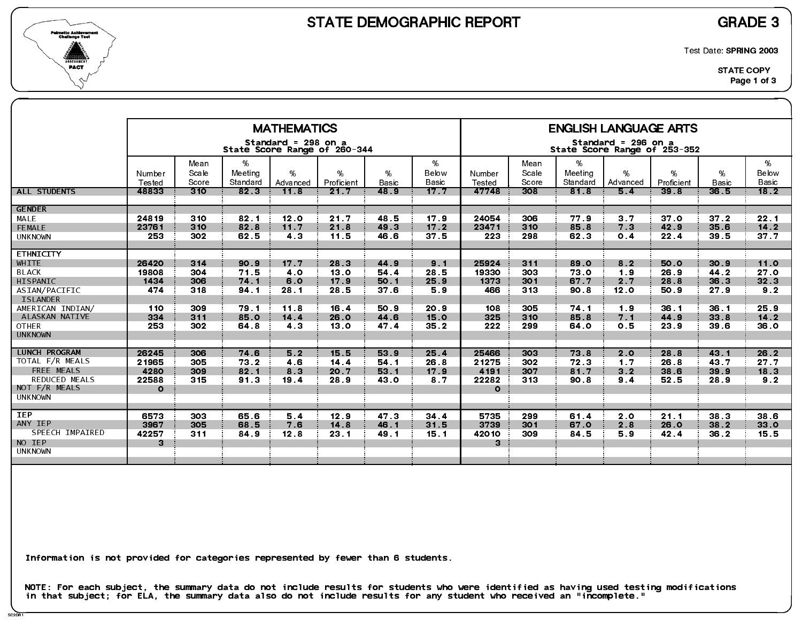



Test Date: SPRING 2003

|                                                                                                                                                                                                                                                                     |                                                                                                  |                                                                           |                                                                                                 | <b>MATHEMATICS</b>                                                                        |                                                                                                 |                                                                                                 |                                                                                   |                                                                                                   |                                                                           |                                                                                      | <b>ENGLISH LANGUAGE ARTS</b>                                                                               |                                                                                      |                                                                                      |                                                                                                 |
|---------------------------------------------------------------------------------------------------------------------------------------------------------------------------------------------------------------------------------------------------------------------|--------------------------------------------------------------------------------------------------|---------------------------------------------------------------------------|-------------------------------------------------------------------------------------------------|-------------------------------------------------------------------------------------------|-------------------------------------------------------------------------------------------------|-------------------------------------------------------------------------------------------------|-----------------------------------------------------------------------------------|---------------------------------------------------------------------------------------------------|---------------------------------------------------------------------------|--------------------------------------------------------------------------------------|------------------------------------------------------------------------------------------------------------|--------------------------------------------------------------------------------------|--------------------------------------------------------------------------------------|-------------------------------------------------------------------------------------------------|
|                                                                                                                                                                                                                                                                     |                                                                                                  |                                                                           |                                                                                                 | Standard = 298 on a                                                                       | State Score Range of 260-344                                                                    |                                                                                                 |                                                                                   |                                                                                                   |                                                                           |                                                                                      | Standard = 296 on a<br>State Score Range of 253-352                                                        |                                                                                      |                                                                                      |                                                                                                 |
|                                                                                                                                                                                                                                                                     | Number<br>Tested                                                                                 | Mean<br>Scale<br>Score                                                    | %<br>Meeting<br>Standard                                                                        | $\%$<br>Advanced                                                                          | %<br>Proficient                                                                                 | %<br>Basic                                                                                      | %<br>Below<br>Basic                                                               | Number<br>Tested                                                                                  | Mean<br>Scale<br>Score                                                    | %<br>Meeting<br>Standard                                                             | %<br>Advanced                                                                                              | %<br>Proficient                                                                      | %<br><b>Basic</b>                                                                    | %<br>Below<br>Basic                                                                             |
| <b>ALL STUDENTS</b>                                                                                                                                                                                                                                                 | 48833                                                                                            | 310                                                                       | 82 <sub>3</sub>                                                                                 | 11.8                                                                                      | 21.7                                                                                            | 48.9                                                                                            | 17.7                                                                              | 47748                                                                                             | 308                                                                       | 81.8                                                                                 | 5 <sub>4</sub>                                                                                             | 39.8                                                                                 | 36.5                                                                                 | 18.2                                                                                            |
| <b>GENDER</b><br>MALE<br>FEMALE                                                                                                                                                                                                                                     | 24819<br>23761                                                                                   | 310<br>310                                                                | 82.1<br>82 8                                                                                    | 12.0<br>11.7                                                                              | 21.7<br>21.8                                                                                    | 48.5<br>49 3                                                                                    | 17.9<br>17.2                                                                      | 24054<br>23471                                                                                    | 306<br>310                                                                | 77.9<br>85 8                                                                         | 3 <sub>7</sub><br>7 <sub>3</sub>                                                                           | 37 <sub>0</sub><br>42.9                                                              | 37 <sub>2</sub><br>35.6                                                              | 22.1<br>$14.2$                                                                                  |
| <b>UNKNOWN</b>                                                                                                                                                                                                                                                      | 253                                                                                              | 302                                                                       | 62.5                                                                                            | 43                                                                                        | 11.5                                                                                            | 46.6                                                                                            | 37.5                                                                              | 223                                                                                               | 298                                                                       | 62 3                                                                                 | 0.4                                                                                                        | 22.4                                                                                 | 39.5                                                                                 | $377$                                                                                           |
| <b>ETHNICITY</b><br>WHITE<br><b>BLACK</b><br>HISPANIC<br>ASIAN/PACIFIC<br><b>ISLANDER</b><br>AMERICAN INDIAN/<br>ALASKAN NATIVE<br><b>OTHER</b><br><b>UNKNOWN</b><br><b>LUNCH PROGRAM</b><br>TOTAL F/R MEALS<br>FREE MEALS<br><b>REDUCED MEALS</b><br>NOT F/R MEALS | 26420<br>19808<br>1434<br>474<br>110<br>334<br>253<br>26245<br>21965<br>4280<br>22588<br>$\circ$ | 314<br>304<br>306<br>318<br>309<br>311<br>302<br>306<br>305<br>309<br>315 | 90.9<br>71.5<br>74.1<br>94 1<br>79.1<br>85.0<br>64.8<br>74 6<br>73.2<br>82.1<br>91 <sub>3</sub> | 17.7<br>4.0<br>6.0<br>28.1<br>11.8<br>14.4<br>4 <sub>3</sub><br>5.2<br>4.6<br>8 3<br>19 4 | 28.3<br>13.0<br>17.9<br>28.5<br>16.4<br>26.0<br>13 <sub>o</sub><br>15.5<br>14.4<br>20.7<br>28.9 | 44.9<br>54.4<br>50 1<br>37 <sub>6</sub><br>50.9<br>44 6<br>47.4<br>53 9<br>54.1<br>53.1<br>43 0 | 9.1<br>28.5<br>25.9<br>5.9<br>20.9<br>15.0<br>35.2<br>25.4<br>26.8<br>17.9<br>8 7 | 25924<br>19330<br>1373<br>466<br>108<br>325<br>222<br>25466<br>21275<br>4191<br>22282<br>$\Omega$ | 311<br>303<br>301<br>313<br>305<br>310<br>299<br>303<br>302<br>307<br>313 | 89.0<br>73.0<br>67.7<br>90 8<br>74 1<br>85.8<br>64 0<br>73.8<br>72.3<br>81.7<br>90.8 | 8 <sub>2</sub><br>19<br>2.7<br>12.0<br>1.9<br>7.1<br>0.5<br>2.0<br>1 <sub>7</sub><br>3 <sub>2</sub><br>9.4 | 50.0<br>26.9<br>28.8<br>50.9<br>36.1<br>44.9<br>23 9<br>28.8<br>26.8<br>38 6<br>52.5 | 30.9<br>44.2<br>36.3<br>27.9<br>36.1<br>33.8<br>39.6<br>43 1<br>43.7<br>39.9<br>28.9 | 11.0<br>27 <sub>0</sub><br>32.3<br>9.2<br>25.9<br>$14.2$<br>36.0<br>26.2<br>27.7<br>18.3<br>9.2 |
| <b>UNKNOWN</b><br><b>IEP</b><br>ANY IEP<br>SPEECH IMPAIRED<br>NO IEP<br><b>UNKNOWN</b>                                                                                                                                                                              | 6573<br>3967<br>42257<br>3                                                                       | 303<br>305<br>311                                                         | 65.6<br>68.5<br>84.9                                                                            | 5.4<br>7.6<br>12.8                                                                        | 12.9<br>14 8<br>23 <sub>1</sub>                                                                 | 47.3<br>46 1<br>49.1                                                                            | 34.4<br>31.5<br>15.1                                                              | 5735<br>3739<br>42010<br>3                                                                        | 299<br>301<br>309                                                         | 61.4<br>67.0<br>84 5                                                                 | 2 <sub>0</sub><br>2.8<br>5.9                                                                               | 21.1<br>26.0<br>42.4                                                                 | 38 3<br>38.2<br>36.2                                                                 | 38.6<br>33.0<br>15.5                                                                            |

Information is not provided for categories represented by fewer than 6 students.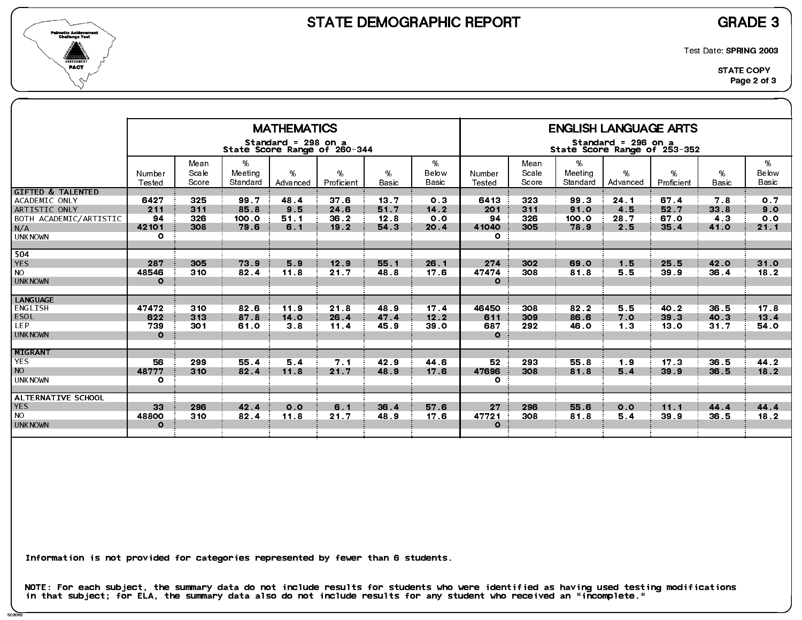



Test Date: SPRING 2003

|                                                                                                                   |                                       |                          |                               | <b>MATHEMATICS</b>                                  |                                         |                              |                                         |                                            |                          |                               | <b>ENGLISH LANGUAGE ARTS</b>                        |                                 |                            |                                      |
|-------------------------------------------------------------------------------------------------------------------|---------------------------------------|--------------------------|-------------------------------|-----------------------------------------------------|-----------------------------------------|------------------------------|-----------------------------------------|--------------------------------------------|--------------------------|-------------------------------|-----------------------------------------------------|---------------------------------|----------------------------|--------------------------------------|
|                                                                                                                   |                                       |                          |                               | Standard = 298 on a<br>State Score Range of 260-344 |                                         |                              |                                         |                                            |                          |                               | Standard = 296 on a<br>State Score Range of 253-352 |                                 |                            |                                      |
|                                                                                                                   | Number<br>Tested                      | Mean<br>Scale<br>Score   | %<br>Meeting<br>Standard      | $\%$<br>Advanced                                    | %<br>Proficient                         | %<br><b>Basic</b>            | %<br>Below<br>Basic                     | Number<br>Tested                           | Mean<br>Scale<br>Score   | %<br>Meeting<br>Standard      | %<br>Advanced                                       | %<br>Proficient                 | %<br><b>Basic</b>          | %<br>Below<br><b>Basic</b>           |
| <b>GIFTED &amp; TALENTED</b><br>ACADEMIC ONLY<br>ARTISTIC ONLY<br>BOTH ACADEMIC/ARTISTIC<br>N/A<br><b>UNKNOWN</b> | 6427<br>211<br>94<br>42101<br>$\circ$ | 325<br>311<br>326<br>308 | 99.7<br>85.8<br>100.0<br>79.6 | 48.4<br>9.5<br>51.1<br>6.1                          | 37 <sub>6</sub><br>24 6<br>36.2<br>19.2 | 13.7<br>51.7<br>12.8<br>54 3 | 0.3<br>$14.2$<br>0 <sub>0</sub><br>20.4 | 6413<br>201<br>94<br>41040<br>$\mathbf{o}$ | 323<br>311<br>326<br>305 | 99 3<br>91.0<br>100.0<br>78.9 | 24.1<br>4.5<br>28.7<br>2.5                          | 67.4<br>52.7<br>67.0<br>35.4    | 7.8<br>33.8<br>4 3<br>41.0 | 0.7<br>9.0<br>0 <sub>0</sub><br>21.1 |
| 504<br><b>YES</b><br><b>NO</b><br><b>UNKNOWN</b>                                                                  | 287<br>48546<br>$\Omega$              | 305<br>310               | 73.9<br>82.4                  | 5.9<br>11.8                                         | 12.9<br>21.7                            | 55.1<br>48.8                 | 26.1<br>17.6                            | 274<br>47474<br>$\mathbf{o}$               | 302<br>308               | 69.0<br>81.8                  | 1.5<br>5.5                                          | 25.5<br>39 9                    | 42.0<br>36.4               | 31.0<br>18.2                         |
| <b>LANGUAGE</b><br>ENGLISH<br><b>ESOL</b><br>LEP.<br><b>UNKNOWN</b>                                               | 47472<br>622<br>739<br>$\Omega$       | 310<br>313<br>301        | 82 6<br>87.8<br>61.0          | 11.9<br>14.0<br>38                                  | 21.8<br>26.4<br>11.4                    | 48.9<br>47.4<br>45.9         | 17.4<br>12.2<br>39 O                    | 46450<br>611<br>687<br>$\mathbf{o}$        | 308<br>309<br>292        | 82 2<br>86.6<br>46 O          | 5.5<br>7.0<br>1 <sub>3</sub>                        | 40.2<br>39.3<br>13 <sub>o</sub> | 36.5<br>40.3<br>31.7       | 17 <sub>8</sub><br>13 4<br>54.0      |
| <b>MIGRANT</b><br><b>YES</b><br><b>NO</b><br><b>UNKNOWN</b>                                                       | 56<br>48777<br>$\circ$                | 299<br>310               | 55.4<br>82.4                  | 5.4<br>11.8                                         | 7.1<br>21.7                             | 42.9<br>48.9                 | 44 6<br>17.6                            | 52<br>47696<br>$\mathbf{o}$                | 293<br>308               | 55.8<br>818                   | 1.9<br>5.4                                          | 17 <sub>3</sub><br>39.9         | 36.5<br>36.5               | 44.2<br>18.2                         |
| ALTERNATIVE SCHOOL<br><b>YES</b><br><b>NO</b><br><b>UNKNOWN</b>                                                   | 33 <sup>°</sup><br>48800<br>$\Omega$  | 296<br>310               | 42.4<br>82.4                  | 0.0<br>11.8                                         | 6.1<br>21.7                             | 36.4<br>48.9                 | 57.6<br>17.6                            | 27<br>47721<br>$\Omega$                    | 296<br>308               | 55.6<br>81.8                  | 0.0<br>5.4                                          | 11.1<br>39 9                    | 44 4<br>36.5               | 44.4<br>18.2                         |

Information is not provided for categories represented by fewer than 6 students.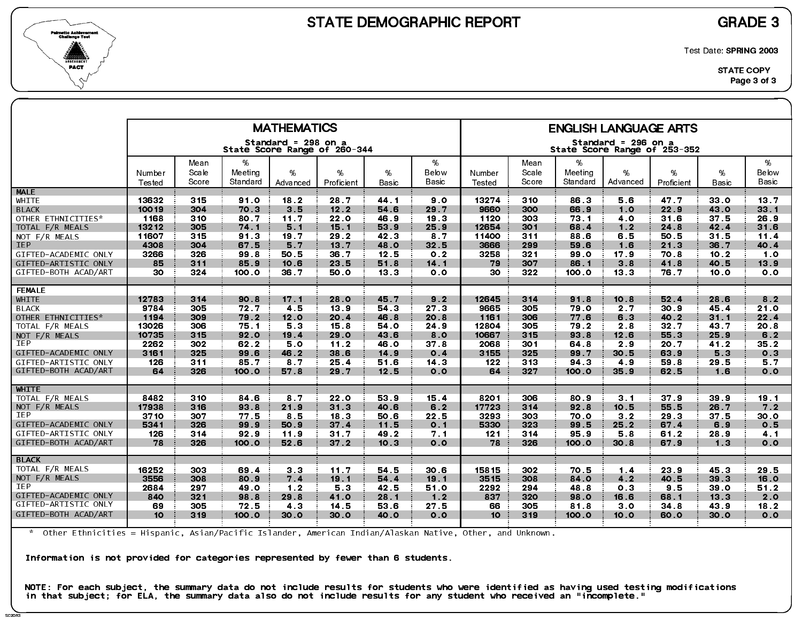



Test Date: SPRING 2003

|                      |                  |                |                     | <b>MATHEMATICS</b>                                  |                 |            |                 |                  |                |                     | <b>ENGLISH LANGUAGE ARTS</b>                        |                 |                |                 |
|----------------------|------------------|----------------|---------------------|-----------------------------------------------------|-----------------|------------|-----------------|------------------|----------------|---------------------|-----------------------------------------------------|-----------------|----------------|-----------------|
|                      |                  |                |                     | Standard = 298 on a<br>State Score Range of 260-344 |                 |            |                 |                  |                |                     | Standard = 296 on a<br>State Score Range of 253-352 |                 |                |                 |
|                      |                  | Mean           | %                   |                                                     |                 |            | %               |                  | Mean           | %                   |                                                     |                 |                | %               |
|                      | Number<br>Tested | Scale<br>Score | Meeting<br>Standard | %<br>Advanced                                       | %<br>Proficient | %<br>Basic | Below<br>Basic  | Number<br>Tested | Scale<br>Score | Meeting<br>Standard | %<br>Advanced                                       | %<br>Proficient | %<br>Basic     | Below<br>Basic  |
| <b>MALE</b>          |                  |                |                     |                                                     |                 |            |                 |                  |                |                     |                                                     |                 |                |                 |
| WHITE                | 13632            | 315            | 91.0                | 18.2                                                | 28.7            | 44 1       | 90              | 13274            | 310            | 86.3                | 5.6                                                 | 47.7            | 33.0           | 13 <sub>7</sub> |
| <b>BLACK</b>         | 10019            | 304            | 70.3                | 3.5                                                 | 12.2            | 54.6       | 29.7            | 9660             | 300            | 66.9                | 1.0                                                 | 22.9            | 43.0           | 33.1            |
| OTHER ETHNICITIES*   | 1168             | 310            | 80.7                | 11.7                                                | 22.0            | 46.9       | 19.3            | 1120             | 303            | 73 1                | 40                                                  | 31.6            | 37.5           | 26.9            |
| TOTAL F/R MEALS      | 13212            | 305            | 74 1                | 5.1                                                 | 15.1            | 53.9       | 25.9            | 12654            | 301            | 68.4                | 1.2                                                 | 24.8            | 42.4           | 31.6            |
| NOT F/R MEALS        | 11607            | 315            | 91.3                | 19.7                                                | 29.2            | 42 3       | 8 7             | 11400            | 311            | 88.6                | 6.5                                                 | 50.5            | 31.5           | 11.4            |
| <b>IEP</b>           | 4308             | 304            | 67.5                | 5.7                                                 | 13.7            | 48.O       | 32.5            | 3666             | 299            | 59.6                | 1.6                                                 | 21.3            | 36.7           | 40.4            |
| GIFTED-ACADEMIC ONLY | 3266             | 326            | 99 8                | 50.5                                                | 36.7            | 12.5       | 0 <sub>2</sub>  | 3258             | 321            | 99 O                | 17.9                                                | 70.8            | 10.2           | 1.0             |
| GIFTED-ARTISTIC ONLY | 85               | 311            | 85.9                | 10.6                                                | 23.5            | 51.8       | $14 \quad 1$    | 79               | 307            | 86.1                | 3.8                                                 | 41.8            | 40.5           | 13.9            |
| GIFTED-BOTH ACAD/ART | 30               | 324            | 100.0               | 36.7                                                | 50.0            | 13.3       | 0 <sub>0</sub>  | 30               | 322            | 100.0               | 13 <sub>3</sub>                                     | 76.7            | 10.0           | 0.0             |
| <b>FEMALE</b>        |                  |                |                     |                                                     |                 |            |                 |                  |                |                     |                                                     |                 |                |                 |
| <b>WHITE</b>         | 12783            | 314            | 90.8                | 17.1                                                | 28.0            | 45.7       | 9.2             | 12645            | 314            | 91.8                | 10.8                                                | 52 4            | 28.6           | 8.2             |
| <b>BLACK</b>         | 9784             | 305            | 72.7                | 4.5                                                 | 13.9            | 54 3       | 27.3            | 9665             | 305            | 79 0                | 2.7                                                 | 30.9            | 45.4           | 21.0            |
| OTHER ETHNICITIES*   | 1194             | 309            | 79.2                | 12.0                                                | 20.4            | 46.8       | 20.8            | 1161             | 306            | 77.6                | 6.3                                                 | 40.2            | 31.1           | 22.4            |
| TOTAL F/R MEALS      | 13026            | 306            | 75.1                | 53                                                  | 15.8            | 54 O       | 24.9            | 12804            | 305            | 79.2                | 2.8                                                 | 32.7            | 43.7           | 20.8            |
| NOT $F/R$ MEALS      | 10735            | 315            | 92.0                | 19.4                                                | 29.0            | 43.6       | 8.0             | 10667            | 315            | 93.8                | 12.6                                                | 55.3            | 25.9           | 6.2             |
| <b>IEP</b>           | 2262             | 302            | 62.2                | 5.0                                                 | 11.2            | 46.0       | 37.8            | 2068             | 301            | 64 8                | 2.9                                                 | 20.7            | 41.2           | 35.2            |
| GIFTED-ACADEMIC ONLY | 3161             | 325            | 99.6                | 46.2                                                | 38.6            | 14.9       | 0.4             | 3155             | 325            | 99.7                | 30.5                                                | 63.9            | 5.3            | 0 <sub>3</sub>  |
| GIFTED-ARTISTIC ONLY | 126              | 311            | 85.7                | 8.7                                                 | 25.4            | 51.6       | 14 <sup>3</sup> | 122              | 313            | 94 3                | 4.9                                                 | 59.8            | 29.5           | 5.7             |
| GIFTED-BOTH ACAD/ART | 64               | 326            | 100.0               | 57.8                                                | 29.7            | 12.5       | 0.0             | 64               | 327            | 100.0               | 35.9                                                | 62 5            | 1.6            | 0.0             |
| <b>WHITE</b>         |                  |                |                     |                                                     |                 |            |                 |                  |                |                     |                                                     |                 |                |                 |
| TOTAL F/R MEALS      | 8482             | 310            | 84 6                | 8.7                                                 | 22.0            | 53 9       | 15.4            | 8201             | 306            | 80.9                | 3 <sub>1</sub>                                      | 37.9            | 39 9           | 19.1            |
| NOT F/R MEALS        | 17938            | 316            | 93 8                | 21.9                                                | 31.3            | 40.6       | 6.2             | 17723            | 314            | 92.8                | 10.5                                                | 55.5            | 26.7           | 7 <sub>2</sub>  |
| IEP                  | 3710             | 307            | 77.5                | 85                                                  | 18.3            | 50.6       | 22.5            | 3293             | 303            | 70.0                | 3.2                                                 | 29.3            | 37.5           | 30.0            |
| GIFTED-ACADEMIC ONLY | 5341             | 326            | 99.9                | 50.9                                                | 37.4            | 11.5       | 0.1             | 5330             | 323            | 99.5                | 25.2                                                | 67.4            | 6.9            | 0.5             |
| GIFTED-ARTISTIC ONLY | 126              | 314            | 92.9                | 11.9                                                | 31.7            | 49.2       | 7 <sub>1</sub>  | 121              | 314            | 95.9                | 5.8                                                 | 61.2            | 28.9           | 4 <sub>1</sub>  |
| GIFTED-BOTH ACAD/ART | 78               | 326            | 100.0               | 52.6                                                | $372$           | 10.3       | 0.0             | 78               | 326            | 100.0               | 30.8                                                | 67.9            | 1 <sub>3</sub> | 0.0             |
| <b>BLACK</b>         |                  |                |                     |                                                     |                 |            |                 |                  |                |                     |                                                     |                 |                |                 |
| TOTAL F/R MEALS      | 16252            | 303            | 69.4                | 3 <sub>3</sub>                                      | 11.7            | 54.5       | 30.6            | 15815            | 302            | 70.5                | 1.4                                                 | 23.9            | 45.3           | 29.5            |
| NOT F/R MEALS        | 3556             | 308            | 80.9                | 7.4                                                 | 19.1            | 54 4       | 19.1            | 3515             | 308            | 84.0                | 4.2                                                 | 40.5            | 39.3           | 16.0            |
| <b>IEP</b>           | 2684             | 297            | 49.0                | $1.2$                                               | 53              | 42 5       | 51.0            | 2292             | 294            | 48.8                | 0 <sub>3</sub>                                      | 9.5             | 39.0           | 51.2            |
| GIFTED-ACADEMIC ONLY | 840              | 321            | 98.8                | 29.8                                                | 41.0            | 28.1       | 1.2             | 837              | 320            | 98.0                | 16.6                                                | 68.1            | 13.3           | 2.0             |
| GIFTED-ARTISTIC ONLY | 69               | 305            | 72.5                | 4 3                                                 | 14.5            | 53.6       | 27.5            | 66               | 305            | 818                 | 3 <sub>0</sub>                                      | 34.8            | 43.9           | 18.2            |
| GIFTED-BOTH ACAD/ART | 10 <sup>°</sup>  | 319            | 100.0               | 30.0                                                | 30.0            | 40.O       | 0.0             | 10 <sup>°</sup>  | 319            | 100 O               | 10.0                                                | 60.0            | 30.0           | 0.0             |
|                      |                  |                |                     |                                                     |                 |            |                 |                  |                |                     |                                                     |                 |                |                 |

\* Other Ethnicities = Hispanic, Asian/Pacific Islander, American Indian/Alaskan Native, Other, and Unknown.

Information is not provided for categories represented by fewer than 6 students.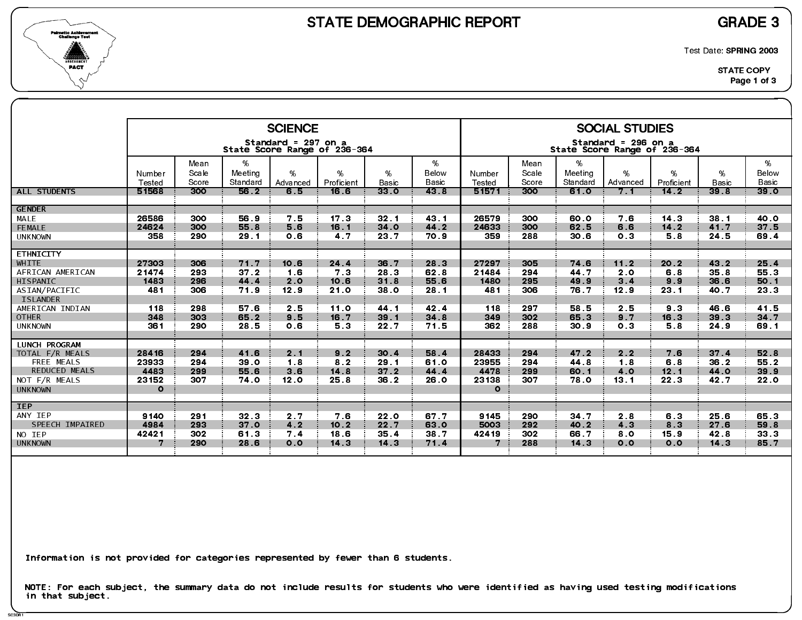

SC3DR1

Test Date: SPRING 2003

|                                         |                  |                        |                          | <b>SCIENCE</b>      |                              |                      |                     |                         |                        |                             | <b>SOCIAL STUDIES</b>                               |                 |                   |                     |
|-----------------------------------------|------------------|------------------------|--------------------------|---------------------|------------------------------|----------------------|---------------------|-------------------------|------------------------|-----------------------------|-----------------------------------------------------|-----------------|-------------------|---------------------|
|                                         |                  |                        |                          | Standard = 297 on a | State Score Range of 236-364 |                      |                     |                         |                        |                             | Standard = 296 on a<br>State Score Range of 236-364 |                 |                   |                     |
|                                         | Number<br>Tested | Mean<br>Scale<br>Score | %<br>Meeting<br>Standard | %<br>Advanced       | %<br>Proficient              | $\%$<br><b>Basic</b> | %<br>Below<br>Basic | Number<br><b>Tested</b> | Mean<br>Scale<br>Score | $\%$<br>Meeting<br>Standard | %<br>Advanced                                       | %<br>Proficient | %<br><b>Basic</b> | %<br>Below<br>Basic |
| <b>ALL STUDENTS</b>                     | 51568            | 300                    | 56.2                     | 6.5                 | 16.6                         | 330                  | 43 8                | 51571                   | 300                    | 61.0                        | 7.1                                                 | $142$           | 39 <sub>8</sub>   | 39 <sub>o</sub>     |
| <b>GENDER</b>                           |                  |                        |                          |                     |                              |                      |                     |                         |                        |                             |                                                     |                 |                   |                     |
| MALE                                    | 26586            | 300                    | 56.9                     | 7.5                 | 17 <sub>3</sub>              | 32 <sub>1</sub>      | 43 1                | 26579                   | 300                    | 60.0                        | 76                                                  | 14.3            | 38.1              | 40.0                |
| <b>FEMALE</b>                           | 24624            | 300                    | 55.8                     | 5.6                 | 16.1                         | 34 <sub>o</sub>      | 44.2                | 24633                   | 300                    | 62.5                        | 6.6                                                 | $14.2$          | 41.7              | 37.5                |
| <b>UNKNOWN</b>                          | 358              | 290                    | 29.1                     | 0.6                 | 4.7                          | 23 7                 | 70.9                | 359                     | 288                    | 30.6                        | 0.3                                                 | 5.8             | 24 5              | 69.4                |
| <b>ETHNICITY</b>                        |                  |                        |                          |                     |                              |                      |                     |                         |                        |                             |                                                     |                 |                   |                     |
| WHITE                                   | 27303            | 306                    | 71.7                     | 10.6                | 24 4                         | 36.7                 | 28.3                | 27297                   | 305                    | 74 6                        | 11.2                                                | 20.2            | 43.2              | 25.4                |
| AFRICAN AMERICAN                        | 21474            | 293                    | 37.2                     | 1.6                 | 7 <sub>3</sub>               | 28.3                 | 62 8                | 21484                   | 294                    | 44 7                        | 2.0                                                 | 6.8             | 35.8              | 55 3                |
| HISPANIC                                | 1483             | 296                    | 44 4                     | 2.0                 | 10.6                         | 31.8                 | 55.6                | 1480                    | 295                    | 49.9                        | 3 <sub>1</sub>                                      | 9.9             | 36.6              | 50 1                |
| ASIAN/PACIFIC<br><b>ISLANDER</b>        | 481              | 306                    | 71.9                     | 12.9                | 21.0                         | 38 <sub>o</sub>      | 28.1                | 481                     | 306                    | 76.7                        | 12.9                                                | 23.1            | 40.7              | 23.3                |
| AMERICAN INDIAN                         | 118              | 298                    | 57 6                     | 25                  | 11.0                         | 44 1                 | 42.4                | 118                     | 297                    | 58.5                        | 2.5                                                 | 9.3             | 46.6              | 41.5                |
| <b>OTHER</b>                            | 348              | 303                    | 65.2                     | 9.5                 | 16.7                         | 39.1                 | 34 8                | 349                     | 302                    | 65.3                        | 9.7                                                 | 16.3            | 39.3              | 34.7                |
| <b>UNKNOWN</b>                          | 361              | 290                    | 28.5                     | 0.6                 | 53                           | 22.7                 | 71.5                | 362                     | 288                    | 30.9                        | 0 <sub>3</sub>                                      | 5.8             | 24.9              | 69.1                |
|                                         |                  |                        |                          |                     |                              |                      |                     |                         |                        |                             |                                                     |                 |                   |                     |
| <b>LUNCH PROGRAM</b><br>TOTAL F/R MEALS | 28416            | 294                    | 41.6                     | 2.1                 | 9.2                          | 30.4                 | 58.4                | 28433                   | 294                    | 47.2                        | 2.2                                                 | 7.6             | 37.4              | 52.8                |
| FREE MEALS                              | 23933            | 294                    | 39 <sub>o</sub>          | 1.8                 | 8 <sub>2</sub>               | 29.1                 | 61.0                | 23955                   | 294                    | 44 8                        | 1.8                                                 | 6.8             | 36.2              | 55.2                |
| <b>REDUCED MEALS</b>                    | 4483             | 299                    | 55.6                     | 3.6                 | 14.8                         | $372$                | 44.4                | 4478                    | 299                    | 60.1                        | 4.0                                                 | 12.1            | 44.0              | 39.9                |
| NOT F/R MEALS                           | 23152            | 307                    | 74.0                     | 12.0                | 25.8                         | 36.2                 | 26.0                | 23138                   | 307                    | 78.0                        | 13.1                                                | 22.3            | 42.7              | 22 <sub>0</sub>     |
| <b>UNKNOWN</b>                          | $\circ$          |                        |                          |                     |                              |                      |                     | $\circ$                 |                        |                             |                                                     |                 |                   |                     |
| <b>IEP</b>                              |                  |                        |                          |                     |                              |                      |                     |                         |                        |                             |                                                     |                 |                   |                     |
| ANY IEP                                 | 9140             | 291                    | 32.3                     | 2.7                 | 7.6                          | 22.0                 | 67.7                | 9145                    | 290                    | $34.7$                      | 2.8                                                 | 63              | 25.6              | 65.3                |
| SPEECH IMPAIRED                         | 4984             | 293                    | 37 0                     | 4.2                 | 10.2                         | 22.7                 | 63.0                | 5003                    | 292                    | 40.2                        | 4 3                                                 | 8.3             | 27.6              | 59.8                |
| NO IEP                                  | 42421            | 302                    | 61.3                     | 7.4                 | 18.6                         | 35.4                 | 38.7                | 42419                   | 302                    | 66.7                        | 8.0                                                 | 15.9            | 42.8              | 33.3                |
| <b>UNKNOWN</b>                          | 7                | 290                    | 28.6                     | 0.0                 | 14 <sub>3</sub>              | 14.3                 | 71.4                | 7                       | 288                    | 14 <sub>3</sub>             | 0.0                                                 | 0.0             | 14.3              | 85.7                |
|                                         |                  |                        |                          |                     |                              |                      |                     |                         |                        |                             |                                                     |                 |                   |                     |

Information is not provided for categories represented by fewer than 6 students.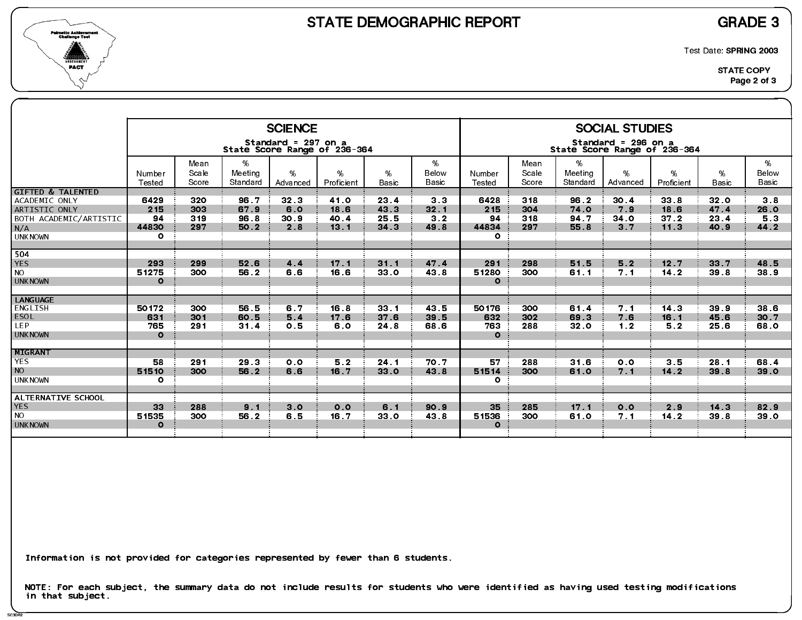

SC3DR2

Test Date: SPRING 2003

|                                                                                                                   |                                          |                          |                              | <b>SCIENCE</b>             |                              |                                            |                                                  |                                        |                          |                              | <b>SOCIAL STUDIES</b>                 |                                |                                         |                                 |
|-------------------------------------------------------------------------------------------------------------------|------------------------------------------|--------------------------|------------------------------|----------------------------|------------------------------|--------------------------------------------|--------------------------------------------------|----------------------------------------|--------------------------|------------------------------|---------------------------------------|--------------------------------|-----------------------------------------|---------------------------------|
|                                                                                                                   |                                          |                          |                              | Standard = 297 on a        | State Score Range of 236-364 |                                            |                                                  |                                        |                          | State Score Range of 236-364 | Standard = 296 on a                   |                                |                                         |                                 |
|                                                                                                                   | Number<br>Tested                         | Mean<br>Scale<br>Score   | %<br>Meeting<br>Standard     | $\%$<br>Advanced           | %<br>Proficient              | %<br><b>Basic</b>                          | %<br>Below<br>Basic                              | Number<br><b>Tested</b>                | Mean<br>Scale<br>Score   | %<br>Meeting<br>Standard     | %<br>Advanced                         | %<br>Proficient                | %<br><b>Basic</b>                       | %<br>Below<br><b>Basic</b>      |
| <b>GIFTED &amp; TALENTED</b><br>ACADEMIC ONLY<br>ARTISTIC ONLY<br>BOTH ACADEMIC/ARTISTIC<br>N/A<br><b>UNKNOWN</b> | 6429<br>215<br>94<br>44830<br>$\circ$    | 320<br>303<br>319<br>297 | 96.7<br>67.9<br>96.8<br>50.2 | 32.3<br>6.0<br>30.9<br>2.8 | 41.0<br>18.6<br>40.4<br>13.1 | 23.4<br>43 3<br>25.5<br>34 <sub>3</sub>    | 3 <sub>3</sub><br>32.1<br>3 <sub>2</sub><br>49.8 | 6428<br>215<br>94<br>44834<br>$\Omega$ | 318<br>304<br>318<br>297 | 96.2<br>74.0<br>94.7<br>55.8 | 30.4<br>7.9<br>34 0<br>3 <sub>7</sub> | 33.8<br>18.6<br>$372$<br>11.3  | 32 <sub>o</sub><br>47.4<br>23.4<br>40.9 | 3.8<br>26.0<br>5.3<br>44.2      |
| 504<br><b>YES</b><br><b>NO</b><br><b>UNKNOWN</b>                                                                  | 293<br>51275<br>$\mathbf{o}$             | 299<br>300               | 52.6<br>56.2                 | 4.4<br>6.6                 | 17 <sub>1</sub><br>16.6      | 31.1<br>33 0                               | 47 4<br>43.8                                     | 291<br>51280<br>$\mathbf{o}$           | 298<br>300               | 51.5<br>61.1                 | 5.2<br>7.1                            | 12.7<br>$14.2$                 | 33.7<br>39.8                            | 48.5<br>38 9                    |
| <b>LANGUAGE</b><br>ENGLISH<br><b>ESOL</b><br>LEP.<br><b>UNKNOWN</b>                                               | 50172<br>631<br>765<br>$\Omega$          | 300<br>301<br>291        | 56.5<br>60.5<br>31.4         | 6.7<br>5.4<br>0.5          | 16.8<br>17.6<br>6.0          | 33 <sub>1</sub><br>37 <sub>6</sub><br>24 8 | 43 5<br>39 5<br>68.6                             | 50176<br>632<br>763<br>$\mathbf{o}$    | 300<br>302<br>288        | 61.4<br>69.3<br>32.0         | 7.1<br>7.6<br>1 <sub>2</sub>          | 14 <sub>3</sub><br>16.1<br>5.2 | 39.9<br>45.6<br>25.6                    | 38 <sub>6</sub><br>30 7<br>68 O |
| <b>MIGRANT</b><br><b>YES</b><br><b>NO</b><br><b>UNKNOWN</b>                                                       | 58<br>51510<br>$\circ$                   | 291<br>300               | 29.3<br>56.2                 | 0.0<br>6.6                 | 5.2<br>16.7                  | 24.1<br>33.0                               | 70.7<br>43.8                                     | 57<br>51514<br>$\circ$                 | 288<br>300               | 31.6<br>61.0                 | 0.0<br>7.1                            | 3.5<br>14.2                    | 28.1<br>39 8                            | 68.4<br>39 0                    |
| ALTERNATIVE SCHOOL<br><b>YES</b><br><b>NO</b><br><b>UNKNOWN</b>                                                   | 33 <sup>°</sup><br>51535<br>$\mathbf{o}$ | 288<br>300               | 9.1<br>56.2                  | 3 <sub>o</sub><br>6.5      | 0.0<br>16.7                  | 6.1<br>33 <sub>0</sub>                     | 90.9<br>43 8                                     | 35<br>51536<br>$\Omega$                | 285<br>300               | 17.1<br>61 0                 | 0.0<br>7.1                            | 2.9<br>$14.2$                  | 14.3<br>39.8                            | 82.9<br>39 O                    |

Information is not provided for categories represented by fewer than 6 students.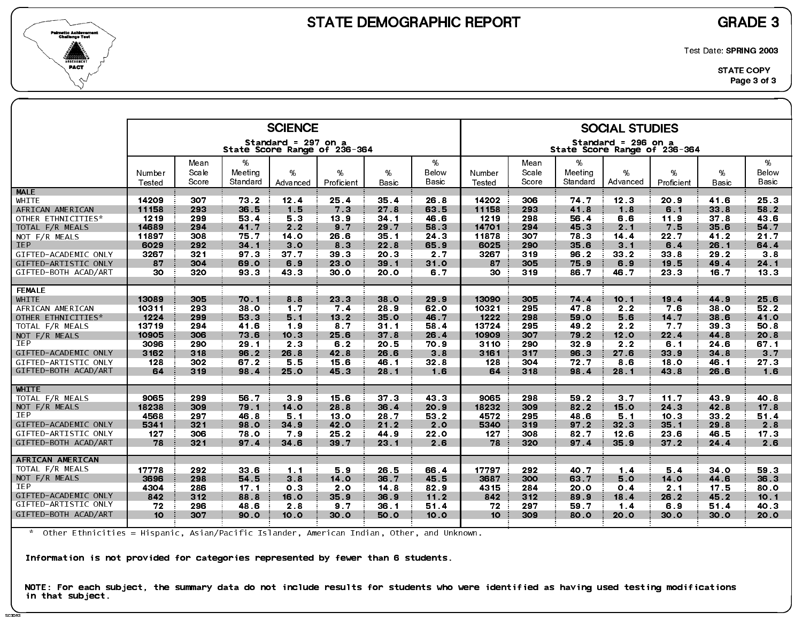

SC3DR<sup>3</sup>

Test Date: SPRING 2003

|                      |                  |                |                     | <b>SCIENCE</b><br>Standard = 297 on a |                 |                 |                |                  |                |                     | <b>SOCIAL STUDIES</b><br>Standard = 296 on a |                 |                 |                 |
|----------------------|------------------|----------------|---------------------|---------------------------------------|-----------------|-----------------|----------------|------------------|----------------|---------------------|----------------------------------------------|-----------------|-----------------|-----------------|
|                      |                  |                |                     | State Score Range of 236-364          |                 |                 |                |                  |                |                     | State Score Range of 236-364                 |                 |                 |                 |
|                      |                  | Mean           | %                   |                                       |                 |                 | %              |                  | Mean           | %                   |                                              |                 |                 | %               |
|                      | Number<br>Tested | Scale<br>Score | Meeting<br>Standard | %<br>Advanced                         | %<br>Proficient | %<br>Basic      | Below<br>Basic | Number<br>Tested | Scale<br>Score | Meeting<br>Standard | %<br>Advanced                                | %<br>Proficient | %<br>Basic      | Below<br>Basic  |
| <b>MALE</b>          |                  |                |                     |                                       |                 |                 |                |                  |                |                     |                                              |                 |                 |                 |
| WHITE                | 14209            | 307            | 73.2                | 12.4                                  | 25.4            | 35.4            | 26.8           | 14202            | 306            | 74.7                | 12 <sub>3</sub>                              | 20.9            | 41.6            | 25.3            |
| AFRICAN AMERICAN     | 11158            | 293            | 36.5                | 1.5                                   | 7 <sub>3</sub>  | 27.8            | 63.5           | 11158            | 293            | 41.8                | 1.8                                          | 6.1             | 33.8            | 58.2            |
| OTHER ETHNICITIES*   | 1219             | 299            | 53.4                | 5 3                                   | 13.9            | 34.1            | 46.6           | 1219             | 298            | 56.4                | 6.6                                          | 11.9            | 37.8            | 43.6            |
| TOTAL F/R MEALS      | 14689            | 294            | 41.7                | 2.2                                   | 9.7             | 29.7            | 58.3           | 14701            | 294            | 45.3                | 2.1                                          | 7.5             | 35.6            | 54.7            |
| NOT F/R MEALS        | 11897            | 308            | 75.7                | 14 <sub>o</sub>                       | 26.6            | 35.1            | 24.3           | 11878            | 307            | 78.3                | 14.4                                         | 22.7            | 41.2            | 21.7            |
| <b>IEP</b>           | 6029             | 292            | 34.1                | 3.0                                   | 83              | 22.8            | 65.9           | 6025             | 290            | 35 6                | $3 \quad 1$                                  | 6.4             | 26.1            | 64.4            |
| GIFTED-ACADEMIC ONLY | 3267             | 321            | 97.3                | 37.7                                  | 39.3            | 20.3            | 2.7            | 3267             | 319            | 96.2                | 33.2                                         | 33.8            | 29.2            | 38              |
| GIFTED-ARTISTIC ONLY | 87               | 304            | 69.0                | 6.9                                   | 23.0            | 39.1            | 31.0           | 87               | 305            | 75.9                | 6.9                                          | 19.5            | 49.4            | 24.1            |
| GIFTED-BOTH ACAD/ART | 30               | 320            | 93 3                | 43 3                                  | 30.0            | <b>20.0</b>     | 6.7            | 30               | 319            | 86.7                | 46.7                                         | 23 3            | 16.7            | 13.3            |
| <b>FEMALE</b>        |                  |                |                     |                                       |                 |                 |                |                  |                |                     |                                              |                 |                 |                 |
| WHITE                | 13089            | 305            | 70.1                | 8.8                                   | 23.3            | 38.0            | 29.9           | 13090            | 305            | 74.4                | 10.1                                         | 19.4            | 44.9            | 25.6            |
| AFRICAN AMERICAN     | 10311            | 293            | 38.0                | 1.7                                   | 7.4             | 28.9            | 62 0           | 10321            | 295            | 47.8                | 2.2                                          | 7.6             | 38.0            | 52.2            |
| OTHER ETHNICITIES*   | 1224             | 299            | 53.3                | 5.1                                   | 13.2            | 35.0            | 46.7           | 1222             | 298            | 59.0                | 5.6                                          | 14.7            | 38.6            | 41.0            |
| TOTAL F/R MEALS      | 13719            | 294            | 41.6                | 19                                    | 8 7             | 31.1            | 58.4           | 13724            | 295            | 49.2                | 2.2                                          | 7.7             | 39 <sub>3</sub> | 50.8            |
| NOT F/R MEALS        | 10905            | 306            | 73.6                | 10.3                                  | 25.6            | 37.8            | 26.4           | 10909            | 307            | 79.2                | 12.0                                         | 22.4            | 44 8            | 20.8            |
| <b>IEP</b>           | 3096             | 290            | 29.1                | 2 <sub>3</sub>                        | 6.2             | 20.5            | 70.9           | 3110             | 290            | 32.9                | 2.2                                          | 6.1             | 24 6            | 67 1            |
| GIFTED-ACADEMIC ONLY | 3162             | 318            | 96.2                | 26.8                                  | 42.8            | 26.6            | 3.8            | 3161             | 317            | 96.3                | 27.6                                         | 33.9            | 34.8            | 3 <sub>7</sub>  |
| GIFTED-ARTISTIC ONLY | 128              | 302            | 67.2                | 5.5                                   | 15.6            | 46.1            | 32.8           | 128              | 304            | 72.7                | 8.6                                          | 18.0            | 46.1            | 27.3            |
| GIFTED-BOTH ACAD/ART | 64               | 319            | 98.4                | 25.0                                  | 45.3            | 28.1            | 1.6            | 64               | 318            | 98.4                | 28.1                                         | 43.8            | 26.6            | 1.6             |
| <b>WHITE</b>         |                  |                |                     |                                       |                 |                 |                |                  |                |                     |                                              |                 |                 |                 |
| TOTAL F/R MEALS      | 9065             | 299            | 56.7                | 3.9                                   | 15.6            | 37 <sub>3</sub> | 43 3           | 9065             | 298            | 59.2                | 3.7                                          | 11.7            | 43.9            | 40 8            |
| NOT F/R MEALS        | 18238            | 309            | 79.1                | 14.0                                  | 28.8            | 36.4            | 20.9           | 18232            | 309            | 82.2                | 15.0                                         | 24 3            | 42.8            | 17 <sub>8</sub> |
| IEP                  | 4568             | 297            | 46.8                | 51                                    | 13.0            | 28.7            | 53 2           | 4572             | 295            | 48.6                | 51                                           | 10.3            | 33.2            | 51.4            |
| GIFTED-ACADEMIC ONLY | 5341             | 321            | 98.0                | 34.9                                  | 42.0            | 21.2            | 2.0            | 5340             | 319            | 97.2                | 32 <sub>3</sub>                              | 35.1            | 29.8            | 2.8             |
| GIFTED-ARTISTIC ONLY | 127              | 306            | 78.0                | 79                                    | 25.2            | 44.9            | 22.0           | 127              | 308            | 82.7                | 12.6                                         | 23.6            | 46.5            | 17 <sub>3</sub> |
| GIFTED-BOTH ACAD/ART | 78               | 321            | 97.4                | 34.6                                  | 39 7            | 23.1            | 2.6            | 78               | 320            | 97.4                | 35.9                                         | $37.2$          | 24.4            | 2.6             |
| AFRICAN AMERICAN     |                  |                |                     |                                       |                 |                 |                |                  |                |                     |                                              |                 |                 |                 |
| TOTAL F/R MEALS      | 17778            | 292            | 33.6                | 1.1                                   | 5.9             | 26.5            | 66.4           | 17797            | 292            | 40.7                | 1.4                                          | 5.4             | 34 <sub>0</sub> | 59 3            |
| NOT F/R MEALS        | 3696             | 298            | 54.5                | 3 <sub>8</sub>                        | 14.0            | 36.7            | 45.5           | 3687             | 300            | 63.7                | 5.0                                          | 14.0            | 44.6            | 36.3            |
| <b>IEP</b>           | 4304             | 286            | 17.1                | 0 <sup>3</sup>                        | 2.0             | 14.8            | 82.9           | 4315             | 284            | 20 O                | 0.4                                          | 2.1             | 17.5            | 80.0            |
| GIFTED-ACADEMIC ONLY | 842              | 312            | 88.8                | 16.0                                  | 35.9            | 36.9            | 11.2           | 842              | 312            | 89.9                | 18.4                                         | 26.2            | 45.2            | 10.1            |
| GIFTED-ARTISTIC ONLY | 72               | 296            | 48.6                | 2.8                                   | 9.7             | 36.1            | 51.4           | 72               | 297            | 59.7                | $1.4$                                        | 6.9             | 51.4            | 40.3            |
| GIFTED-BOTH ACAD/ART | 10 <sup>°</sup>  | 307            | 90.0                | 10.0                                  | 30.0            | <b>50.0</b>     | 10.0           | 10 <sup>°</sup>  | 309            | 80.0                | 20.0                                         | 30.0            | 30.0            | 20.0            |
|                      |                  |                |                     |                                       |                 |                 |                |                  |                |                     |                                              |                 |                 |                 |

\* Other Ethnicities = Hispanic, Asian/Pacific Islander, American Indian, Other, and Unknown.

Information is not provided for categories represented by fewer than 6 students.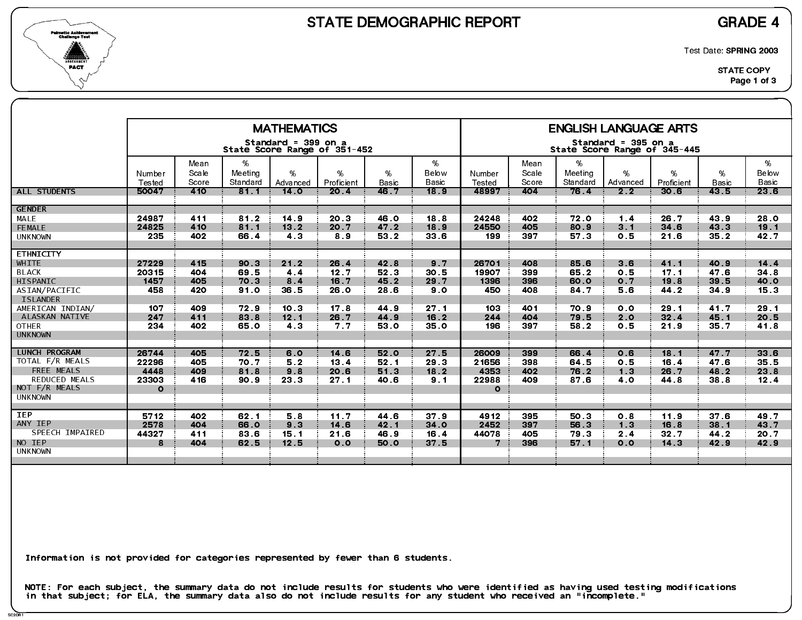



Test Date: SPRING 2003

|                                                                                                                                                                   |                                                    |                                               |                                                      | <b>MATHEMATICS</b>                                                                 |                                                     |                                                      |                                                    |                                                    |                                               |                                                      | <b>ENGLISH LANGUAGE ARTS</b>                        |                                                      |                                                      |                                                     |
|-------------------------------------------------------------------------------------------------------------------------------------------------------------------|----------------------------------------------------|-----------------------------------------------|------------------------------------------------------|------------------------------------------------------------------------------------|-----------------------------------------------------|------------------------------------------------------|----------------------------------------------------|----------------------------------------------------|-----------------------------------------------|------------------------------------------------------|-----------------------------------------------------|------------------------------------------------------|------------------------------------------------------|-----------------------------------------------------|
|                                                                                                                                                                   |                                                    |                                               |                                                      | Standard = 399 on a                                                                | State Score Range of 351-452                        |                                                      |                                                    |                                                    |                                               |                                                      | Standard = 395 on a<br>State Score Range of 345-445 |                                                      |                                                      |                                                     |
|                                                                                                                                                                   | Number<br>Tested                                   | Mean<br>Scale<br>Score                        | %<br>Meeting<br>Standard                             | %<br>Advanced                                                                      | %<br>Proficient                                     | %<br><b>Basic</b>                                    | %<br>Below<br>Basic                                | Number<br>Tested                                   | Mean<br>Scale<br>Score                        | %<br>Meeting<br>Standard                             | %<br>Advanced                                       | %<br>Proficient                                      | %<br>Basic                                           | %<br>Below<br>Basic                                 |
| ALL STUDENTS                                                                                                                                                      | 50047                                              | 410                                           | 81.1                                                 | 14.0                                                                               | 20.4                                                | 46.7                                                 | 18.9                                               | 48997                                              | 404                                           | 76.4                                                 | 2 <sub>2</sub>                                      | 30.6                                                 | 43,5                                                 | 236                                                 |
| <b>GENDER</b><br>MALE<br>FEMALE<br><b>UNKNOWN</b>                                                                                                                 | 24987<br>24825<br>235                              | 411<br>410<br>402                             | 81.2<br>81.1<br>66.4                                 | 14.9<br>13.2<br>4 3                                                                | 20 <sub>3</sub><br>20.7<br>89                       | 46.0<br>47.2<br>53 2                                 | 18.8<br>18.9<br>33 6                               | 24248<br>24550<br>199                              | 402<br>405<br>397                             | 72 0<br>80.9<br>57.3                                 | 1 <sub>4</sub><br>$3 \quad 1$<br>0.5                | 26.7<br>34 6<br>21.6                                 | 43.9<br>43.3<br>35 <sub>2</sub>                      | 28.0<br>19.1<br>42.7                                |
| <b>ETHNICITY</b><br>WHITE<br><b>BLACK</b><br>HISPANIC<br>ASIAN/PACIFIC<br><b>ISLANDER</b><br>AMERICAN INDIAN/<br>ALASKAN NATIVE<br><b>OTHER</b><br><b>UNKNOWN</b> | 27229<br>20315<br>1457<br>458<br>107<br>247<br>234 | 415<br>404<br>405<br>420<br>409<br>411<br>402 | 90.3<br>69.5<br>70.3<br>91.0<br>72.9<br>83.8<br>65.0 | 21.2<br>4 <sub>4</sub><br>8.4<br>36.5<br>10 <sub>3</sub><br>12.1<br>4 <sub>3</sub> | 26.4<br>12.7<br>16.7<br>26.0<br>17.8<br>26.7<br>7.7 | 42.8<br>52 3<br>45.2<br>28.6<br>44.9<br>44.9<br>53 0 | 9.7<br>30.5<br>29.7<br>9.0<br>27.1<br>16.2<br>35.0 | 26701<br>19907<br>1396<br>450<br>103<br>244<br>196 | 408<br>399<br>396<br>408<br>401<br>404<br>397 | 85.6<br>65.2<br>60.0<br>84.7<br>70 9<br>79.5<br>58.2 | 3.6<br>0.5<br>0.7<br>5.6<br>0.0<br>2.0<br>0.5       | 41.1<br>17.1<br>19.8<br>44.2<br>29.1<br>32.4<br>21.9 | 40.9<br>47.6<br>39.5<br>34.9<br>41.7<br>45.1<br>35.7 | 14.4<br>34.8<br>40.0<br>15.3<br>29.1<br>20.5<br>418 |
| <b>LUNCH PROGRAM</b><br>TOTAL F/R MEALS<br>FREE MEALS<br><b>REDUCED MEALS</b><br>NOT F/R MEALS<br><b>UNKNOWN</b>                                                  | 26744<br>22296<br>4448<br>23303<br>$\Omega$        | 405<br>405<br>409<br>416                      | 72.5<br>70.7<br>81.8<br>90.9                         | 6.0<br>5.2<br>9.8<br>23.3                                                          | 14 6<br>13.4<br>20.6<br>27.1                        | 52.0<br>52.1<br>51.3<br>40.6                         | 27.5<br>29 3<br>18.2<br>9.1                        | 26009<br>21656<br>4353<br>22988<br>$\mathbf{o}$    | 399<br>398<br>402<br>409                      | 66.4<br>64 5<br>76.2<br>87.6                         | 0.6<br>0.5<br>1.3<br>40                             | 18.1<br>16.4<br>26.7<br>44.8                         | 47.7<br>47.6<br>48.2<br>38.8                         | 33 <sub>6</sub><br>35.5<br>23.8<br>12.4             |
| <b>IEP</b><br>ANY IEP<br>SPEECH IMPAIRED<br>NO IEP<br><b>UNKNOWN</b>                                                                                              | 5712<br>2578<br>44327<br>8                         | 402<br>404<br>411<br>404                      | 62.1<br>66.0<br>83 6<br>62.5                         | 5.8<br>9 <sub>3</sub><br>15.1<br>12.5                                              | 11.7<br>14.6<br>21.6<br>0.0                         | 44.6<br>42.1<br>46.9<br>50.0                         | 37.9<br>34.0<br>16.4<br>37.5                       | 4912<br>2452<br>44078<br>7                         | 395<br>397<br>405<br>396                      | 50 3<br>56.3<br>79.3<br>57.1                         | 0.8<br>1 <sub>3</sub><br>2.4<br>0.0                 | 11.9<br>16.8<br>32.7<br>14.3                         | 37 <sub>6</sub><br>38.1<br>44.2<br>42.9              | 49.7<br>43 7<br>20.7<br>42.9                        |

Information is not provided for categories represented by fewer than 6 students.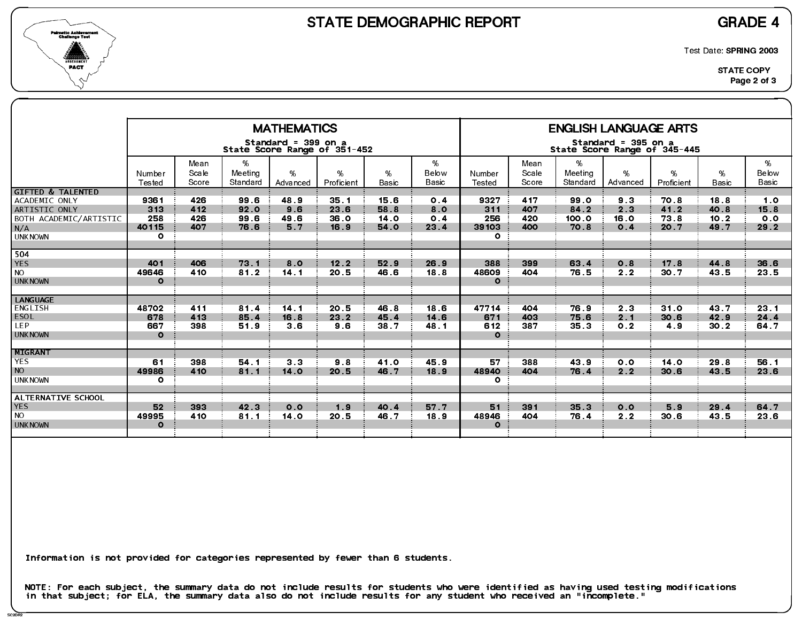



Test Date: SPRING 2003

|                                                                                                                   |                                        |                          |                              | <b>MATHEMATICS</b>             |                                |                              |                           |                                             |                          |                                 | <b>ENGLISH LANGUAGE ARTS</b>                        |                              |                              |                            |
|-------------------------------------------------------------------------------------------------------------------|----------------------------------------|--------------------------|------------------------------|--------------------------------|--------------------------------|------------------------------|---------------------------|---------------------------------------------|--------------------------|---------------------------------|-----------------------------------------------------|------------------------------|------------------------------|----------------------------|
|                                                                                                                   |                                        |                          |                              | Standard = 399 on a            | State Score Range of 351-452   |                              |                           |                                             |                          |                                 | Standard = 395 on a<br>State Score Range of 345-445 |                              |                              |                            |
|                                                                                                                   | Number<br>Tested                       | Mean<br>Scale<br>Score   | %<br>Meeting<br>Standard     | $\%$<br>Advanced               | %<br>Proficient                | %<br><b>Basic</b>            | %<br>Below<br>Basic       | Number<br>Tested                            | Mean<br>Scale<br>Score   | %<br>Meeting<br>Standard        | %<br>Advanced                                       | %<br>Proficient              | %<br><b>Basic</b>            | %<br>Below<br><b>Basic</b> |
| <b>GIFTED &amp; TALENTED</b><br>ACADEMIC ONLY<br>ARTISTIC ONLY<br>BOTH ACADEMIC/ARTISTIC<br>N/A<br><b>UNKNOWN</b> | 9361<br>313<br>258<br>40115<br>$\circ$ | 426<br>412<br>426<br>407 | 99.6<br>92.0<br>99.6<br>76.6 | 48.9<br>9.6<br>49.6<br>5.7     | 35.1<br>23.6<br>36.0<br>16.9   | 15.6<br>58.8<br>14.0<br>54.0 | 0.4<br>8.0<br>0.4<br>23.4 | 9327<br>311<br>256<br>39103<br>$\mathbf{o}$ | 417<br>407<br>420<br>400 | 99 0<br>84.2<br>100.0<br>70 8   | 9 <sub>3</sub><br>2.3<br>16.0<br>0.4                | 70.8<br>41.2<br>73.8<br>20.7 | 18.8<br>40.8<br>10.2<br>49.7 | 1.0<br>15.8<br>0.0<br>29.2 |
| 504<br><b>YES</b><br><b>NO</b><br><b>UNKNOWN</b>                                                                  | 401<br>49646<br>$\mathbf{o}$           | 406<br>410               | 73.1<br>812                  | 8.0<br>14.1                    | 12.2<br>20.5                   | 52.9<br>46 6                 | 26.9<br>18.8              | 388<br>48609<br>$\mathbf{o}$                | 399<br>404               | 63 4<br>76.5                    | 0.8<br>2 <sub>2</sub>                               | 17.8<br>30.7                 | 44.8<br>43.5                 | 36.6<br>23.5               |
| <b>LANGUAGE</b><br>ENGLISH<br><b>ESOL</b><br>LEP.<br><b>UNKNOWN</b>                                               | 48702<br>678<br>667<br>$\Omega$        | 411<br>413<br>398        | 81.4<br>85.4<br>51.9         | 14.1<br>16.8<br>3 <sub>6</sub> | 20.5<br>23 <sub>2</sub><br>9.6 | 46.8<br>45.4<br>38.7         | 18.6<br>14.6<br>48.1      | 47714<br>671<br>612<br>$\Omega$             | 404<br>403<br>387        | 76.9<br>75.6<br>35 <sub>3</sub> | 2 <sub>3</sub><br>2.1<br>0.2                        | 31.0<br>30.6<br>4.9          | 43.7<br>42.9<br>30.2         | 23.1<br>24.4<br>64.7       |
| <b>MIGRANT</b><br><b>YES</b><br><b>NO</b><br><b>UNKNOWN</b>                                                       | 61<br>49986<br>$\circ$                 | 398<br>410               | 54 1<br>81.1                 | 3 <sub>3</sub><br>14.0         | 9.8<br>20.5                    | 41.0<br>46.7                 | 45.9<br>18.9              | 57<br>48940<br>$\mathbf{o}$                 | 388<br>404               | 43 9<br>76.4                    | 0.0<br>2.2                                          | 14.0<br>30.6                 | 29.8<br>43.5                 | 56.1<br>23 6               |
| ALTERNATIVE SCHOOL<br><b>YES</b><br><b>NO</b><br><b>UNKNOWN</b>                                                   | 52<br>49995<br>$\Omega$                | 393<br>410               | 42.3<br>81.1                 | 0.0<br>14.0                    | 1.9<br>20.5                    | 40.4<br>46.7                 | 57.7<br>18.9              | 51<br>48946<br>$\Omega$                     | 391<br>404               | 35.3<br>76.4                    | 0.0<br>2.2                                          | 5.9<br>30.6                  | 29.4<br>43.5                 | 64.7<br>23 6               |

Information is not provided for categories represented by fewer than 6 students.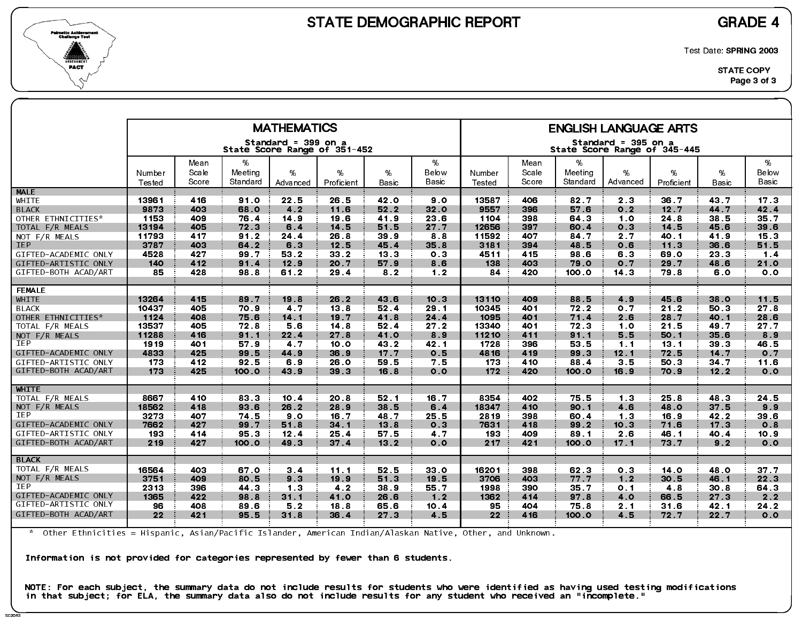



Test Date: SPRING 2003

|                      |                  |               |              | <b>MATHEMATICS</b>                                  |                 |                 |                |                  |               |              | <b>ENGLISH LANGUAGE ARTS</b>                        |            |                 |                 |
|----------------------|------------------|---------------|--------------|-----------------------------------------------------|-----------------|-----------------|----------------|------------------|---------------|--------------|-----------------------------------------------------|------------|-----------------|-----------------|
|                      |                  |               |              | Standard = 399 on a<br>State Score Range of 351-452 |                 |                 |                |                  |               |              | Standard = 395 on a<br>State Score Range of 345-445 |            |                 |                 |
|                      |                  | Mean<br>Scale | %<br>Meeting | %                                                   | %               | %               | %<br>Below     |                  | Mean<br>Scale | %<br>Meeting | %                                                   | %          | %               | %<br>Below      |
|                      | Number<br>Tested | Score         | Standard     | Advanced                                            | Proficient      | Basic           | Basic          | Number<br>Tested | Score         | Standard     | Advanced                                            | Proficient | Basic           | Basic           |
| <b>MALE</b>          |                  |               |              |                                                     |                 |                 |                |                  |               |              |                                                     |            |                 |                 |
| WHITE                | 13961            | 416           | 91.0         | 22.5                                                | 26.5            | <b>42.0</b>     | 90             | 13587            | 406           | 82.7         | 2 <sub>3</sub>                                      | 36.7       | 43.7            | 17.3            |
| <b>BLACK</b>         | 9873             | 403           | 68.0         | 4.2                                                 | 11.6            | 52.2            | 32.0           | 9557             | 396           | 57.6         | 0.2                                                 | 12.7       | 44 7            | 42.4            |
| OTHER ETHNICITIES*   | 1153             | 409           | 76.4         | 14 9                                                | 19.6            | 419             | 23 6           | 1104             | 398           | 64.3         | 1.0                                                 | 24.8       | 38.5            | 35.7            |
| TOTAL F/R MEALS      | 13194            | 405           | 72.3         | 6.4                                                 | 14.5            | 51.5            | 27.7           | 12656            | 397           | 60.4         | 0.3                                                 | 14.5       | 45.6            | 39 6            |
| NOT F/R MEALS        | 11793            | 417           | 91.2         | 24.4                                                | 26.8            | 39 9            | 88             | 11592            | 407           | 84 7         | 2.7                                                 | 40.1       | 41.9            | 15 <sub>3</sub> |
| <b>IEP</b>           | 3787             | 403           | 64.2         | 6.3                                                 | 12.5            | 45.4            | 35.8           | 3181             | 394           | 48.5         | 0.6                                                 | 11.3       | 36.6            | 51.5            |
| GIFTED-ACADEMIC ONLY | 4528             | 427           | 99.7         | 53.2                                                | 33.2            | 13.3            | 0 <sub>3</sub> | 4511             | 415           | 98 6         | 6.3                                                 | 69.0       | 23.3            | $1.4$           |
| GIFTED-ARTISTIC ONLY | 140              | 412           | 91.4         | 12.9                                                | 20.7            | 57.9            | 8.6            | 138              | 403           | 79.0         | 0.7                                                 | 29.7       | 48.6            | 21.0            |
| GIFTED-BOTH ACAD/ART | 85               | 428           | 98.8         | 61.2                                                | 29.4            | 82              | 1.2            | 84               | 420           | 100.0        | 14.3                                                | 79.8       | 6.0             | 0.0             |
| <b>FEMALE</b>        |                  |               |              |                                                     |                 |                 |                |                  |               |              |                                                     |            |                 |                 |
| <b>WHITE</b>         | 13264            | 415           | 89 7         | 19.8                                                | 26.2            | 43.6            | 10.3           | 13110            | 409           | 88.5         | 4.9                                                 | 45.6       | 38.0            | 11.5            |
| <b>BLACK</b>         | 10437            | 405           | 70.9         | 4 <sub>7</sub>                                      | 13.8            | 52.4            | 29.1           | 10345            | 401           | 72.2         | 0.7                                                 | 21.2       | 50.3            | 27.8            |
| OTHER ETHNICITIES*   | 1124             | 408           | 75.6         | 14.1                                                | 19.7            | 41.8            | 24.4           | 1095             | 401           | 71.4         | 2.6                                                 | 28.7       | 40.1            | 28.6            |
| TOTAL F/R MEALS      | 13537            | 405           | 72.8         | 5.6                                                 | 14.8            | 52.4            | 27.2           | 13340            | 401           | 72.3         | 10                                                  | 21.5       | 49.7            | 27.7            |
| NOT $F/R$ MEALS      | 11288            | 416           | 91.1         | 22.4                                                | 27.8            | 41.0            | 8.9            | 11210            | 411           | 91.1         | 5.5                                                 | 50.1       | 35.6            | 8.9             |
| <b>IEP</b>           | 1919             | 401           | 57.9         | 4.7                                                 | 10.0            | 43 2            | 42.1           | 1728             | 396           | 53.5         | $1 \quad 1$                                         | 13.1       | 39 <sub>3</sub> | 46.5            |
| GIFTED-ACADEMIC ONLY | 4833             | 425           | 99.5         | 44.9                                                | 36.9            | 17.7            | 0.5            | 4816             | 419           | 99.3         | 12.1                                                | 72.5       | 14.7            | 0.7             |
| GIFTED-ARTISTIC ONLY | 173              | 412           | 92.5         | 6.9                                                 | 26.0            | 59.5            | 7.5            | 173              | 410           | 88 4         | 3 <sub>5</sub>                                      | 50.3       | 34 7            | 11.6            |
| GIFTED-BOTH ACAD/ART | 173              | 425           | 100.0        | 43.9                                                | 39.3            | 16.8            | 0.0            | 172              | 420           | 100.0        | 16.9                                                | 70.9       | 12.2            | 0.0             |
| <b>WHITE</b>         |                  |               |              |                                                     |                 |                 |                |                  |               |              |                                                     |            |                 |                 |
| TOTAL F/R MEALS      | 8667             | 410           | 83 3         | 10.4                                                | 20.8            | 52.1            | 16.7           | 8354             | 402           | 75.5         | 1 <sub>3</sub>                                      | 25.8       | 48.3            | 24 5            |
| NOT F/R MEALS        | 18562            | 418           | 93.6         | 26.2                                                | 28.9            | 38 5            | 6.4            | 18347            | 410           | 90.1         | 4.6                                                 | 48 O       | 37.5            | 9.9             |
| IEP                  | 3273             | 407           | 74.5         | 9.0                                                 | 16.7            | 48.7            | 25 5           | 2819             | 398           | 60.4         | 1.3                                                 | 16.9       | 42.2            | 39 6            |
| GIFTED-ACADEMIC ONLY | 7662             | 427           | 99.7         | 51.8                                                | 34 <sub>1</sub> | 13.8            | 0 <sub>3</sub> | 7631             | 418           | 99.2         | 10.3                                                | 71.6       | 17.3            | 0.8             |
| GIFTED-ARTISTIC ONLY | 193              | 414           | 95.3         | 12.4                                                | 25.4            | 57.5            | 4.7            | 193              | 409           | 89 1         | 2.6                                                 | 46.1       | 40.4            | 10.9            |
| GIFTED-BOTH ACAD/ART | 219              | 427           | 100.0        | 49.3                                                | 37 <sub>4</sub> | $132$           | 0.0            | 217              | 421           | 100.0        | 17.1                                                | 73.7       | 9.2             | 0.0             |
| <b>BLACK</b>         |                  |               |              |                                                     |                 |                 |                |                  |               |              |                                                     |            |                 |                 |
| TOTAL F/R MEALS      | 16564            | 403           | 67.0         | 3.4                                                 | 11.1            | 52.5            | 33 0           | 16201            | 398           | 62.3         | 0.3                                                 | 14.0       | 48.0            | 37 <sub>7</sub> |
| NOT F/R MEALS        | 3751             | 409           | 80.5         | 9 <sub>3</sub>                                      | 19.9            | 51.3            | 19.5           | 3706             | 403           | 77.7         | 1.2                                                 | 30.5       | 46.1            | 22.3            |
| <b>IEP</b>           | 2313             | 396           | 44 3         | 1 <sub>3</sub>                                      | 42              | 38 9            | 55.7           | 1998             | 390           | 35.7         | 0.1                                                 | 4.8        | 30.8            | 64 3            |
| GIFTED-ACADEMIC ONLY | 1365             | 422           | 98.8         | 31.1                                                | 41.0            | 26.6            | $1.2$          | 1362             | 414           | 97.8         | 4.0                                                 | 66.5       | 27.3            | 2.2             |
| GIFTED-ARTISTIC ONLY | 96               | 408           | 89.6         | 5.2                                                 | 18.8            | 65.6            | 10.4           | 95.              | 404           | 75.8         | 2 <sub>1</sub>                                      | 31.6       | 42.1            | 24 2            |
| GIFTED-BOTH ACAD/ART | 22 <sub>2</sub>  | 421           | 95 5         | 31.8                                                | 36.4            | 27 <sub>3</sub> | 4.5            | 22 <sub>2</sub>  | 416           | 100.0        | 4.5                                                 | 72.7       | 22.7            | 0.0             |
|                      |                  |               |              |                                                     |                 |                 |                |                  |               |              |                                                     |            |                 |                 |

\* Other Ethnicities = Hispanic, Asian/Pacific Islander, American Indian/Alaskan Native, Other, and Unknown.

Information is not provided for categories represented by fewer than 6 students.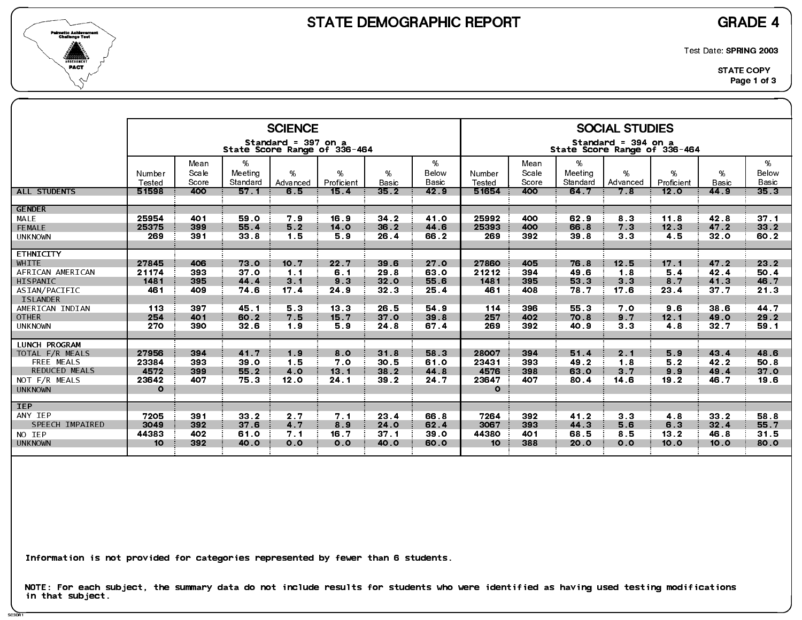

SC3DR1

Test Date: SPRING 2003

|                                         |                 |               |                  | <b>SCIENCE</b>      |                              |                 |               |                        |               |                  | <b>SOCIAL STUDIES</b>                               |                    |                      |                          |
|-----------------------------------------|-----------------|---------------|------------------|---------------------|------------------------------|-----------------|---------------|------------------------|---------------|------------------|-----------------------------------------------------|--------------------|----------------------|--------------------------|
|                                         |                 |               |                  | Standard = 397 on a | State Score Range of 336-464 |                 |               |                        |               |                  | Standard = 394 on a<br>State Score Range of 336-464 |                    |                      |                          |
|                                         | Number          | Mean<br>Scale | %<br>Meeting     | %                   | %                            | %               | %<br>Below    | Number                 | Mean<br>Scale | $\%$<br>Meeting  | %                                                   | %                  | %                    | %<br>Below               |
| <b>ALL STUDENTS</b>                     | Tested<br>51598 | Score<br>400  | Standard<br>57.1 | Advanced<br>6.5     | Proficient<br>15.4           | Basic<br>35.2   | Basic<br>42.9 | <b>Tested</b><br>51654 | Score<br>400  | Standard<br>64 7 | Advanced<br>7.8                                     | Proficient<br>12.0 | <b>Basic</b><br>44.9 | Basic<br>35 <sub>3</sub> |
| <b>GENDER</b>                           |                 |               |                  |                     |                              |                 |               |                        |               |                  |                                                     |                    |                      |                          |
| MALE                                    | 25954           | 401           | 59.0             | 7.9                 | 16.9                         | $34.2$          | 41.0          | 25992                  | 400           | 62 9             | 83                                                  | 11.8               | 42.8                 | 37.1                     |
| FEMALE                                  | 25375           | 399           | 55.4             | 5.2                 | 14 <sub>o</sub>              | 36.2            | 44.6          | 25393                  | 400           | 66.8             | 7.3                                                 | 12.3               | 47.2                 | 33 2                     |
| <b>UNKNOWN</b>                          | 269             | 391           | 33.8             | 1.5                 | 5.9                          | 26.4            | 66.2          | 269                    | 392           | 39 8             | 3 <sub>3</sub>                                      | 4.5                | 32.0                 | 60.2                     |
| <b>ETHNICITY</b>                        |                 |               |                  |                     |                              |                 |               |                        |               |                  |                                                     |                    |                      |                          |
| <b>WHITE</b>                            | 27845           | 406           | 73.0             | 10.7                | 22.7                         | 39 6            | 27.0          | 27860                  | 405           | 76.8             | 12.5                                                | 17.1               | 47.2                 | 23 2                     |
| AFRICAN AMERICAN                        | 21174           | 393           | 37.0             | 1.1                 | 6.1                          | 29 8            | 63.0          | 21212                  | 394           | 49.6             | 1.8                                                 | 5.4                | 42.4                 | 50.4                     |
| HISPANIC                                | 1481            | 395           | 44 4             | 3.1                 | 9.3                          | 32.0            | 55.6          | 1481                   | 395           | 53.3             | 3.3                                                 | 8 <sub>7</sub>     | 41.3                 | 46.7                     |
| ASIAN/PACIFIC                           | 461             | 409           | 746              | 17.4                | 24 9                         | 32 <sub>3</sub> | 25.4          | 461                    | 408           | 78.7             | 17 <sub>6</sub>                                     | 23 4               | 37.7                 | 21.3                     |
| <b>ISLANDER</b><br>AMERICAN INDIAN      | 113             | 397           | 45.1             | 53                  | 13.3                         | 26.5            | 54 9          | 114                    | 396           | 55.3             | 7.0                                                 | 9.6                | 38.6                 | 44.7                     |
| <b>OTHER</b>                            | 254             | 401           | 60.2             | 7.5                 | 15.7                         | 37 <sub>o</sub> | 39.8          | 257                    | 402           | 70.8             | 9.7                                                 | 12.1               | 49.0                 | 29.2                     |
| <b>UNKNOWN</b>                          | 270             | 390           | 32.6             | 1.9                 | 5.9                          | 24 8            | 67.4          | 269                    | 392           | 40.9             | 3 <sub>3</sub>                                      | 4.8                | 32.7                 | 59.1                     |
|                                         |                 |               |                  |                     |                              |                 |               |                        |               |                  |                                                     |                    |                      |                          |
| <b>LUNCH PROGRAM</b><br>TOTAL F/R MEALS | 27956           | 394           | 41.7             | 1.9                 | 8.0                          | 31.8            | 58.3          | 28007                  | 394           | 51.4             | 2.1                                                 | 5.9                | 43.4                 | 48 6                     |
| FREE MEALS                              | 23384           | 393           | 39.0             | 1.5                 | 7.0                          | 30.5            | 61.0          | 23431                  | 393           | 49.2             | 1.8                                                 | 5.2                | 42.2                 | 50.8                     |
| <b>REDUCED MEALS</b>                    | 4572            | 399           | 55.2             | 4.0                 | 13 <sub>1</sub>              | 38.2            | 44.8          | 4576                   | 398           | 63 0             | 3 <sub>7</sub>                                      | 9.9                | 49.4                 | 37.0                     |
| NOT F/R MEALS                           | 23642           | 407           | 75.3             | 12.0                | 24 <sub>1</sub>              | 39 2            | 24.7          | 23647                  | 407           | 80.4             | 14 6                                                | 19.2               | 46.7                 | 19.6                     |
| <b>UNKNOWN</b>                          | $\circ$         |               |                  |                     |                              |                 |               | $\mathbf{o}$           |               |                  |                                                     |                    |                      |                          |
| <b>IEP</b>                              |                 |               |                  |                     |                              |                 |               |                        |               |                  |                                                     |                    |                      |                          |
| ANY IEP                                 | 7205            | 391           | 33.2             | 2 <sub>7</sub>      | 7.1                          | 23 4            | 66.8          | 7264                   | 392           | 41.2             | 3 <sub>3</sub>                                      | 4.8                | $332$                | 58.8                     |
| SPEECH IMPAIRED                         | 3049            | 392           | 37.6             | 4.7                 | 8.9                          | 24.0            | 62.4          | 3067                   | 393           | 44.3             | 5.6                                                 | 6.3                | 32.4                 | 55.7                     |
| NO IEP                                  | 44383           | 402           | 61.0             | 7.1                 | 16.7                         | 37.1            | 39 O          | 44380                  | 401           | 68.5             | 85                                                  | 13 <sub>2</sub>    | 46.8                 | 31.5                     |
| <b>UNKNOWN</b>                          | 10 <sup>°</sup> | 392           | 40.0             | 0.0                 | 0.0                          | 40.0            | 60.0          | 10 <sup>°</sup>        | 388           | 20.0             | 0.0                                                 | 10.0               | 10.0                 | 80.0                     |
|                                         |                 |               |                  |                     |                              |                 |               |                        |               |                  |                                                     |                    |                      |                          |

Information is not provided for categories represented by fewer than 6 students.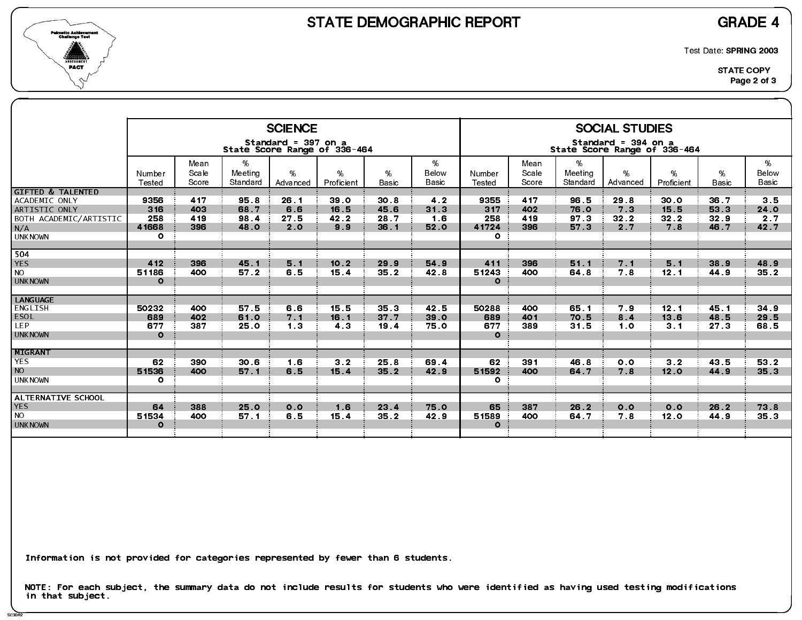

SC3DR2

Test Date: SPRING 2003

|                                                                                                                   |                                        |                          |                              | <b>SCIENCE</b>                                      |                                        |                                         |                            |                                         |                          |                                         | <b>SOCIAL STUDIES</b>                 |                                |                              |                            |
|-------------------------------------------------------------------------------------------------------------------|----------------------------------------|--------------------------|------------------------------|-----------------------------------------------------|----------------------------------------|-----------------------------------------|----------------------------|-----------------------------------------|--------------------------|-----------------------------------------|---------------------------------------|--------------------------------|------------------------------|----------------------------|
|                                                                                                                   |                                        |                          |                              | Standard = 397 on a<br>State Score Range of 336-464 |                                        |                                         |                            |                                         |                          | State Score Range of 336-464            | Standard = 394 on a                   |                                |                              |                            |
|                                                                                                                   | Number<br>Tested                       | Mean<br>Scale<br>Score   | %<br>Meeting<br>Standard     | $\%$<br>Advanced                                    | %<br>Proficient                        | %<br><b>Basic</b>                       | %<br>Below<br>Basic        | Number<br><b>Tested</b>                 | Mean<br>Scale<br>Score   | %<br>Meeting<br>Standard                | %<br>Advanced                         | %<br>Proficient                | %<br><b>Basic</b>            | %<br>Below<br><b>Basic</b> |
| <b>GIFTED &amp; TALENTED</b><br>ACADEMIC ONLY<br>ARTISTIC ONLY<br>BOTH ACADEMIC/ARTISTIC<br>N/A<br><b>UNKNOWN</b> | 9356<br>316<br>258<br>41668<br>$\circ$ | 417<br>403<br>419<br>396 | 95.8<br>68.7<br>98.4<br>48.0 | 26.1<br>6.6<br>27.5<br>2.0                          | 39 <sub>o</sub><br>16.5<br>42.2<br>9.9 | 30 <sub>8</sub><br>45.6<br>28.7<br>36.1 | 4.2<br>31.3<br>1.6<br>52.0 | 9355<br>317<br>258<br>41724<br>$\Omega$ | 417<br>402<br>419<br>396 | 96.5<br>76.0<br>97 <sub>3</sub><br>57.3 | 29.8<br>7 <sub>3</sub><br>32.2<br>2.7 | 30.0<br>15.5<br>32.2<br>7.8    | 36.7<br>53.3<br>32.9<br>46.7 | 3.5<br>24.0<br>2.7<br>42 7 |
| 504<br><b>YES</b><br><b>NO</b><br><b>UNKNOWN</b>                                                                  | 412<br>51186<br>$\circ$                | 396<br>400               | 45.1<br>57.2                 | 5.1<br>6.5                                          | 10.2<br>15.4                           | 29.9<br>35.2                            | 54 9<br>42.8               | 411<br>51243<br>$\mathbf{o}$            | 396<br>400               | 51.1<br>64 8                            | 7 <sub>1</sub><br>7.8                 | 5.1<br>12.1                    | 38.9<br>44.9                 | 48.9<br>35.2               |
| <b>LANGUAGE</b><br>ENGLISH<br><b>ESOL</b><br><b>LEP</b><br><b>UNKNOWN</b>                                         | 50232<br>689<br>677<br>$\Omega$        | 400<br>402<br>387        | 57.5<br>61.0<br>25.0         | 6.6<br>7.1<br>1 <sub>3</sub>                        | 15.5<br>16.1<br>4 <sub>3</sub>         | 35.3<br>37.7<br>19.4                    | 42.5<br>39.0<br>75.0       | 50288<br>689<br>677<br>$\Omega$         | 400<br>401<br>389        | 65.1<br>70.5<br>31.5                    | 7.9<br>8 <sub>4</sub><br>1.0          | 12.1<br>13.6<br>3 <sub>1</sub> | 45.1<br>48.5<br>27.3         | 34.9<br>29 5<br>68.5       |
| <b>MIGRANT</b><br><b>YES</b><br><b>NO</b><br><b>UNKNOWN</b>                                                       | 62<br>51536<br>$\circ$                 | 390<br>400               | 30.6<br>57.1                 | 1.6<br>6.5                                          | 3 <sub>2</sub><br>15.4                 | 25.8<br>35.2                            | 69.4<br>42.9               | 62<br>51592<br>$\mathbf{o}$             | 391<br>400               | 46.8<br>64 7                            | 0.0<br>7.8                            | 3 <sub>2</sub><br>12.0         | 43.5<br>44.9                 | 53.2<br>35.3               |
| ALTERNATIVE SCHOOL<br><b>YES</b><br><b>NO</b><br><b>UNKNOWN</b>                                                   | 64<br>51534<br>$\Omega$                | 388<br>400               | 25.0<br>57.1                 | 0.0<br>6.5                                          | 1.6<br>15.4                            | 23.4<br>35.2                            | 75.0<br>42.9               | 65<br>51589<br>$\Omega$                 | 387<br>400               | 26.2<br>64.7                            | 0.0<br>7.8                            | 0.0<br>12.0                    | 26.2<br>44.9                 | 73 8<br>35 <sub>3</sub>    |

Information is not provided for categories represented by fewer than 6 students.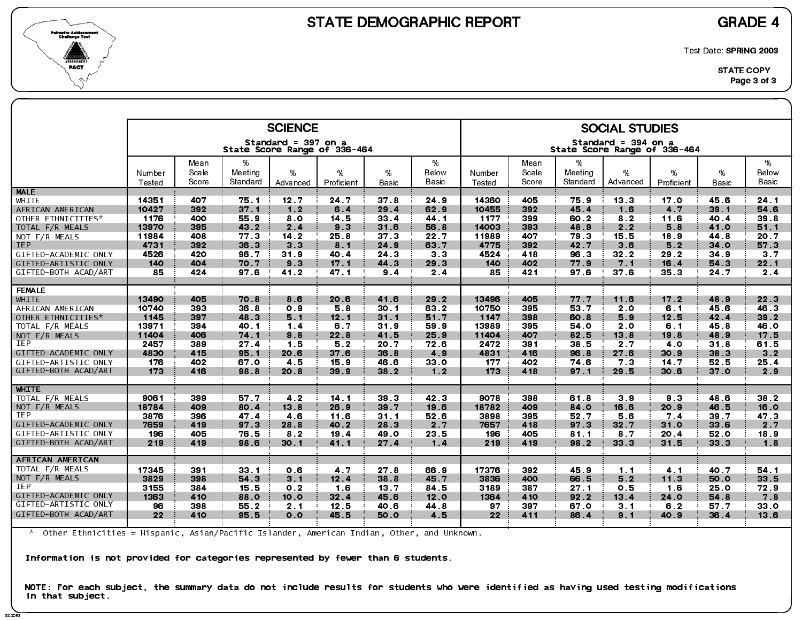

SC3DR3

Test Date: SPRING 2003

|                      |                   |       |                 | <b>SCIENCE</b><br>Standard = 397 on a |                 |                 |                |                 |       |                 | <b>SOCIAL STUDIES</b><br>Standard = 394 on a |                |              |                |
|----------------------|-------------------|-------|-----------------|---------------------------------------|-----------------|-----------------|----------------|-----------------|-------|-----------------|----------------------------------------------|----------------|--------------|----------------|
|                      |                   |       |                 | State Score Range of 336-464          |                 |                 |                |                 |       |                 | State Score Range of 336-464                 |                |              |                |
|                      |                   | Mean  | %               |                                       |                 |                 | %              |                 | Mean  | %               |                                              |                |              | %              |
|                      | Number            | Scale | Meeting         | %                                     | %               | %               | Below          | Number          | Scale | Meeting         | %                                            | %              | %            | Below          |
|                      | Tested            | Score | Standard        | Advanced                              | Proficient      | <b>Basic</b>    | Basic          | Tested          | Score | Standard        | Advanced                                     | Proficient     | <b>Basic</b> | Basic          |
| <b>MALE</b>          |                   |       |                 |                                       |                 |                 |                |                 |       |                 |                                              |                |              |                |
| WHITE                | 14351             | 407   | 75.1            | 12.7                                  | 24 7            | 37 <sub>8</sub> | 24 9           | 14360           | 405   | 75.9            | 13.3                                         | 17.0           | 45.6         | 24.1           |
| AFRICAN AMERICAN     | 10427             | 392   | 37.1            | 1.2                                   | 6.4             | 29.4            | 62.9           | 10455           | 392   | 45.4            | 1.6                                          | 4 7            | 39.1         | 54.6           |
| OTHER ETHNICITIES*   | 1176              | 400   | 55.9            | 8.0                                   | 14.5            | 33.4            | 44 1           | 1177            | 399   | 60.2            | 82                                           | 11.6           | 40.4         | 39.8           |
| TOTAL F/R MEALS      | 13970             | 395   | 43.2            | 2.4                                   | 9 <sub>3</sub>  | 31.6            | 56.8           | 14003           | 393   | 48.9            | 2.2                                          | 5.8            | 41.0         | 51.1           |
| NOT F/R MEALS        | 11984             | 408   | 77 3            | 14.2                                  | 25.8            | 37 <sub>3</sub> | 22.7           | 11989           | 407   | 793             | 15.5                                         | 18.9           | 44.8         | 20.7           |
| <b>IEP</b>           | 4731              | 392   | 36.3            | 3 <sub>3</sub>                        | 8.1             | 24.9            | 63 7           | 4775            | 392   | 42.7            | 3.6                                          | 5.2            | 34.0         | 57 3           |
| GIFTED-ACADEMIC ONLY | 4526              | 420   | 96.7            | 31.9                                  | 40.4            | 24 3            | 3 <sub>3</sub> | 4524            | 418   | 96.3            | $32.2$                                       | 29.2           | 34 9         | 3 <sub>7</sub> |
| GIFTED-ARTISTIC ONLY | 140               | 404   | 70.7            | 9.3                                   | 17 <sub>1</sub> | 44 3            | 29.3           | 140             | 402   | 77.9            | 7.1                                          | 16.4           | 54 3         | 22.1           |
| GIFTED-BOTH ACAD/ART | 85                | 424   | 97.6            | 41.2                                  | 47.1            | 9 <sub>4</sub>  | 2.4            | 85              | 421   | 97 6            | 37 <sub>6</sub>                              | 35.3           | 24.7         | 2.4            |
| <b>FEMALE</b>        |                   |       |                 |                                       |                 |                 |                |                 |       |                 |                                              |                |              |                |
| WHITE                | 13490             | 405   | 70.8            | 8.6                                   | 20.6            | 41.6            | 29.2           | 13496           | 405   | 77.7            | 11.6                                         | 17.2           | 48.9         | 22.3           |
| AFRICAN AMERICAN     | 10740             | 393   | 36.8            | 0.9                                   | 58              | 30.1            | 63.2           | 10750           | 395   | 53 7            | 2.0                                          | 6.1            | 45.6         | 46.3           |
| OTHER ETHNICITIES*   | 1145              | 397   | 48.3            | 5.1                                   | 12.1            | 31.1            | 51.7           | 1147            | 398   | 60.8            | 59                                           | 12.5           | 42.4         | 39 2           |
| TOTAL F/R MEALS      | 13971             | 394   | 40.1            | 1.4                                   | 6.7             | 31.9            | 59.9           | 13989           | 395   | 54 0            | 2.0                                          | 6.1            | 45 8         | 46.0           |
| NOT F/R MEALS        | 11404             | 406   | 74 1            | 9.8                                   | 22.8            | 41.5            | 25.9           | 11404           | 407   | 82.5            | 13.8                                         | 19.8           | 48.9         | 17.5           |
| <b>IEP</b>           | 2457              | 389   | 27.4            | 1.5                                   | 52              | 20.7            | 72.6           | 2472            | 391   | 38.5            | 2.7                                          | 4.0            | 31.8         | 61.5           |
| GIFTED-ACADEMIC ONLY | 4830              | 415   | 95.1            | 20.6                                  | 37.6            | 36.8            | 4.9            | 4831            | 416   | 96.8            | 27 <sub>6</sub>                              | 30.9           | 38.3         | 3.2            |
| GIFTED-ARTISTIC ONLY | 176               | 402   | 67.0            | 45                                    | 15.9            | 46.6            | 33.0           | 177             | 402   | 74.6            | 73                                           | 14.7           | 52 5         | 25.4           |
| GIFTED-BOTH ACAD/ART | 173               | 416   | 98.8            | 20.8                                  | 39.9            | 38.2            | $1.2$          | 173             | 418   | 97.1            | 29.5                                         | 30.6           | 37.0         | 2.9            |
|                      |                   |       |                 |                                       |                 |                 |                |                 |       |                 |                                              |                |              |                |
| WHITE                |                   |       |                 |                                       |                 |                 |                |                 |       |                 |                                              |                |              |                |
| TOTAL F/R MEALS      | 9061              | 399   | 57.7            | 4 <sub>2</sub>                        | 14 <sub>1</sub> | 39 <sub>3</sub> | 42 3           | 9078            | 398   | 61.8            | 3.9                                          | 9 <sub>3</sub> | 48.6         | 38.2           |
| NOT F/R MEALS        | 18784             | 409   | 80.4            | 13.8                                  | 26.9            | 39 7            | 19.6           | 18782           | 409   | 84.0            | 16.6                                         | 20.9           | 46.5         | <b>16.0</b>    |
| <b>IEP</b>           | 3876              | 396   | 47.4            | 4.6                                   | 11.6            | 31.1            | 52.6           | 3898            | 395   | 52.7            | 5.6                                          | 7.4            | 39 7         | 47 3           |
| GIFTED-ACADEMIC ONLY | 7659              | 419   | 97.3            | 28.8                                  | 40.2            | 28.3            | 2.7            | 7657            | 418   | 97 <sub>3</sub> | 32.7                                         | 31.0           | 33.6         | 2 7            |
| GIFTED-ARTISTIC ONLY | 196               | 405   | 76.5            | 8 <sub>2</sub>                        | 19.4            | 49.0            | 23.5           | 196             | 405   | 81.1            | 8.7                                          | 20.4           | 52.0         | 18.9           |
| GIFTED-BOTH ACAD/ART | 219               | 419   | 98.6            | 30.1                                  | 41.1            | 27.4            | 1.4            | 219             | 419   | 98.2            | 33 3                                         | 31.5           | 33.3         | 1.8            |
|                      |                   |       |                 |                                       |                 |                 |                |                 |       |                 |                                              |                |              |                |
| AFRICAN AMERICAN     |                   |       |                 |                                       |                 |                 |                |                 |       |                 |                                              |                |              |                |
| TOTAL F/R MEALS      | 17345             | 391   | 33 <sub>1</sub> | 0.6                                   | 4.7             | 27.8            | 66.9           | 17376           | 392   | 45.9            | $1 \quad 1$                                  | 4 <sub>1</sub> | 40.7         | 54 1           |
| NOT F/R MEALS        | 3829              | 398   | 54 3            | 3.1                                   | 12.4            | 38.8            | 45.7           | 3836            | 400   | 66.5            | 5.2                                          | 11.3           | 50.0         | 33.5           |
| IEP                  | 3155              | 384   | 15.5            | 0.2                                   | 1.6             | 13.7            | 84.5           | 3189            | 387   | 27.1            | 0.5                                          | 1.6            | 25.0         | 72.9           |
| GIFTED-ACADEMIC ONLY | 1363              | 410   | 88.0            | 10.0                                  | 32.4            | 45.6            | 12.0           | 1364            | 410   | 92.2            | 13.4                                         | 24.0           | 54.8         | 7.8            |
| GIFTED-ARTISTIC ONLY | 96                | 398   | 55.2            | 2 <sub>1</sub>                        | 12.5            | 40.6            | 44 8           | 97              | 397   | 67.0            | 3 <sub>1</sub>                               | 6.2            | 57.7         | 33.0           |
| GIFTED-BOTH ACAD/ART | $22 \overline{ }$ | 410   | 95.5            | 0.0                                   | 45.5            | <b>50.0</b>     | 4.5            | 22 <sub>2</sub> | 411   | 86.4            | 9.1                                          | 40.9           | 36.4         | 13.6           |
|                      |                   |       |                 |                                       |                 |                 |                |                 |       |                 |                                              |                |              |                |

\* Other Ethnicities = Hispanic, Asian/Pacific Islander, American Indian, Other, and Unknown.

Information is not provided for categories represented by fewer than 6 students.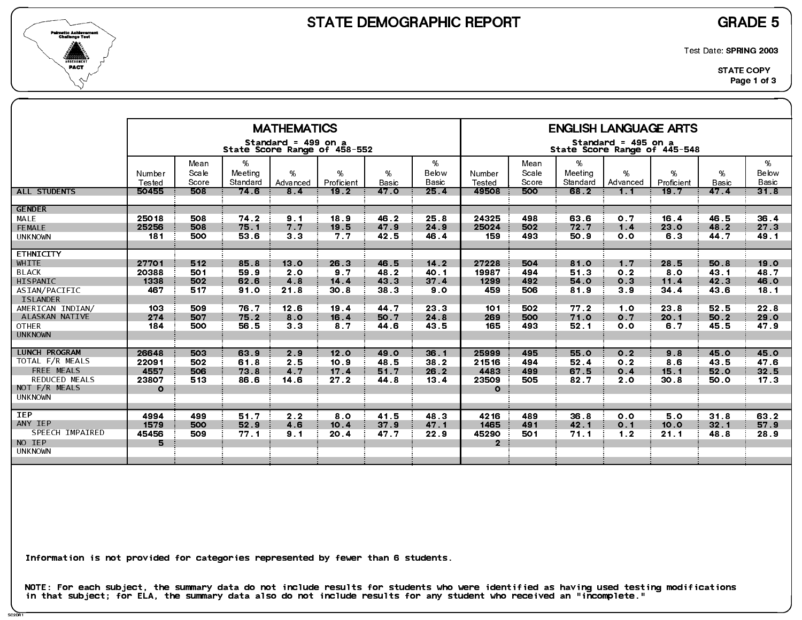



Test Date: SPRING 2003

|                                                                                                                  |                                                 |                          |                              | <b>MATHEMATICS</b>                    |                                        |                              |                                        |                                             |                          |                                 | <b>ENGLISH LANGUAGE ARTS</b>                        |                             |                              |                                         |
|------------------------------------------------------------------------------------------------------------------|-------------------------------------------------|--------------------------|------------------------------|---------------------------------------|----------------------------------------|------------------------------|----------------------------------------|---------------------------------------------|--------------------------|---------------------------------|-----------------------------------------------------|-----------------------------|------------------------------|-----------------------------------------|
|                                                                                                                  |                                                 |                          |                              | Standard = 499 on a                   | State Score Range of 458-552           |                              |                                        |                                             |                          |                                 | Standard = 495 on a<br>State Score Range of 445-548 |                             |                              |                                         |
|                                                                                                                  | Number<br>Tested                                | Mean<br>Scale<br>Score   | %<br>Meeting<br>Standard     | $\%$<br>Advanced                      | %<br>Proficient                        | %<br><b>Basic</b>            | %<br>Below<br>Basic                    | Number<br>Tested                            | Mean<br>Scale<br>Score   | %<br>Meeting<br>Standard        | %<br>Advanced                                       | %<br>Proficient             | %<br><b>Basic</b>            | %<br>Below<br><b>Basic</b>              |
| <b>ALL STUDENTS</b>                                                                                              | 50455                                           | 508                      | 74 <sub>6</sub>              | 8.4                                   | 19.2                                   | 47.0                         | 25.4                                   | 49508                                       | 500                      | 68.2                            | 1.1                                                 | 19.7                        | 47.4                         | 318                                     |
| <b>GENDER</b><br>MALE<br>FEMALE<br><b>UNKNOWN</b>                                                                | 25018<br>25256<br>181                           | 508<br>508<br>500        | 74 2<br>75.1<br>53.6         | 9.1<br>7.7<br>3 <sub>3</sub>          | 18.9<br>19.5<br>7.7                    | 46.2<br>47.9<br>42.5         | 25.8<br>24.9<br>46.4                   | 24325<br>25024<br>159                       | 498<br>502<br>493        | 63.6<br>72.7<br>50.9            | 0 <sub>7</sub><br>1.4<br>0.0                        | 16.4<br>23.0<br>6.3         | 46.5<br>48.2<br>44.7         | 36 4<br>27.3<br>49.1                    |
| <b>ETHNICITY</b><br>WHITE<br><b>BLACK</b><br>HISPANIC                                                            | 27701<br>20388<br>1338                          | 512<br>501<br>502        | 85.8<br>59.9<br>62.6         | 13.0<br>2 <sub>0</sub><br>4.8         | 26.3<br>9.7<br>$14.4$                  | 46.5<br>48.2<br>43 3         | $14.2$<br>40.1<br>$37.4$               | 27228<br>19987<br>1299                      | 504<br>494<br>492        | 81.0<br>51.3<br>54.0            | 1.7<br>0 <sub>2</sub><br>O.3                        | 28.5<br>8.0<br>11.4         | 50.8<br>43.1<br>42.3         | 19.0<br>48.7<br>46.0                    |
| ASIAN/PACIFIC<br><b>ISLANDER</b><br>AMERICAN INDIAN/<br>ALASKAN NATIVE<br><b>OTHER</b><br><b>UNKNOWN</b>         | 467<br>103<br>274<br>184                        | 517<br>509<br>507<br>500 | 91.0<br>76.7<br>75.2<br>56.5 | 21.8<br>12.6<br>8.0<br>3 <sub>3</sub> | 30 <sub>8</sub><br>19.4<br>16.4<br>8.7 | 38.3<br>44.7<br>50.7<br>44 6 | 9 <sub>o</sub><br>23 3<br>24 8<br>43 5 | 459<br>101<br>269<br>165                    | 506<br>502<br>500<br>493 | 819<br>77.2<br>71.0<br>52.1     | 3.9<br>1.0<br>0.7<br>0.0                            | 34.4<br>23 8<br>20.1<br>6.7 | 43.6<br>52.5<br>50.2<br>45.5 | 18.1<br>22.8<br>29.0<br>47.9            |
| <b>LUNCH PROGRAM</b><br>TOTAL F/R MEALS<br>FREE MEALS<br><b>REDUCED MEALS</b><br>NOT F/R MEALS<br><b>UNKNOWN</b> | 26648<br>22091<br>4557<br>23807<br>$\mathbf{o}$ | 503<br>502<br>506<br>513 | 63.9<br>61.8<br>73.8<br>86.6 | 2.9<br>2.5<br>4.7<br>14 6             | 12.0<br>10.9<br>17.4<br>27.2           | 49.0<br>48.5<br>51.7<br>44 8 | 36.1<br>38.2<br>26.2<br>13.4           | 25999<br>21516<br>4483<br>23509<br>$\Omega$ | 495<br>494<br>499<br>505 | 55.0<br>52.4<br>67.5<br>82.7    | 0.2<br>0.2<br>0.4<br>2.0                            | 9.8<br>8.6<br>15.1<br>30.8  | 45.0<br>43.5<br>52.0<br>50.0 | 45.0<br>47.6<br>32.5<br>17 <sub>3</sub> |
| <b>IEP</b><br>ANY IEP<br>SPEECH IMPAIRED<br>NO IEP<br><b>UNKNOWN</b>                                             | 4994<br>1579<br>45456<br>5.                     | 499<br>500<br>509        | 51.7<br>52.9<br>77.1         | 2.2<br>4.6<br>9.1                     | 8.0<br>10.4<br>20.4                    | 41.5<br>37.9<br>47.7         | 48.3<br>47 <sub>1</sub><br>22.9        | 4216<br>1465<br>45290<br>$\mathbf{2}$       | 489<br>491<br>501        | 36.8<br>42 <sub>1</sub><br>71.1 | 0.0<br>0.1<br>1.2                                   | 50<br>10.0<br>21.1          | 31.8<br>32.1<br>48.8         | 63.2<br>57.9<br>28.9                    |

Information is not provided for categories represented by fewer than 6 students.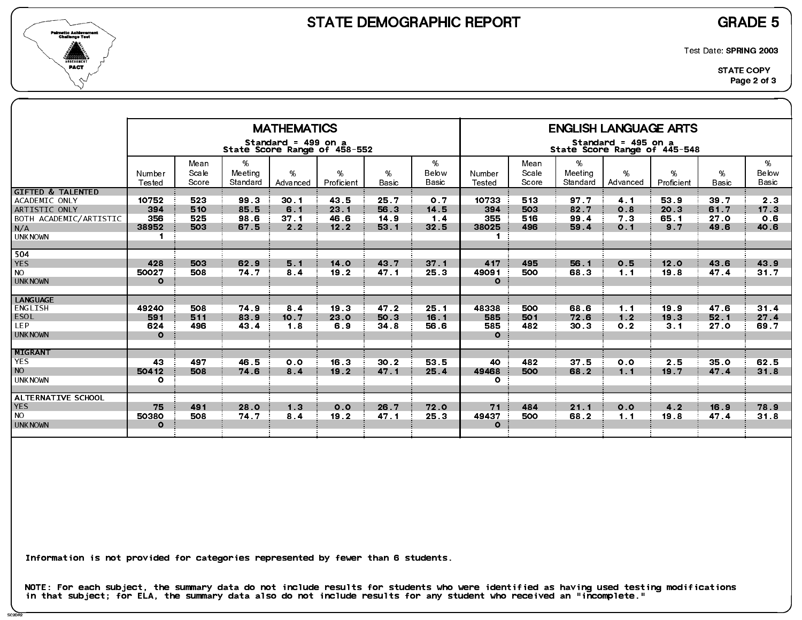



Test Date: SPRING 2003

|                                                                                                                   |                                                |                          |                              | <b>MATHEMATICS</b><br>Standard = 499 on a | State Score Range of 458-552 |                              |                            |                                                |                          |                              | <b>ENGLISH LANGUAGE ARTS</b><br>Standard = 495 on a<br>State Score Range of 445-548 |                                |                              |                                       |
|-------------------------------------------------------------------------------------------------------------------|------------------------------------------------|--------------------------|------------------------------|-------------------------------------------|------------------------------|------------------------------|----------------------------|------------------------------------------------|--------------------------|------------------------------|-------------------------------------------------------------------------------------|--------------------------------|------------------------------|---------------------------------------|
|                                                                                                                   | Number<br>Tested                               | Mean<br>Scale<br>Score   | %<br>Meeting<br>Standard     | $\%$<br>Advanced                          | %<br>Proficient              | %<br><b>Basic</b>            | %<br>Below<br>Basic        | Number<br>Tested                               | Mean<br>Scale<br>Score   | %<br>Meeting<br>Standard     | %<br>Advanced                                                                       | %<br>Proficient                | %<br><b>Basic</b>            | %<br>Below<br><b>Basic</b>            |
| <b>GIFTED &amp; TALENTED</b><br>ACADEMIC ONLY<br>ARTISTIC ONLY<br>BOTH ACADEMIC/ARTISTIC<br>N/A<br><b>UNKNOWN</b> | 10752<br>394<br>356<br>38952<br>$\blacksquare$ | 523<br>510<br>525<br>503 | 99 3<br>85.5<br>98.6<br>67.5 | 30.1<br>6.1<br>37 <sub>1</sub><br>2.2     | 43.5<br>23.1<br>46.6<br>12.2 | 25.7<br>56.3<br>14.9<br>53 1 | 0.7<br>14.5<br>1.4<br>32.5 | 10733<br>394<br>355<br>38025<br>$\blacksquare$ | 513<br>503<br>516<br>496 | 97.7<br>82 7<br>99 4<br>59.4 | 4.1<br>0.8<br>7 <sub>3</sub><br>0.1                                                 | 53.9<br>20.3<br>65.1<br>9.7    | 39.7<br>61.7<br>27.0<br>49.6 | 2 <sub>3</sub><br>17.3<br>0.6<br>40.6 |
| 504<br><b>YES</b><br><b>NO</b><br><b>UNKNOWN</b>                                                                  | 428<br>50027<br>$\mathbf{o}$                   | 503<br>508               | 62.9<br>74.7                 | 5.1<br>84                                 | 14 <sub>o</sub><br>19.2      | 43.7<br>47.1                 | 37 <sub>1</sub><br>25.3    | 417<br>49091<br>$\mathbf{o}$                   | 495<br>500               | 56.1<br>68.3                 | 0.5<br>1.1                                                                          | 12.0<br>19 8                   | 43.6<br>47.4                 | 43.9<br>31.7                          |
| <b>LANGUAGE</b><br>ENGLISH<br><b>ESOL</b><br>LEP.<br><b>UNKNOWN</b>                                               | 49240<br>591<br>624<br>$\Omega$                | 508<br>511<br>496        | 74.9<br>83.9<br>43.4         | 84<br>10.7<br>1.8                         | 19.3<br>23.0<br>6.9          | 47.2<br>50.3<br>34.8         | 25.1<br>16.1<br>56.6       | 48338<br>585<br>585<br>$\mathbf{o}$            | 500<br>501<br>482        | 68.6<br>72.6<br>30.3         | 1.1<br>1.2<br>0.2                                                                   | 19.9<br>19.3<br>3 <sub>1</sub> | 47.6<br>52.1<br>27.0         | 31.4<br>27.4<br>69.7                  |
| <b>MIGRANT</b><br><b>YES</b><br><b>NO</b><br><b>UNKNOWN</b>                                                       | 43<br>50412<br>$\circ$                         | 497<br>508               | 46.5<br>74 6                 | 0.0<br>8.4                                | 16.3<br>19.2                 | 30.2<br>47.1                 | 53 5<br>25.4               | 40<br>49468<br>$\mathbf{o}$                    | 482<br>500               | 37.5<br>68.2                 | 0.0<br>1.1                                                                          | 2.5<br>19.7                    | 35 <sub>o</sub><br>47.4      | 62.5<br>31.8                          |
| ALTERNATIVE SCHOOL<br><b>YES</b><br><b>NO</b><br><b>UNKNOWN</b>                                                   | 75<br>50380<br>$\Omega$                        | 491<br>508               | 28.0<br>74.7                 | 1.3<br>8.4                                | 0.0<br>19.2                  | 26.7<br>47.1                 | 72.0<br>25.3               | 71<br>49437<br>$\Omega$                        | 484<br>500               | 21.1<br>68.2                 | 0.0<br>1.1                                                                          | 4.2<br>19.8                    | 16.9<br>47.4                 | 78.9<br>31.8                          |

Information is not provided for categories represented by fewer than 6 students.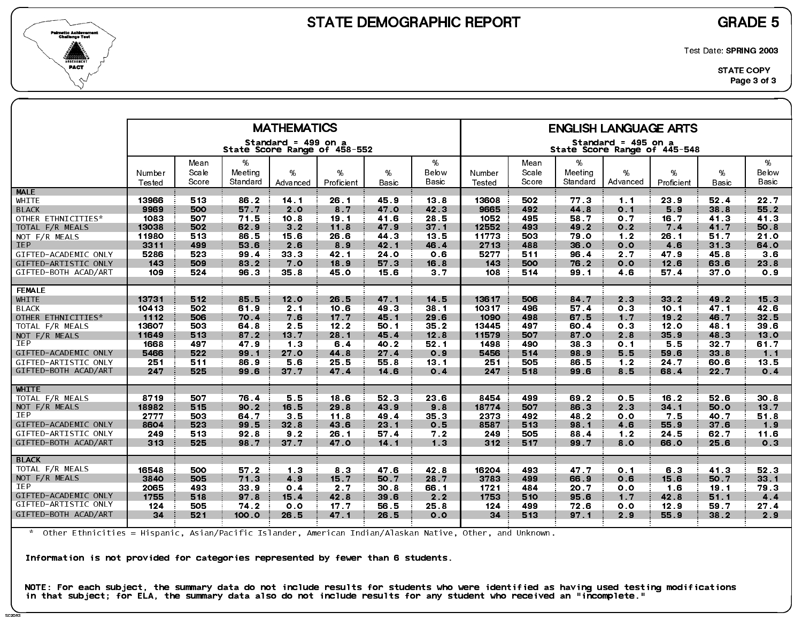



Test Date: SPRING 2003

|                      |                  |                |                     | <b>MATHEMATICS</b>                                  |                 |             |                 |                  |                |                     | <b>ENGLISH LANGUAGE ARTS</b>                        |                 |            |                |
|----------------------|------------------|----------------|---------------------|-----------------------------------------------------|-----------------|-------------|-----------------|------------------|----------------|---------------------|-----------------------------------------------------|-----------------|------------|----------------|
|                      |                  |                |                     | Standard = 499 on a<br>State Score Range of 458-552 |                 |             |                 |                  |                |                     | Standard = 495 on a<br>State Score Range of 445-548 |                 |            |                |
|                      |                  | Mean           | %                   |                                                     |                 |             | %               |                  | Mean           | %                   |                                                     |                 |            | %              |
|                      | Number<br>Tested | Scale<br>Score | Meeting<br>Standard | %<br>Advanced                                       | %<br>Proficient | %<br>Basic  | Below<br>Basic  | Number<br>Tested | Scale<br>Score | Meeting<br>Standard | %<br>Advanced                                       | %<br>Proficient | %<br>Basic | Below<br>Basic |
| <b>MALE</b>          |                  |                |                     |                                                     |                 |             |                 |                  |                |                     |                                                     |                 |            |                |
| WHITE                | 13966            | 513            | 86.2                | 14 <sub>1</sub>                                     | 26.1            | 45.9        | 13.8            | 13608            | 502            | 77.3                | $1 \quad 1$                                         | 23.9            | 52.4       | 22.7           |
| <b>BLACK</b>         | 9969             | 500            | 57.7                | 2.0                                                 | 8 <sub>7</sub>  | 47.0        | 42.3            | 9665             | 492            | 44.8                | 0.1                                                 | 5.9             | 38.8       | 55.2           |
| OTHER ETHNICITIES*   | 1083             | 507            | 71.5                | 10 <sub>8</sub>                                     | 19.1            | 41.6        | 28.5            | 1052             | 495            | 58.7                | 0.7                                                 | 16.7            | 41.3       | 41 3           |
| TOTAL F/R MEALS      | 13038            | 502            | 62.9                | 3.2                                                 | 11.8            | 47.9        | 37.1            | 12552            | 493            | 49.2                | 0.2                                                 | 7 <sub>4</sub>  | 41.7       | 50.8           |
| NOT F/R MEALS        | 11980            | 513            | 86.5                | 15.6                                                | 26.6            | 44 3        | 13.5            | 11773            | 503            | 79 O                | 1.2                                                 | 26.1            | 51.7       | 21.0           |
| <b>IEP</b>           | 3311             | 499            | 53 6                | 2.6                                                 | 8.9             | 42.1        | 46.4            | 2713             | 488            | 36.0                | 0.0                                                 | 4.6             | 31.3       | 64.0           |
| GIFTED-ACADEMIC ONLY | 5286             | 523            | 99.4                | 33 3                                                | 42 1            | <b>24 O</b> | 0.6             | 5277             | 511            | 96.4                | 2.7                                                 | 47.9            | 45 8       | 3.6            |
| GIFTED-ARTISTIC ONLY | 143              | 509            | 83.2                | 7.0                                                 | 18.9            | 57 3        | 16.8            | 143              | 500            | 76.2                | 0.0                                                 | 12.6            | 63.6       | 23.8           |
| GIFTED-BOTH ACAD/ART | 109              | 524            | 96.3                | 35.8                                                | 45.0            | 15.6        | 3.7             | 108              | 514            | 99 1                | 4.6                                                 | 57.4            | 37.0       | 0.9            |
| <b>FEMALE</b>        |                  |                |                     |                                                     |                 |             |                 |                  |                |                     |                                                     |                 |            |                |
| <b>WHITE</b>         | 13731            | 512            | 85.5                | 12.0                                                | 26.5            | 47.1        | 14.5            | 13617            | 506            | 84.7                | 2.3                                                 | 33.2            | 49.2       | 15.3           |
| <b>BLACK</b>         | 10413            | 502            | 61.9                | 2 <sub>1</sub>                                      | 10.6            | 49 3        | 38.1            | 10317            | 496            | 57.4                | 0.3                                                 | 10.1            | 47.1       | 42.6           |
| OTHER ETHNICITIES*   | 1112             | 506            | 70 4                | 7.6                                                 | 17 <sub>7</sub> | 45 1        | 29.6            | 1090             | 498            | 67 5                | 1.7                                                 | 19.2            | 46.7       | 32.5           |
| TOTAL F/R MEALS      | 13607            | 503            | 64 8                | 2.5                                                 | 12.2            | 50.1        | 35 2            | 13445            | 497            | 60.4                | 0 <sub>3</sub>                                      | 12.0            | 48.1       | 39 6           |
| NOT $F/R$ MEALS      | 11649            | 513            | 87.2                | 13.7                                                | 28.1            | 45.4        | 12.8            | 11579            | 507            | 87.0                | 2.8                                                 | 35.9            | 48.3       | 13.0           |
| <b>IEP</b>           | 1668             | 497            | 47.9                | 1 <sub>3</sub>                                      | 6.4             | 40 2        | 52.1            | 1498             | 490            | 38.3                | 0.1                                                 | 5.5             | 32.7       | 61.7           |
| GIFTED-ACADEMIC ONLY | 5466             | 522.           | 99 1                | 27.0                                                | 44 8            | 27.4        | 0.9             | 5456             | 514            | 98.9                | 55                                                  | 59.6            | 33.8       | $1 \quad 1$    |
| GIFTED-ARTISTIC ONLY | 251              | 511            | 86.9                | 56                                                  | 25.5            | 55.8        | 13.1            | 251              | 505            | 86.5                | 1.2                                                 | 24.7            | 60.6       | 13.5           |
| GIFTED-BOTH ACAD/ART | 247              | 525            | 99.6                | 37 7                                                | 47.4            | 14.6        | 0.4             | 247              | 518            | 99.6                | 8.5                                                 | 68.4            | 22.7       | 0.4            |
| <b>WHITE</b>         |                  |                |                     |                                                     |                 |             |                 |                  |                |                     |                                                     |                 |            |                |
| TOTAL F/R MEALS      | 8719             | 507            | 76.4                | 5.5                                                 | 18.6            | 52 3        | 23 6            | 8454             | 499            | 69.2                | 0.5                                                 | 16.2            | 52 6       | 30.8           |
| NOT F/R MEALS        | 18982            | 515            | 90.2                | 16.5                                                | 29.8            | 43.9        | 9.8             | 18774            | 507            | 86.3                | 2.3                                                 | 34.1            | 50.0       | 13.7           |
| IEP                  | 2777             | 503            | 64.7                | 3 <sub>5</sub>                                      | 11.8            | 49.4        | 35 <sub>3</sub> | 2373             | 492            | 48.2                | 0.0                                                 | 7.5             | 40.7       | 51.8           |
| GIFTED-ACADEMIC ONLY | 8604             | 523            | 99.5                | 32 <sub>8</sub>                                     | 43.6            | 23.1        | 0.5             | 8587             | 513            | 98 1                | 4.6                                                 | 55.9            | 37.6       | 1.9            |
| GIFTED-ARTISTIC ONLY | 249              | 513            | 92.8                | 9.2                                                 | 26.1            | 57.4        | 7.2             | 249              | 505            | 88.4                | 1.2                                                 | 24.5            | 62.7       | 11.6           |
| GIFTED-BOTH ACAD/ART | 313              | 525            | 98.7                | 37 <sub>7</sub>                                     | 47.0            | 14.1        | 1.3             | 312              | 517            | 99.7                | 8 0                                                 | 66.0            | 25.6       | 0.3            |
| <b>BLACK</b>         |                  |                |                     |                                                     |                 |             |                 |                  |                |                     |                                                     |                 |            |                |
| TOTAL F/R MEALS      | 16548            | 500            | 57.2                | 1 <sub>3</sub>                                      | 8 <sub>3</sub>  | 47.6        | 42.8            | 16204            | 493            | 47.7                | 0.1                                                 | 6.3             | 41.3       | 52 3           |
| NOT F/R MEALS        | 3840             | 505            | 71.3                | 4.9                                                 | 15.7            | 50.7        | 28.7            | 3783             | 499            | 66.9                | 0.6                                                 | 15.6            | 50.7       | 33.1           |
| IEP                  | 2065             | 493            | 33 <sub>9</sub>     | 0.4                                                 | 2.7             | 30.8        | 66.1            | 1721             | 484            | 20 7                | 0 <sub>0</sub>                                      | 1.6             | 19.1       | 79 3           |
| GIFTED-ACADEMIC ONLY | 1755             | 518            | 97.8                | 15.4                                                | 42.8            | 39.6        | 2.2             | 1753             | 510            | 95.6                | 1.7                                                 | 42.8            | 51.1       | 4.4            |
| GIFTED-ARTISTIC ONLY | 124              | 505            | 74.2                | 0.0                                                 | 17 <sub>7</sub> | 56.5        | 25.8            | 124              | 499            | 72 6                | 0.0                                                 | 12.9            | 59.7       | 27.4           |
| GIFTED-BOTH ACAD/ART | 34               | 521            | 100.0               | 26.5                                                | 47.1            | 26.5        | 0.0             | 34               | 513            | 97.1                | 2.9                                                 | 55.9            | 38.2       | 2.9            |
|                      |                  |                |                     |                                                     |                 |             |                 |                  |                |                     |                                                     |                 |            |                |

\* Other Ethnicities = Hispanic, Asian/Pacific Islander, American Indian/Alaskan Native, Other, and Unknown.

Information is not provided for categories represented by fewer than 6 students.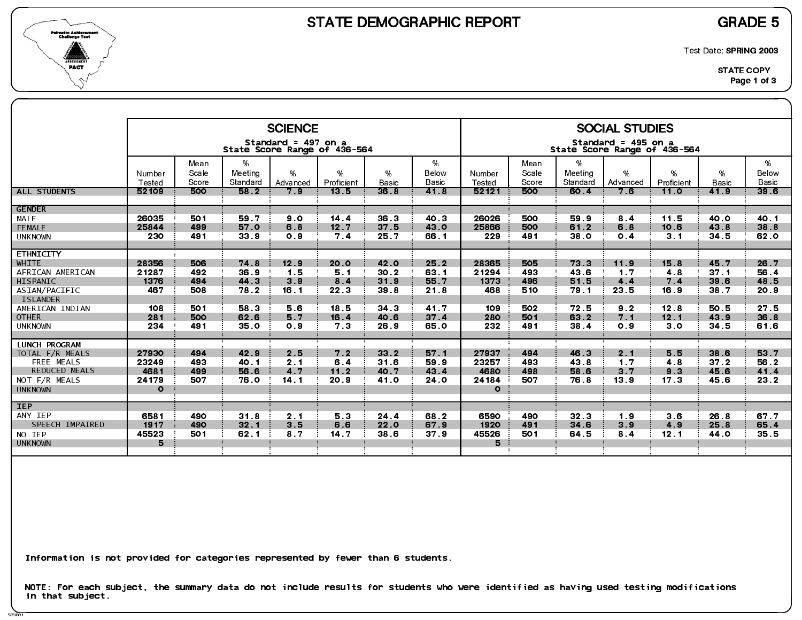

SC3DR1

Test Date: SPRING 2003

|                                    |                 |               |                             | <b>SCIENCE</b>      |                              |                      |                 |                 |               |                  | <b>SOCIAL STUDIES</b>                               |                    |                      |                          |
|------------------------------------|-----------------|---------------|-----------------------------|---------------------|------------------------------|----------------------|-----------------|-----------------|---------------|------------------|-----------------------------------------------------|--------------------|----------------------|--------------------------|
|                                    |                 |               |                             | Standard = 497 on a | State Score Range of 436-564 |                      |                 |                 |               |                  | Standard = 495 on a<br>State Score Range of 436-564 |                    |                      |                          |
|                                    | Number          | Mean<br>Scale | %<br>Meeting                | %                   | %                            | %                    | %<br>Below      | Number          | Mean<br>Scale | $\%$<br>Meeting  | %                                                   | %                  | %                    | %<br>Below               |
| ALL STUDENTS                       | Tested<br>52109 | Score<br>500  | Standard<br>58 <sub>2</sub> | Advanced<br>7.9     | Proficient<br>13.5           | <b>Basic</b><br>36.8 | Basic<br>41.8   | Tested<br>52121 | Score<br>500  | Standard<br>60 4 | Advanced<br>7.6                                     | Proficient<br>11.0 | <b>Basic</b><br>41.9 | Basic<br>39 <sub>6</sub> |
| <b>GENDER</b>                      |                 |               |                             |                     |                              |                      |                 |                 |               |                  |                                                     |                    |                      |                          |
| MALE                               | 26035           | 501           | 59.7                        | 9.0                 | 14.4                         | 36.3                 | 40 3            | 26026           | 500           | 59 9             | 8.4                                                 | 11.5               | 40.0                 | 40 1                     |
| FEMALE                             | 25844<br>230    | 499<br>491    | 57.0                        | 6.8<br>0.9          | 12.7<br>7.4                  | 37.5<br>25.7         | 43.0            | 25866           | 500<br>491    | 61.2             | 6.8<br>0.4                                          | 10.6               | 43.8<br>34 5         | 38 8                     |
| <b>UNKNOWN</b>                     |                 |               | 33.9                        |                     |                              |                      | 66.1            | 229             |               | 38.0             |                                                     | 3.1                |                      | 62.0                     |
| <b>ETHNICITY</b>                   |                 |               |                             |                     |                              |                      |                 |                 |               |                  |                                                     |                    |                      |                          |
| <b>WHITE</b>                       | 28356           | 506           | 74 8                        | 12.9                | 20.0                         | 42.0                 | 25.2            | 28365           | 505           | 73.3             | 11.9                                                | 15.8               | 45.7                 | 26.7                     |
| AFRICAN AMERICAN<br>HISPANIC       | 21287<br>1376   | 492<br>494    | 36.9<br>44.3                | 1.5<br>3.9          | 5.1                          | 30.2<br>31.9         | 63 1<br>55.7    | 21294<br>1373   | 493<br>496    | 43.6<br>51.5     | 1.7<br>4.4                                          | 48<br>7.4          | 37.1<br>39.6         | 56.4<br>48.5             |
| ASIAN/PACIFIC                      | 467             | 508           | 78.2                        | 16.1                | 8.4<br>22.3                  | 39.8                 | 21.8            | 468             | 510           | 79.1             | 23 5                                                | 16.9               | 38.7                 | 20.9                     |
| <b>ISLANDER</b>                    |                 |               |                             |                     |                              |                      |                 |                 |               |                  |                                                     |                    |                      |                          |
| AMERICAN INDIAN                    | 108             | 501           | 58.3                        | 5.6                 | 18.5                         | 34.3                 | 41.7            | 109             | 502           | 72.5             | 9.2                                                 | 12.8               | 50.5                 | 27 <sub>5</sub>          |
| <b>OTHER</b>                       | 281             | 500           | 62.6                        | 5.7                 | 16.4                         | 40.6                 | 37.4            | 280             | 501           | 63.2             | 7.1                                                 | 12.1               | 43.9                 | 36.8                     |
| <b>UNKNOWN</b>                     | 234             | 491           | 35.0                        | 0.9                 | 7 <sub>3</sub>               | 26.9                 | 65.0            | 232             | 491           | 38 4             | 0.9                                                 | 3.0                | 34 5                 | 61.6                     |
| <b>LUNCH PROGRAM</b>               |                 |               |                             |                     |                              |                      |                 |                 |               |                  |                                                     |                    |                      |                          |
| TOTAL F/R MEALS                    | 27930           | 494           | 42.9                        | 2.5                 | 7.2                          | $33.2$               | 57.1            | 27937           | 494           | 46.3             | 2.1                                                 | 5.5                | 38 6                 | 53 7                     |
| FREE MEALS<br><b>REDUCED MEALS</b> | 23249<br>4681   | 493<br>499    | 40.1<br>56.6                | 2.1<br>4.7          | 6.4<br>$11.2$                | 31.6<br>40.7         | 59.9<br>43 4    | 23257<br>4680   | 493<br>498    | 43 8<br>58.6     | 1 <sub>7</sub><br>3 <sub>7</sub>                    | 4.8<br>9.3         | 37.2<br>45.6         | 56.2<br>41.4             |
| NOT F/R MEALS                      | 24179           | 507           | 76.0                        | 14.1                | 20.9                         | 41 O                 | <b>24 0</b>     | 24184           | 507           | 76.8             | 13.9                                                | 17 <sub>3</sub>    | 45.6                 | 23 2                     |
| <b>UNKNOWN</b>                     | $\mathbf{o}$    |               |                             |                     |                              |                      |                 | $\circ$         |               |                  |                                                     |                    |                      |                          |
|                                    |                 |               |                             |                     |                              |                      |                 |                 |               |                  |                                                     |                    |                      |                          |
| <b>IEP</b><br>ANY IEP              | 6581            | 490           | 31.8                        | 2.1                 | 5.3                          | 24 4                 | 68.2            | 6590            | 490           | 32 <sub>3</sub>  | 1.9                                                 | 3.6                | 26.8                 | 67.7                     |
| SPEECH IMPAIRED                    | 1917            | 490           | 32.1                        | 3.5                 | 6.6                          | 22.0                 | 67.9            | 1920            | 491           | 34 6             | 3.9                                                 | 4.9                | 25.8                 | 65.4                     |
| NO IEP                             | 45523           | 501           | 62 1                        | 8 7                 | 14 <sub>7</sub>              | 38 6                 | 37 <sub>9</sub> | 45526           | 501           | 64.5             | 8 <sub>4</sub>                                      | 12.1               | 44.0                 | 35.5                     |
| <b>UNKNOWN</b>                     | 5               |               |                             |                     |                              |                      |                 | 5               |               |                  |                                                     |                    |                      |                          |
|                                    |                 |               |                             |                     |                              |                      |                 |                 |               |                  |                                                     |                    |                      |                          |

Information is not provided for categories represented by fewer than 6 students.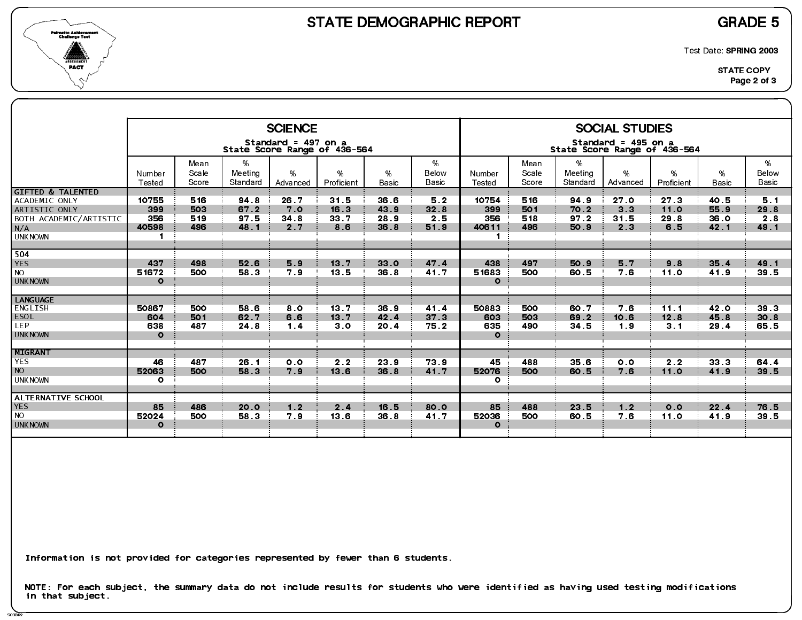

SC3DR2

Test Date: SPRING 2003

|                                                                                                                   |                                                |                          |                              | <b>SCIENCE</b>                                      |                             |                              |                            |                                                |                          |                                         | <b>SOCIAL STUDIES</b>                               |                             |                              |                            |
|-------------------------------------------------------------------------------------------------------------------|------------------------------------------------|--------------------------|------------------------------|-----------------------------------------------------|-----------------------------|------------------------------|----------------------------|------------------------------------------------|--------------------------|-----------------------------------------|-----------------------------------------------------|-----------------------------|------------------------------|----------------------------|
|                                                                                                                   |                                                |                          |                              | Standard = 497 on a<br>State Score Range of 436-564 |                             |                              |                            |                                                |                          |                                         | Standard = 495 on a<br>State Score Range of 436-564 |                             |                              |                            |
|                                                                                                                   | Number<br>Tested                               | Mean<br>Scale<br>Score   | %<br>Meeting<br>Standard     | $\%$<br>Advanced                                    | %<br>Proficient             | %<br><b>Basic</b>            | %<br>Below<br>Basic        | Number<br>Tested                               | Mean<br>Scale<br>Score   | %<br>Meeting<br>Standard                | %<br>Advanced                                       | %<br>Proficient             | %<br><b>Basic</b>            | %<br>Below<br><b>Basic</b> |
| <b>GIFTED &amp; TALENTED</b><br>ACADEMIC ONLY<br>ARTISTIC ONLY<br>BOTH ACADEMIC/ARTISTIC<br>N/A<br><b>UNKNOWN</b> | 10755<br>399<br>356<br>40598<br>$\blacksquare$ | 516<br>503<br>519<br>496 | 94.8<br>67.2<br>97 5<br>48.1 | 26.7<br>7.0<br>34 <sub>8</sub><br>2.7               | 31.5<br>16.3<br>33.7<br>8.6 | 36.6<br>43.9<br>28.9<br>36.8 | 5.2<br>32.8<br>2.5<br>51.9 | 10754<br>399<br>356<br>40611<br>$\blacksquare$ | 516<br>501<br>518<br>496 | 94 9<br>70.2<br>97 <sub>2</sub><br>50.9 | 27 <sub>0</sub><br>3 <sub>3</sub><br>31.5<br>2.3    | 27 3<br>11.0<br>29.8<br>6.5 | 40.5<br>55.9<br>36.0<br>42.1 | 5.1<br>29 8<br>2.8<br>49.1 |
| 504<br><b>YES</b><br><b>NO</b><br><b>UNKNOWN</b>                                                                  | 437<br>51672<br>$\circ$                        | 498<br>500               | 52.6<br>58.3                 | 5.9<br>7.9                                          | 13 <sub>7</sub><br>13.5     | 33.0<br>36.8                 | 47 4<br>41.7               | 438<br>51683<br>$\mathbf{o}$                   | 497<br>500               | 50.9<br>60 5                            | 5 7<br>7.6                                          | 9.8<br>11.0                 | 35.4<br>41.9                 | 49 1<br>39.5               |
| <b>LANGUAGE</b><br>ENGLISH<br>ESOL<br><b>LEP</b><br><b>UNKNOWN</b>                                                | 50867<br>604<br>638<br>$\Omega$                | 500<br>501<br>487        | 58.6<br>62.7<br>24 8         | 80<br>6.6<br>1.4                                    | 13.7<br>13.7<br>3.0         | 36.9<br>42.4<br>20.4         | 41.4<br>37.3<br>75.2       | 50883<br>603<br>635<br>$\Omega$                | 500<br>503<br>490        | 60.7<br>69.2<br>34 5                    | 7.6<br>10.6<br>1.9                                  | 11.1<br>12.8<br>3.1         | 42.0<br>45.8<br>29.4         | 39.3<br>30.8<br>65.5       |
| <b>MIGRANT</b><br><b>YES</b><br><b>NO</b><br><b>UNKNOWN</b>                                                       | 46<br>52063<br>$\circ$                         | 487<br>500               | 26.1<br>58.3                 | 0.0<br>7.9                                          | 2.2<br>13.6                 | 23.9<br>36.8                 | 73.9<br>41.7               | 45<br>52076<br>$\mathbf{o}$                    | 488<br>500               | 35 <sub>6</sub><br>60.5                 | 0.0<br>7.6                                          | 2.2<br>11.0                 | 33 <sub>3</sub><br>41.9      | 64.4<br>39.5               |
| ALTERNATIVE SCHOOL<br><b>YES</b><br><b>NO</b><br><b>UNKNOWN</b>                                                   | 85<br>52024<br>$\Omega$                        | 486<br>500               | 20.0<br>58.3                 | 1.2<br>7.9                                          | 2.4<br>13.6                 | 16.5<br>36.8                 | 80.0<br>41.7               | 85<br>52036<br>$\Omega$                        | 488<br>500               | 23 5<br>60.5                            | 1.2<br>7.6                                          | 0.0<br>11.0                 | 22.4<br>41.9                 | 76.5<br>39.5               |

Information is not provided for categories represented by fewer than 6 students.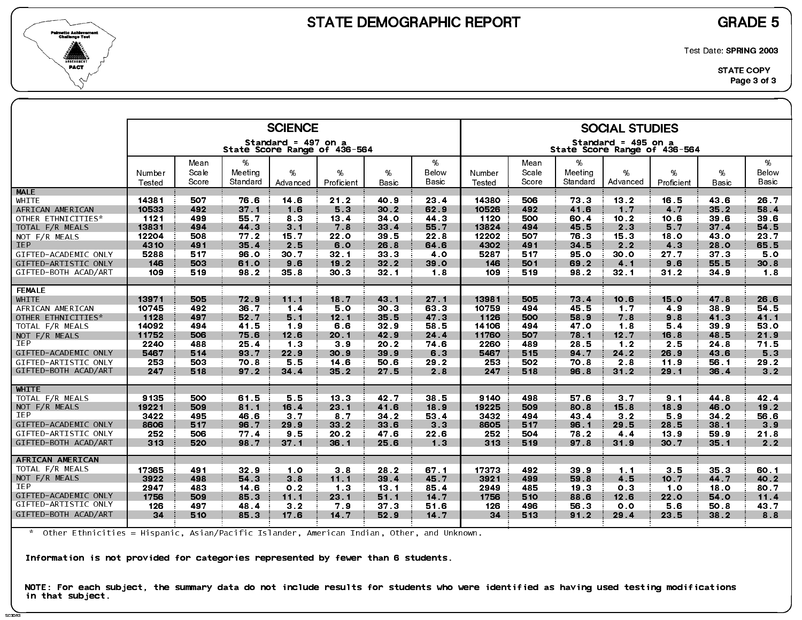

SC3DR<sup>3</sup>

Test Date: SPRING 2003

|                      |                  |                        |                          | <b>SCIENCE</b>                                      |                 |                 |                     |                  |                        |                          | <b>SOCIAL STUDIES</b>                               |                 |                   |                     |
|----------------------|------------------|------------------------|--------------------------|-----------------------------------------------------|-----------------|-----------------|---------------------|------------------|------------------------|--------------------------|-----------------------------------------------------|-----------------|-------------------|---------------------|
|                      |                  |                        |                          | Standard = 497 on a<br>State Score Range of 436-564 |                 |                 |                     |                  |                        |                          | Standard = 495 on a<br>State Score Range of 436-564 |                 |                   |                     |
|                      | Number<br>Tested | Mean<br>Scale<br>Score | %<br>Meeting<br>Standard | %<br>Advanced                                       | %<br>Proficient | %<br>Basic      | %<br>Below<br>Basic | Number<br>Tested | Mean<br>Scale<br>Score | %<br>Meeting<br>Standard | %<br>Advanced                                       | %<br>Proficient | %<br><b>Basic</b> | %<br>Below<br>Basic |
| <b>MALE</b>          |                  |                        |                          |                                                     |                 |                 |                     |                  |                        |                          |                                                     |                 |                   |                     |
| WHITE                | 14381            | 507                    | 76.6                     | 14 6                                                | 21.2            | 40 9            | 23.4                | 14380            | 506                    | 73.3                     | 13.2                                                | 16.5            | 43.6              | 26.7                |
| AFRICAN AMERICAN     | 10533            | 492                    | 37.1                     | 1.6                                                 | 5.3             | 30.2            | 62.9                | 10526            | 492                    | 41.6                     | 1.7                                                 | 4 <sub>7</sub>  | 35.2              | 58.4                |
| OTHER ETHNICITIES*   | 1121             | 499                    | 55.7                     | 83                                                  | 13.4            | 34 0            | 44.3                | 1120             | 500                    | 60.4                     | 10.2                                                | 10.6            | 39 6              | 39.6                |
| TOTAL F/R MEALS      | 13831            | 494                    | 44.3                     | 3.1                                                 | 7.8             | 33.4            | 55.7                | 13824            | 494                    | 45.5                     | 2.3                                                 | 5.7             | 37.4              | 54.5                |
| NOT F/R MEALS        | 12204            | 508                    | 77.2                     | 15.7                                                | 22.0            | 39 5            | 22.8                | 12202            | 507                    | 76.3                     | 15 <sub>3</sub>                                     | 18.0            | 43.0              | 23.7                |
| <b>IEP</b>           | 4310             | 491                    | 35.4                     | 2.5                                                 | 6.0             | 26.8            | 64 6                | 4302             | 491                    | 34 5                     | 2.2                                                 | 4 3             | 28.0              | 65.5                |
| GIFTED-ACADEMIC ONLY | 5288             | 517                    | 96.0                     | 30.7                                                | 32 <sub>1</sub> | 33.3            | 4 O                 | 5287             | 517                    | 95 O                     | 30.0                                                | 27.7            | 37 <sub>3</sub>   | 5.0                 |
| GIFTED-ARTISTIC ONLY | 146              | 503                    | 61.0                     | 9.6                                                 | 19.2            | 32.2            | 39.0                | 146              | 501                    | 69.2                     | 4.1                                                 | 9.6             | 55.5              | 30.8                |
| GIFTED-BOTH ACAD/ART | 109              | 519                    | 98.2                     | 35.8                                                | 30.3            | 32 <sub>1</sub> | 1.8                 | 109              | 519                    | 98.2                     | 32 <sub>1</sub>                                     | $31.2$          | 34.9              | 1.8                 |
|                      |                  |                        |                          |                                                     |                 |                 |                     |                  |                        |                          |                                                     |                 |                   |                     |
| <b>FEMALE</b>        |                  |                        |                          |                                                     |                 |                 |                     |                  |                        |                          |                                                     |                 |                   |                     |
| WHITE                | 13971            | 505                    | 72.9                     | 11.1                                                | 18.7            | 43 1            | 27.1                | 13981            | 505                    | 73.4                     | 10.6                                                | 15.0            | 47.8              | 26.6                |
| AFRICAN AMERICAN     | 10745            | 492                    | 36.7                     | 1.4                                                 | 50              | 30.3            | 63.3                | 10759            | 494                    | 45.5                     | 1.7                                                 | 4.9             | 38.9              | 54 5                |
| OTHER ETHNICITIES*   | 1128             | 497                    | 52.7                     | 5.1                                                 | 12.1            | 35.5            | 47 3                | 1126             | 500                    | 58.9                     | 7.8                                                 | 9.8             | 41.3              | 41.1                |
| TOTAL F/R MEALS      | 14092            | 494                    | 41.5                     | 19                                                  | 6.6             | 32.9            | 58.5                | 14106            | 494                    | 47.0                     | 1.8                                                 | 5.4             | 39.9              | 53 O                |
| NOT F/R MEALS        | 11752            | 506                    | 75.6                     | 12.6                                                | 20.1            | 42.9            | 24.4                | 11760            | 507                    | 78 1                     | 12.7                                                | 16.8            | 48.5              | 21.9                |
| <b>IEP</b>           | 2240             | 488                    | 25.4                     | 1 <sub>3</sub>                                      | 3.9             | 20.2            | 74.6                | 2260             | 489                    | 28.5                     | 1.2                                                 | 2.5             | 24 8              | 71.5                |
| GIFTED-ACADEMIC ONLY | 5467             | 514                    | 93.7                     | 22.9                                                | 30.9            | 39.9            | 63                  | 5467             | 515                    | 94.7                     | 24.2                                                | 26.9            | 43.6              | 5.3                 |
| GIFTED-ARTISTIC ONLY | 253              | 503                    | 70.8                     | 5.5                                                 | 14.6            | 50.6            | 29.2                | 253              | 502                    | 70.8                     | 2 8                                                 | 11.9            | 56.1              | 29.2                |
| GIFTED-BOTH ACAD/ART | 247              | 518                    | 97.2                     | 34.4                                                | 35.2            | 27.5            | 2.8                 | 247              | 518                    | 96.8                     | $31.2$                                              | 29.1            | 36.4              | 3.2                 |
|                      |                  |                        |                          |                                                     |                 |                 |                     |                  |                        |                          |                                                     |                 |                   |                     |
| <b>WHITE</b>         |                  |                        |                          |                                                     |                 |                 |                     |                  |                        |                          |                                                     |                 |                   |                     |
| TOTAL F/R MEALS      | 9135             | 500                    | 61.5                     | 5.5                                                 | 13.3            | 42 7            | 38.5                | 9140             | 498                    | 57.6                     | 3.7                                                 | 9.1             | 44.8              | 42.4                |
| NOT F/R MEALS        | 19221            | 509                    | 81.1                     | 16.4                                                | 23 <sub>1</sub> | 41.6            | 18.9                | 19225            | 509                    | 80.8                     | 15.8                                                | 18.9            | 46.0              | 19.2                |
| IEP                  | 3422             | 495                    | 46.6                     | 3 <sub>7</sub>                                      | 87              | $34.2$          | 53.4                | 3432             | 494                    | 43.4                     | 3.2                                                 | 5.9             | $34.2$            | 56.6                |
| GIFTED-ACADEMIC ONLY | 8606             | 517                    | 96.7                     | 29.9                                                | 33.2            | 33 6            | 3.3                 | 8605             | 517                    | 96.1                     | 29.5                                                | 28.5            | 38 1              | 3.9                 |
| GIFTED-ARTISTIC ONLY | 252              | 506                    | 77.4                     | 9.5                                                 | 20.2            | 47.6            | 22.6                | 252              | 504                    | 78.2                     | 4.4                                                 | 13.9            | 59.9              | 21.8                |
| GIFTED-BOTH ACAD/ART | 313              | 520                    | 98.7                     | 37.1                                                | 36.1            | 25.6            | 1.3                 | 313              | 519                    | 97 8                     | 31.9                                                | 30.7            | 35.1              | 2.2                 |
|                      |                  |                        |                          |                                                     |                 |                 |                     |                  |                        |                          |                                                     |                 |                   |                     |
| AFRICAN AMERICAN     |                  |                        |                          |                                                     |                 |                 |                     |                  |                        |                          |                                                     |                 |                   |                     |
| TOTAL F/R MEALS      | 17365            | 491                    | 32.9                     | 1.0                                                 | 3.8             | 28.2            | 67.1                | 17373            | 492                    | 39.9                     | 1.1                                                 | 3.5             | 35.3              | 60 1                |
| NOT F/R MEALS        | 3922             | 498                    | 54 3                     | 38                                                  | 11.1            | 39.4            | 45.7                | 3921             | 499                    | 59.8                     | 4.5                                                 | 10.7            | 44.7              | 40.2                |
| <b>IEP</b>           | 2947             | 483                    | 14.6                     | 0.2                                                 | 13              | 13 <sub>1</sub> | 85.4                | 2949             | 485                    | 19.3                     | 0 <sub>3</sub>                                      | 10              | 18.0              | 80.7                |
| GIFTED-ACADEMIC ONLY | 1756             | 509                    | 85.3                     | 11.1                                                | 23.1            | 51.1            | 14 7                | 1756             | 510                    | 88.6                     | 12.6                                                | 22.0            | 54.0              | 11.4                |
| GIFTED-ARTISTIC ONLY | 126              | 497                    | 48.4                     | 3 <sub>2</sub>                                      | 7.9             | 37 <sub>3</sub> | 51.6                | 126              | 496                    | 56.3                     | 0 <sub>0</sub>                                      | 5.6             | 50.8              | 43.7                |
| GIFTED-BOTH ACAD/ART | 34               | 510                    | 85 3                     | 17.6                                                | 14.7            | 52.9            | 14.7                | 34               | 513                    | 91.2                     | 29.4                                                | 23.5            | 38.2              | 8.8                 |
|                      |                  |                        |                          |                                                     |                 |                 |                     |                  |                        |                          |                                                     |                 |                   |                     |

\* Other Ethnicities = Hispanic, Asian/Pacific Islander, American Indian, Other, and Unknown.

Information is not provided for categories represented by fewer than 6 students.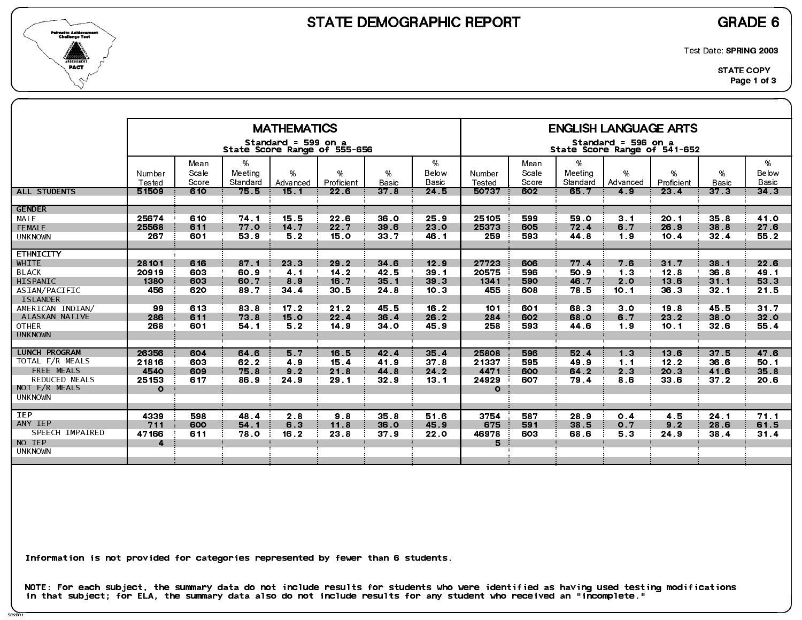



Test Date: SPRING 2003

|                                                                                                                                                                                                                            |                                                                             |                                                                    |                                                                              | <b>MATHEMATICS</b>                                                                |                                                                              |                                                                              |                                                                                                    |                                                                              |                                                                    |                                                                              | <b>ENGLISH LANGUAGE ARTS</b>                                                              |                                                                              |                                                                                         |                                                                              |
|----------------------------------------------------------------------------------------------------------------------------------------------------------------------------------------------------------------------------|-----------------------------------------------------------------------------|--------------------------------------------------------------------|------------------------------------------------------------------------------|-----------------------------------------------------------------------------------|------------------------------------------------------------------------------|------------------------------------------------------------------------------|----------------------------------------------------------------------------------------------------|------------------------------------------------------------------------------|--------------------------------------------------------------------|------------------------------------------------------------------------------|-------------------------------------------------------------------------------------------|------------------------------------------------------------------------------|-----------------------------------------------------------------------------------------|------------------------------------------------------------------------------|
|                                                                                                                                                                                                                            |                                                                             |                                                                    |                                                                              | Standard = 599 on a                                                               | State Score Range of 555-656                                                 |                                                                              |                                                                                                    |                                                                              |                                                                    |                                                                              | Standard = 596 on a<br>State Score Range of 541-652                                       |                                                                              |                                                                                         |                                                                              |
|                                                                                                                                                                                                                            | Number<br>Tested                                                            | Mean<br>Scale<br>Score                                             | %<br>Meeting<br>Standard                                                     | $\%$<br>Advanced                                                                  | %<br>Proficient                                                              | %<br>Basic                                                                   | %<br>Below<br>Basic                                                                                | Number<br>Tested                                                             | Mean<br>Scale<br>Score                                             | %<br>Meeting<br>Standard                                                     | %<br>Advanced                                                                             | %<br>Proficient                                                              | %<br><b>Basic</b>                                                                       | %<br>Below<br><b>Basic</b>                                                   |
| <b>ALL STUDENTS</b>                                                                                                                                                                                                        | 51509                                                                       | 610                                                                | 75.5                                                                         | 15.1                                                                              | 22 <sub>6</sub>                                                              | 37.8                                                                         | 24.5                                                                                               | 50737                                                                        | 602                                                                | 65 7                                                                         | 4.9                                                                                       | 23 <sub>4</sub>                                                              | 37 <sub>3</sub>                                                                         | 34 <sub>3</sub>                                                              |
| <b>GENDER</b><br>MALE<br>FEMALE<br><b>UNKNOWN</b>                                                                                                                                                                          | 25674<br>25568<br>267                                                       | 610<br>611<br>601                                                  | 74 1<br>77.0<br>53.9                                                         | 15.5<br>14.7<br>5.2                                                               | 22.6<br>22.7<br>15.0                                                         | 36.0<br>39 6<br>33.7                                                         | 25.9<br>23 0<br>46.1                                                                               | 25105<br>25373<br>259                                                        | 599<br>605<br>593                                                  | 59 0<br>72.4<br>44 8                                                         | 3.1<br>6.7<br>1.9                                                                         | 20.1<br>26.9<br>10.4                                                         | 35.8<br>38.8<br>32.4                                                                    | 41.O<br>27.6<br>55.2                                                         |
| <b>ETHNICITY</b><br>WHITE<br><b>BLACK</b><br>HISPANIC<br>ASIAN/PACIFIC<br><b>ISLANDER</b><br>AMERICAN INDIAN/<br>ALASKAN NATIVE<br><b>OTHER</b><br><b>UNKNOWN</b><br><b>LUNCH PROGRAM</b><br>TOTAL F/R MEALS<br>FREE MEALS | 28101<br>20919<br>1380<br>456<br>99<br>286<br>268<br>26356<br>21816<br>4540 | 616<br>603<br>603<br>620<br>613<br>611<br>601<br>604<br>603<br>609 | 87.1<br>60.9<br>60.7<br>89.7<br>83.8<br>73.8<br>54.1<br>64.6<br>62.2<br>75.8 | 23.3<br>4.1<br>8.9<br>34 <sub>4</sub><br>17.2<br>15.0<br>5.2<br>5 7<br>4.9<br>9.2 | 29.2<br>14.2<br>16.7<br>30.5<br>21.2<br>22.4<br>14.9<br>16.5<br>15.4<br>21.8 | 34 6<br>42 5<br>35.1<br>24.8<br>45.5<br>36.4<br>34 0<br>42.4<br>41.9<br>44.8 | 12.9<br>39.1<br>39 <sub>3</sub><br>10 <sub>3</sub><br>16.2<br>26.2<br>45.9<br>35.4<br>37.8<br>24.2 | 27723<br>20575<br>1341<br>455<br>101<br>284<br>258<br>25808<br>21337<br>4471 | 606<br>596<br>590<br>608<br>601<br>602<br>593<br>596<br>595<br>600 | 77.4<br>50.9<br>46.7<br>78.5<br>68.3<br>68.0<br>44 6<br>52.4<br>49.9<br>64.2 | 7.6<br>1.3<br>2.0<br>10.1<br>3 <sub>o</sub><br>6.7<br>1.9<br>1.3<br>1.1<br>2 <sub>3</sub> | 31.7<br>12.8<br>13.6<br>36.3<br>19.8<br>23.2<br>10.1<br>13 6<br>12.2<br>20.3 | 38.1<br>36.8<br>31.1<br>32.1<br>45.5<br>38.0<br>32.6<br>37 <sub>5</sub><br>36.6<br>41.6 | 22.6<br>49.1<br>53.3<br>21.5<br>31.7<br>32.0<br>55.4<br>47.6<br>50.1<br>35.8 |
| <b>REDUCED MEALS</b><br>NOT F/R MEALS<br><b>UNKNOWN</b>                                                                                                                                                                    | 25153<br>$\circ$                                                            | 617                                                                | 86.9                                                                         | 24.9                                                                              | 29.1                                                                         | 32.9                                                                         | 13.1                                                                                               | 24929<br>$\Omega$                                                            | 607                                                                | 79.4                                                                         | 8.6                                                                                       | 33 6                                                                         | $372$                                                                                   | 20.6                                                                         |
| <b>IEP</b><br>ANY IEP<br>SPEECH IMPAIRED<br>NO IEP<br><b>UNKNOWN</b>                                                                                                                                                       | 4339<br>711<br>47166<br>4                                                   | 598<br>600<br>611                                                  | 48.4<br>54 1<br>78.0                                                         | 2 8<br>6.3<br>16.2                                                                | 9.8<br>11.8<br>23 8                                                          | 35.8<br>36.0<br>37.9                                                         | 51.6<br>45.9<br>22.0                                                                               | 3754<br>675<br>46978<br>5                                                    | 587<br>591<br>603                                                  | 28.9<br>38.5<br>68 6                                                         | 0.4<br>0 <sub>7</sub><br>5.3                                                              | 4.5<br>9.2<br>24.9                                                           | 24.1<br>28.6<br>38.4                                                                    | 71.1<br>61.5<br>31.4                                                         |

Information is not provided for categories represented by fewer than 6 students.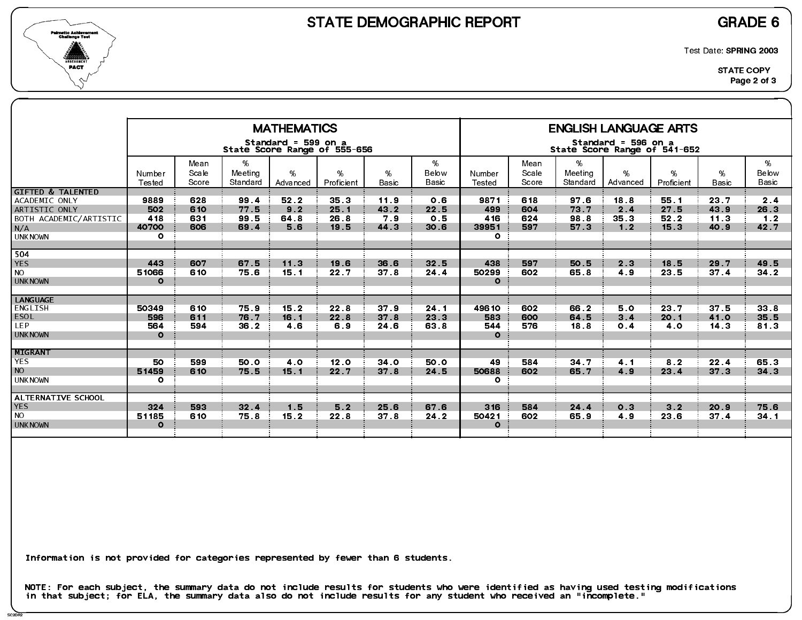



Test Date: SPRING 2003

|                                                                                                                   |                                        |                          |                              | <b>MATHEMATICS</b><br>Standard = 599 on a<br>State Score Range of 555-656 |                                         |                             |                            |                                         |                          |                              | <b>ENGLISH LANGUAGE ARTS</b><br>Standard = 596 on a<br>State Score Range of 541-652 |                              |                                 |                                 |
|-------------------------------------------------------------------------------------------------------------------|----------------------------------------|--------------------------|------------------------------|---------------------------------------------------------------------------|-----------------------------------------|-----------------------------|----------------------------|-----------------------------------------|--------------------------|------------------------------|-------------------------------------------------------------------------------------|------------------------------|---------------------------------|---------------------------------|
|                                                                                                                   | Number<br>Tested                       | Mean<br>Scale<br>Score   | %<br>Meeting<br>Standard     | $\%$<br>Advanced                                                          | %<br>Proficient                         | %<br><b>Basic</b>           | %<br>Below<br>Basic        | Number<br>Tested                        | Mean<br>Scale<br>Score   | %<br>Meeting<br>Standard     | %<br>Advanced                                                                       | %<br>Proficient              | %<br><b>Basic</b>               | %<br>Below<br><b>Basic</b>      |
| <b>GIFTED &amp; TALENTED</b><br>ACADEMIC ONLY<br>ARTISTIC ONLY<br>BOTH ACADEMIC/ARTISTIC<br>N/A<br><b>UNKNOWN</b> | 9889<br>502<br>418<br>40700<br>$\circ$ | 628<br>610<br>631<br>606 | 99.4<br>77.5<br>99.5<br>69.4 | 52.2<br>9.2<br>64 8<br>5.6                                                | 35 <sub>3</sub><br>25.1<br>26.8<br>19.5 | 11.9<br>43 2<br>7.9<br>44 3 | 0.6<br>22.5<br>0.5<br>30.6 | 9871<br>499<br>416<br>39951<br>$\Omega$ | 618<br>604<br>624<br>597 | 97.6<br>73.7<br>98 8<br>57 3 | 18.8<br>2.4<br>35.3<br>1.2                                                          | 55.1<br>27.5<br>52.2<br>15.3 | 23.7<br>43.9<br>11.3<br>40.9    | 2.4<br>26.3<br>1.2<br>42.7      |
| 504<br><b>YES</b><br><b>NO</b><br><b>UNKNOWN</b>                                                                  | 443<br>51066<br>$\mathbf{o}$           | 607<br>610               | 67 5<br>75.6                 | 11.3<br>15.1                                                              | 19.6<br>22.7                            | 36.6<br>37.8                | 32.5<br>24.4               | 438<br>50299<br>$\Omega$                | 597<br>602               | 50.5<br>65 8                 | 2.3<br>4.9                                                                          | 18.5<br>23 5                 | 29.7<br>37 <sub>1</sub>         | 49.5<br>$34.2$                  |
| <b>LANGUAGE</b><br>ENGLISH<br><b>ESOL</b><br>LEP.<br><b>UNKNOWN</b>                                               | 50349<br>596<br>564<br>$\Omega$        | 610<br>611<br>594        | 75.9<br>76.7<br>36.2         | 15.2<br>16.1<br>4.6                                                       | 22.8<br>22.8<br>6.9                     | 37.9<br>37.8<br>24 6        | 24.1<br>23.3<br>63 8       | 49610<br>583<br>544<br>$\mathbf{o}$     | 602<br>600<br>576        | 66.2<br>64.5<br>18.8         | 5.0<br>3 <sub>1</sub><br>0.4                                                        | 23.7<br>20.1<br>4.0          | 37.5<br>41.0<br>14 <sub>3</sub> | 33 <sub>8</sub><br>35.5<br>81.3 |
| MIGRANT<br><b>YES</b><br><b>NO</b><br><b>UNKNOWN</b>                                                              | 50<br>51459<br>$\circ$                 | 599<br>610               | 50.0<br>75.5                 | 4.0<br>15.1                                                               | 12.0<br>22.7                            | 34 <sub>o</sub><br>37.8     | 50.0<br>24.5               | 49<br>50688<br>$\mathbf{o}$             | 584<br>602               | 34 7<br>65.7                 | 4 <sub>1</sub><br>4.9                                                               | 8 <sub>2</sub><br>23.4       | 22.4<br>37 <sub>3</sub>         | 65 3<br>34 <sub>3</sub>         |
| ALTERNATIVE SCHOOL<br><b>YES</b><br><b>NO</b><br><b>UNKNOWN</b>                                                   | 324<br>51185<br>$\mathbf{o}$           | 593<br>610               | 32.4<br>75.8                 | 1.5<br>15.2                                                               | 5.2<br>22.8                             | 25.6<br>37.8                | 67.6<br>24.2               | 316<br>50421<br>$\Omega$                | 584<br>602               | 24 4<br>65.9                 | 0 <sub>3</sub><br>4.9                                                               | 3.2<br>23 6                  | 20.9<br>37.4                    | 75.6<br>34.1                    |

Information is not provided for categories represented by fewer than 6 students.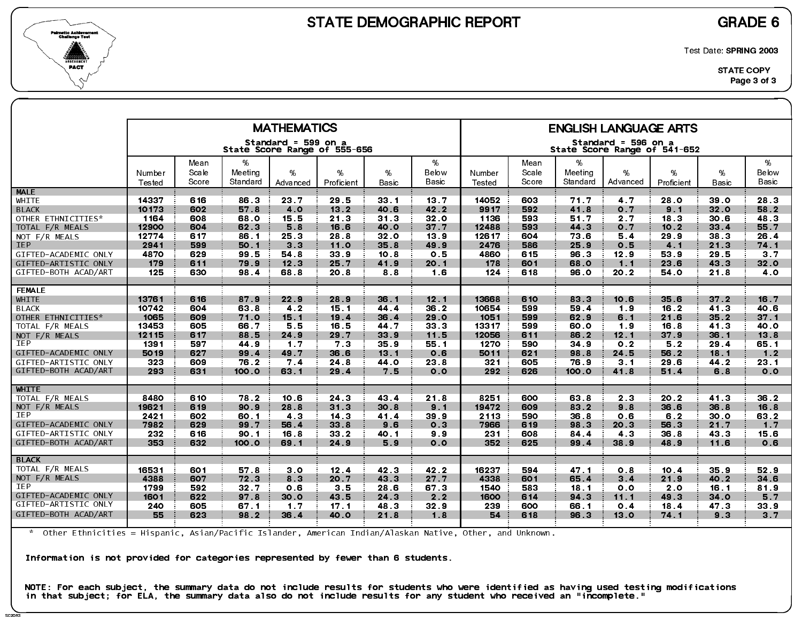



Test Date: SPRING 2003

|                      |                  |               |              | <b>MATHEMATICS</b>                                  |                 |                 |                 |                  |               |              | <b>ENGLISH LANGUAGE ARTS</b>                        |                 |                 |                 |
|----------------------|------------------|---------------|--------------|-----------------------------------------------------|-----------------|-----------------|-----------------|------------------|---------------|--------------|-----------------------------------------------------|-----------------|-----------------|-----------------|
|                      |                  |               |              | Standard = 599 on a<br>State Score Range of 555-656 |                 |                 |                 |                  |               |              | Standard = 596 on a<br>State Score Range of 541-652 |                 |                 |                 |
|                      |                  | Mean<br>Scale | %<br>Meeting | %                                                   | %               | %               | %<br>Below      |                  | Mean<br>Scale | %<br>Meeting | %                                                   | %               | %               | %<br>Below      |
|                      | Number<br>Tested | Score         | Standard     | Advanced                                            | Proficient      | Basic           | Basic           | Number<br>Tested | Score         | Standard     | Advanced                                            | Proficient      | Basic           | Basic           |
| <b>MALE</b>          |                  |               |              |                                                     |                 |                 |                 |                  |               |              |                                                     |                 |                 |                 |
| WHITE                | 14337            | 616           | 86.3         | 23.7                                                | 29.5            | 33.1            | 13.7            | 14052            | 603           | 71.7         | 4.7                                                 | 28.0            | 39.0            | 28 3            |
| <b>BLACK</b>         | 10173            | 602           | 57.8         | 4.0                                                 | 13.2            | 40.6            | 42.2            | 9917             | 592           | 41.8         | 0 <sub>7</sub>                                      | 9.1             | 32.0            | 58.2            |
| OTHER ETHNICITIES*   | 1164             | 608           | 68.0         | 15.5                                                | 21.3            | 31.3            | 32 <sub>0</sub> | 1136             | 593           | 51.7         | 2.7                                                 | 18 <sub>3</sub> | 30.6            | 48 3            |
| TOTAL F/R MEALS      | 12900            | 604           | 62.3         | 5.8                                                 | 16.6            | 40.0            | 37.7            | 12488            | 593           | 44 3         | 0.7                                                 | 10.2            | 33.4            | 55.7            |
| NOT F/R MEALS        | 12774            | 617           | 86.1         | 25.3                                                | 28.8            | 32 <sub>0</sub> | 13.9            | 12617            | 604           | 73 6         | 5.4                                                 | 29.9            | 38 <sub>3</sub> | 26.4            |
| <b>IEP</b>           | 2941             | 599           | 50.1         | 3 <sub>3</sub>                                      | 11.0            | 35.8            | 49.9            | 2476             | 586           | 25.9         | 0.5                                                 | 4.1             | 21.3            | 74 1            |
| GIFTED-ACADEMIC ONLY | 4870             | 629           | 99.5         | 54.8                                                | 33.9            | 10 <sub>8</sub> | 0.5             | 4860             | 615           | 96.3         | 12.9                                                | 53.9            | 29.5            | 3 <sub>7</sub>  |
| GIFTED-ARTISTIC ONLY | 179              | 611           | 79.9         | 12.3                                                | 25.7            | 41.9            | 20.1            | 178              | 601           | 68.0         | 1.1                                                 | 23 6            | 43 3            | 32.0            |
| GIFTED-BOTH ACAD/ART | 125              | 630           | 98.4         | 68.8                                                | 20.8            | 88              | 1.6             | 124              | 618           | 96.0         | 20 2                                                | 54.0            | 21.8            | 4.0             |
| <b>FEMALE</b>        |                  |               |              |                                                     |                 |                 |                 |                  |               |              |                                                     |                 |                 |                 |
| <b>WHITE</b>         | 13761            | 616           | 87.9         | 22.9                                                | 28.9            | 36.1            | 12.1            | 13668            | 610           | 83.3         | 10.6                                                | 35.6            | 37.2            | 16.7            |
| <b>BLACK</b>         | 10742            | 604           | 63.8         | 4 <sub>2</sub>                                      | 15.1            | 44.4            | 36.2            | 10654            | 599           | 59.4         | 1.9                                                 | 16.2            | 41.3            | 40.6            |
| OTHER ETHNICITIES*   | 1065             | 609           | 71.0         | 15.1                                                | 19.4            | 36.4            | 29.0            | 1051             | 599           | 62.9         | 6.1                                                 | 21.6            | 35.2            | 37 <sub>1</sub> |
| TOTAL F/R MEALS      | 13453            | 605           | 66.7         | 5.5                                                 | 16.5            | 44.7            | 33.3            | 13317            | 599           | 60.0         | 1.9                                                 | 16.8            | 41.3            | 40.O            |
| NOT $F/R$ MEALS      | 12115            | 617           | 88.5         | 24.9                                                | 29.7            | 33.9            | 11.5            | 12056            | 611           | 86.2         | 12.1                                                | 37.9            | 36.1            | 13.8            |
| <b>IEP</b>           | 1391             | 597           | 44 9         | 1.7                                                 | 73              | 35.9            | 55.1            | 1270             | 590           | 34.9         | 0.2                                                 | 5.2             | 29.4            | 65 1            |
| GIFTED-ACADEMIC ONLY | 5019             | 627           | 99.4         | 49.7                                                | 36.6            | 13.1            | 0.6             | 5011             | 621           | 98.8         | 24 5                                                | 56.2            | 18.1            | 1.2             |
| GIFTED-ARTISTIC ONLY | 323              | 609           | 76.2         | 7.4                                                 | 24.8            | 44 O            | 23.8            | 321              | 605           | 76.9         | 3.1                                                 | 29.6            | 44.2            | 23.1            |
| GIFTED-BOTH ACAD/ART | 293              | 631           | 100.0        | 63 1                                                | 29.4            | 75              | 0.0             | 292              | 626           | 100.0        | 41.8                                                | 51.4            | 6.8             | 0.0             |
| <b>WHITE</b>         |                  |               |              |                                                     |                 |                 |                 |                  |               |              |                                                     |                 |                 |                 |
| TOTAL F/R MEALS      | 8480             | 610           | 78.2         | 10.6                                                | 24.3            | 43.4            | 21.8            | 8251             | 600           | 63.8         | 2 <sub>3</sub>                                      | 20.2            | 41 3            | 36.2            |
| NOT F/R MEALS        | 19621            | 619           | 90.9         | 28.8                                                | 31.3            | 30.8            | 9.1             | 19472            | 609           | 83.2         | 9.8                                                 | 36.6            | 36.8            | 16.8            |
| IEP                  | 2421             | 602           | 60.1         | 4 3                                                 | 14.3            | 41.4            | 39.9            | 2113             | 590           | 36.8         | 0.6                                                 | 6.2             | 30.0            | 63.2            |
| GIFTED-ACADEMIC ONLY | 7982             | 629           | 99.7         | 56.4                                                | 33.8            | 9.6             | 0 <sub>3</sub>  | 7966             | 619           | 98.3         | 20.3                                                | 56.3            | 21.7            | 1 <sub>7</sub>  |
| GIFTED-ARTISTIC ONLY | 232              | 616           | 90.1         | 16.8                                                | 33.2            | 40.1            | 9.9             | 231              | 608           | 84.4         | 4 3                                                 | 36.8            | 43.3            | 15.6            |
| GIFTED-BOTH ACAD/ART | 353              | 632           | 100.0        | 69.1                                                | 24.9            | 59              | 0.0             | 352              | 625           | 99.4         | 38.9                                                | 48.9            | 11.6            | 0.6             |
| <b>BLACK</b>         |                  |               |              |                                                     |                 |                 |                 |                  |               |              |                                                     |                 |                 |                 |
| TOTAL F/R MEALS      | 16531            | 601           | 57.8         | 3.0                                                 | 12.4            | 42 3            | 42 2            | 16237            | 594           | 47.1         | 0.8                                                 | 10.4            | 35.9            | 52.9            |
| NOT F/R MEALS        | 4388             | 607           | 72.3         | 8 3                                                 | 20 7            | 43 3            | 27.7            | 4338             | 601           | 65.4         | 3 <sub>4</sub>                                      | 21.9            | 40.2            | 34 6            |
| <b>IEP</b>           | 1799             | 592           | 32.7         | 0.6                                                 | 35              | 28.6            | 67 3            | 1540             | 583           | 18.1         | 0.0                                                 | 2.0             | 16.1            | 81.9            |
| GIFTED-ACADEMIC ONLY | 1601             | 622           | 97 8         | 30.0                                                | 43.5            | 24 3            | 2.2             | 1600             | 614           | 94 3         | 11.1                                                | 49.3            | 34.0            | 5.7             |
| GIFTED-ARTISTIC ONLY | 240              | 605           | 67.1         | 1.7                                                 | 17 <sub>1</sub> | 48 3            | 32.9            | 239              | 600           | 66.1         | 0.4                                                 | 18.4            | 47.3            | 33.9            |
| GIFTED-BOTH ACAD/ART | 55               | 623           | 98.2         | 36.4                                                | 40.0            | 21.8            | 1.8             | 54               | 618           | 96.3         | 13.0                                                | 74 1            | 9.3             | $3 \cdot 7$     |
|                      |                  |               |              |                                                     |                 |                 |                 |                  |               |              |                                                     |                 |                 |                 |

\* Other Ethnicities = Hispanic, Asian/Pacific Islander, American Indian/Alaskan Native, Other, and Unknown.

Information is not provided for categories represented by fewer than 6 students.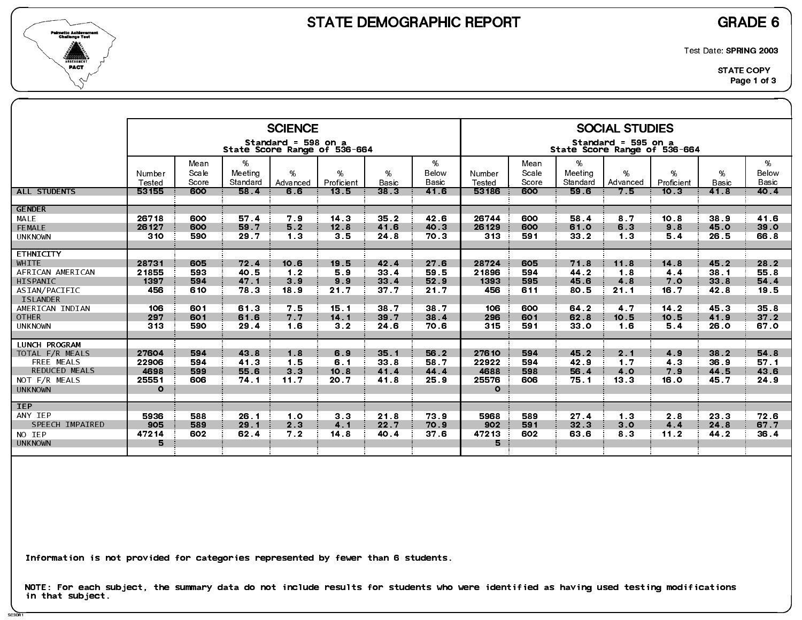

SC3DR1

Test Date: SPRING 2003

|                                  |                  |                        |                          | <b>SCIENCE</b>      |                              |                      |                     |                  |                        |                             | <b>SOCIAL STUDIES</b>                               |                 |                   |                            |
|----------------------------------|------------------|------------------------|--------------------------|---------------------|------------------------------|----------------------|---------------------|------------------|------------------------|-----------------------------|-----------------------------------------------------|-----------------|-------------------|----------------------------|
|                                  |                  |                        |                          | Standard = 598 on a | State Score Range of 536-664 |                      |                     |                  |                        |                             | Standard = 595 on a<br>State Score Range of 536-664 |                 |                   |                            |
|                                  | Number<br>Tested | Mean<br>Scale<br>Score | %<br>Meeting<br>Standard | %<br>Advanced       | %<br>Proficient              | $\%$<br><b>Basic</b> | %<br>Below<br>Basic | Number<br>Tested | Mean<br>Scale<br>Score | $\%$<br>Meeting<br>Standard | %<br>Advanced                                       | %<br>Proficient | %<br><b>Basic</b> | %<br>Below<br><b>Basic</b> |
| <b>ALL STUDENTS</b>              | 53155            | 600                    | 58.4                     | 6.6                 | 13.5                         | 38 <sub>3</sub>      | 41.6                | 53186            | 600                    | 59.6                        | 7.5                                                 | 10.3            | 41.8              | 40.4                       |
| <b>GENDER</b>                    |                  |                        |                          |                     |                              |                      |                     |                  |                        |                             |                                                     |                 |                   |                            |
| MALE                             | 26718            | 600                    | 57.4                     | 79                  | 14.3                         | 35.2                 | 42.6                | 26744            | 600                    | 58.4                        | 87                                                  | 10.8            | 38.9              | 41.6                       |
| <b>FEMALE</b>                    | 26127<br>310     | 600<br>590             | 59.7                     | 5.2                 | 12.8                         | 41.6                 | 40 3                | 26129            | 600<br>591             | 61.0                        | 6.3<br>1.3                                          | 9.8             | 45.0              | 39 0                       |
| <b>UNKNOWN</b>                   |                  |                        | 29.7                     | 1 <sub>3</sub>      | 3.5                          | 24 8                 | 70.3                | 313              |                        | 33.2                        |                                                     | 5.4             | 26.5              | 66.8                       |
| <b>ETHNICITY</b>                 |                  |                        |                          |                     |                              |                      |                     |                  |                        |                             |                                                     |                 |                   |                            |
| WHITE                            | 28731            | 605                    | 72.4                     | 10.6                | 19.5                         | 42.4                 | 27.6                | 28724            | 605                    | 71.8                        | 11.8                                                | 14.8            | 45.2              | 28.2                       |
| AFRICAN AMERICAN                 | 21855            | 593                    | 40.5                     | 1.2                 | 5.9                          | 33.4                 | 59.5                | 21896            | 594                    | 44.2                        | 1.8                                                 | 44              | 38.1              | 55.8                       |
| HISPANIC                         | 1397             | 594                    | 47.1                     | 3.9                 | 9.9                          | 33.4                 | 52.9                | 1393             | 595                    | 45.6                        | 4.8                                                 | 7.0             | 33.8              | 54 4                       |
| ASIAN/PACIFIC<br><b>ISLANDER</b> | 456              | 610                    | 78.3                     | 18.9                | 21.7                         | 37.7                 | 21.7                | 456              | 611                    | 80.5                        | 21.1                                                | 16.7            | 42.8              | 19.5                       |
| AMERICAN INDIAN                  | 106              | 601                    | 61 3                     | 7.5                 | 15.1                         | 38 7                 | 38.7                | 106              | 600                    | 64.2                        | 4 7                                                 | $14.2$          | 45.3              | 35.8                       |
| <b>OTHER</b>                     | 297              | 601                    | 61.6                     | 7.7                 | 14.1                         | 39.7                 | 38.4                | 296              | 601                    | 62.8                        | 10.5                                                | 10.5            | 41.9              | $372$                      |
| <b>UNKNOWN</b>                   | 313              | 590                    | 29.4                     | 1.6                 | 3.2                          | 24.6                 | 70.6                | 315              | 591                    | 33 <sub>0</sub>             | 1.6                                                 | 5.4             | 26.0              | 67.0                       |
|                                  |                  |                        |                          |                     |                              |                      |                     |                  |                        |                             |                                                     |                 |                   |                            |
| <b>LUNCH PROGRAM</b>             | 27604            | 594                    | 43.8                     | 1.8                 | 6.9                          | 35.1                 | 56.2                | 27610            | 594                    | 45.2                        | 2.1                                                 | 4.9             | 38.2              | 54 8                       |
| TOTAL F/R MEALS<br>FREE MEALS    | 22906            | 594                    | 41 3                     | 1.5                 | 6.1                          | 33.8                 | 58.7                | 22922            | 594                    | 42.9                        | 1 <sub>7</sub>                                      | 4 <sub>3</sub>  | 36.9              | 57.1                       |
| <b>REDUCED MEALS</b>             | 4698             | 599                    | 55.6                     | 3 <sub>3</sub>      | 10.8                         | 41.4                 | 44.4                | 4688             | 598                    | 56.4                        | 4.0                                                 | 7.9             | 44.5              | 43 6                       |
| NOT F/R MEALS                    | 25551            | 606                    | 74.1                     | 11.7                | 20.7                         | 41.8                 | 25.9                | 25576            | 606                    | 75.1                        | 13 <sub>3</sub>                                     | 16.0            | 45.7              | 24.9                       |
| <b>UNKNOWN</b>                   | $\circ$          |                        |                          |                     |                              |                      |                     | $\circ$          |                        |                             |                                                     |                 |                   |                            |
| <b>IEP</b>                       |                  |                        |                          |                     |                              |                      |                     |                  |                        |                             |                                                     |                 |                   |                            |
| ANY IEP                          | 5936             | 588                    | 26.1                     | 1.0                 | 3 <sub>3</sub>               | 21.8                 | 73.9                | 5968             | 589                    | 27.4                        | 1 <sub>3</sub>                                      | 2.8             | 23.3              | 72.6                       |
| SPEECH IMPAIRED                  | 905              | 589                    | 29.1                     | 2.3                 | 4.1                          | 22.7                 | 70.9                | 902              | 591                    | 32.3                        | 3.0                                                 | 4.4             | 24 8              | 67.7                       |
| NO IEP                           | 47214            | 602                    | 62.4                     | 7.2                 | 14.8                         | 40.4                 | 37 <sub>6</sub>     | 47213            | 602                    | 63 6                        | 83                                                  | 11.2            | 44.2              | 36.4                       |
| <b>UNKNOWN</b>                   | 5                |                        |                          |                     |                              |                      |                     | 5                |                        |                             |                                                     |                 |                   |                            |
|                                  |                  |                        |                          |                     |                              |                      |                     |                  |                        |                             |                                                     |                 |                   |                            |

Information is not provided for categories represented by fewer than 6 students.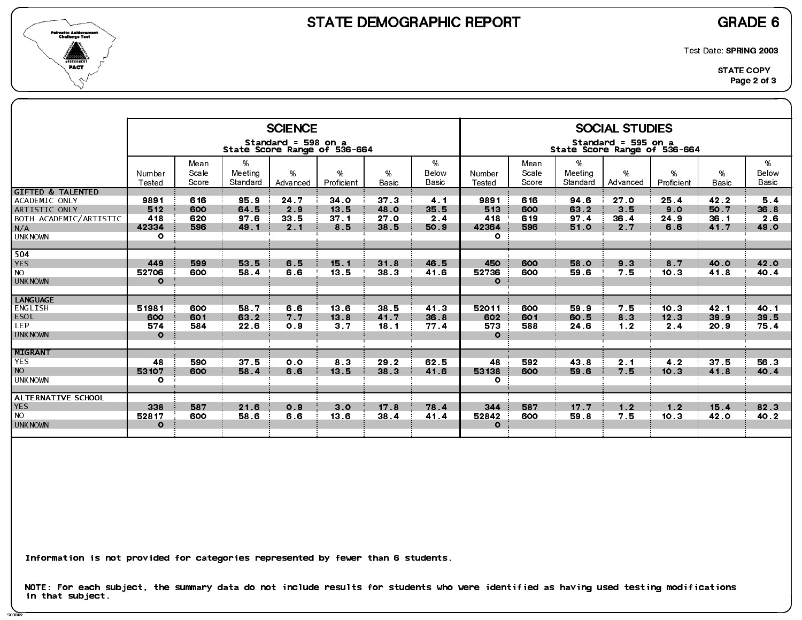

SC3DR2

Test Date: SPRING 2003

|                                                                                                                   |                                        |                          |                              | <b>SCIENCE</b>                                      |                                        |                                         |                                       |                                         |                          |                              | <b>SOCIAL STUDIES</b>                   |                            |                              |                            |
|-------------------------------------------------------------------------------------------------------------------|----------------------------------------|--------------------------|------------------------------|-----------------------------------------------------|----------------------------------------|-----------------------------------------|---------------------------------------|-----------------------------------------|--------------------------|------------------------------|-----------------------------------------|----------------------------|------------------------------|----------------------------|
|                                                                                                                   |                                        |                          |                              | Standard = 598 on a<br>State Score Range of 536-664 |                                        |                                         |                                       |                                         |                          | State Score Range of 536-664 | Standard = 595 on a                     |                            |                              |                            |
|                                                                                                                   | Number<br>Tested                       | Mean<br>Scale<br>Score   | %<br>Meeting<br>Standard     | $\%$<br>Advanced                                    | %<br>Proficient                        | %<br>Basic                              | %<br>Below<br>Basic                   | Number<br>Tested                        | Mean<br>Scale<br>Score   | %<br>Meeting<br>Standard     | %<br>Advanced                           | %<br>Proficient            | %<br><b>Basic</b>            | %<br>Below<br><b>Basic</b> |
| <b>GIFTED &amp; TALENTED</b><br>ACADEMIC ONLY<br>ARTISTIC ONLY<br>BOTH ACADEMIC/ARTISTIC<br>N/A<br><b>UNKNOWN</b> | 9891<br>512<br>418<br>42334<br>$\circ$ | 616<br>600<br>620<br>596 | 95.9<br>64.5<br>97 6<br>49.1 | 24 7<br>2.9<br>33 5<br>2.1                          | 34 0<br>13.5<br>37 <sub>1</sub><br>8.5 | 37 <sub>3</sub><br>48.O<br>27.0<br>38 5 | 4 <sub>1</sub><br>35.5<br>2.4<br>50.9 | 9891<br>513<br>418<br>42364<br>$\Omega$ | 616<br>600<br>619<br>596 | 94.6<br>63.2<br>97.4<br>51.0 | 27 <sub>o</sub><br>3.5<br>36.4<br>2.7   | 25.4<br>9.0<br>24.9<br>6.6 | 42.2<br>50.7<br>36.1<br>41.7 | 5.4<br>36.8<br>2.6<br>49 0 |
| 504<br><b>YES</b><br><b>NO</b><br><b>UNKNOWN</b>                                                                  | 449<br>52706<br>$\circ$                | 599<br>600               | 53.5<br>58.4                 | 6.5<br>6.6                                          | 15.1<br>13.5                           | 31.8<br>38.3                            | 46.5<br>41.6                          | 450<br>52736<br>$\circ$                 | 600<br>600               | 58.0<br>59 6                 | 9 <sub>3</sub><br>7.5                   | 8.7<br>10.3                | 40.0<br>41.8                 | 42.0<br>40.4               |
| <b>LANGUAGE</b><br>ENGLISH<br>ESOL<br><b>LEP</b><br><b>UNKNOWN</b>                                                | 51981<br>600<br>574<br>$\Omega$        | 600<br>601<br>584        | 58.7<br>63.2<br>22.6         | 6.6<br>7.7<br>0.9                                   | 13.6<br>13.8<br>3 <sub>7</sub>         | 38 5<br>41.7<br>18.1                    | 41 3<br>36.8<br>77.4                  | 52011<br>602<br>573<br>$\Omega$         | 600<br>601<br>588        | 59.9<br>60.5<br>24 6         | 7.5<br>8 <sub>3</sub><br>1 <sub>2</sub> | 10.3<br>12.3<br>2.4        | 42.1<br>39.9<br>20.9         | 40.1<br>39 5<br>75.4       |
| MIGRANT<br><b>YES</b><br><b>NO</b><br><b>UNKNOWN</b>                                                              | 48<br>53107<br>$\circ$                 | 590<br>600               | 37.5<br>58.4                 | 0.0<br>6.6                                          | 8 3<br>13.5                            | 29.2<br>38 3                            | 62.5<br>41.6                          | 48<br>53138<br>$\mathbf{o}$             | 592<br>600               | 43 8<br>59.6                 | 2.1<br>7.5                              | 4 <sub>2</sub><br>10.3     | 37.5<br>41.8                 | 56.3<br>40.4               |
| ALTERNATIVE SCHOOL<br><b>YES</b><br><b>NO</b><br><b>UNKNOWN</b>                                                   | 338<br>52817<br>$\Omega$               | 587<br>600               | 21.6<br>58.6                 | O.9<br>6.6                                          | 3.0<br>13.6                            | 17 <sub>8</sub><br>38 4                 | 78.4<br>41.4                          | 344<br>52842<br>$\Omega$                | 587<br>600               | 17.7<br>59 8                 | 1.2<br>7.5                              | 1.2<br>10.3                | 15.4<br>42 0                 | 82 3<br>40.2               |

Information is not provided for categories represented by fewer than 6 students.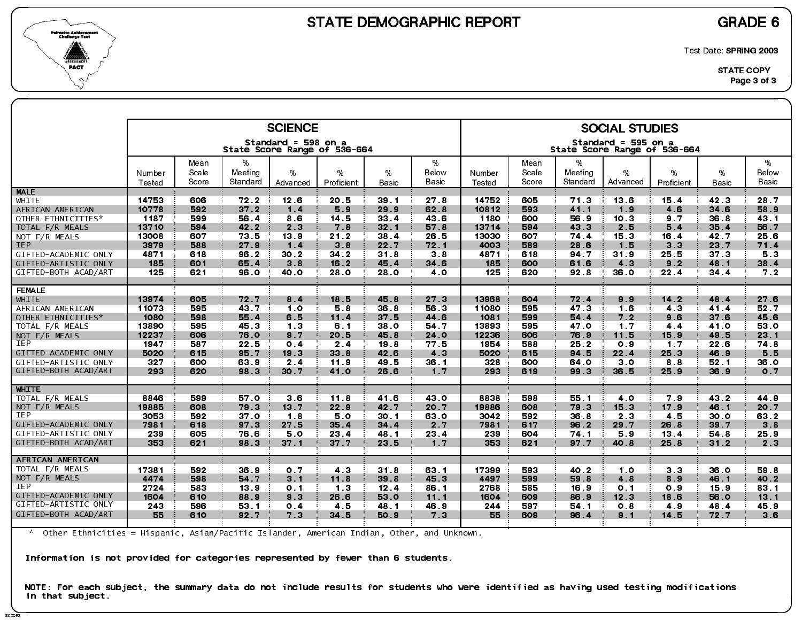

SC3DR<sup>3</sup>

Test Date: SPRING 2003

|                             |                |               |                 | <b>SCIENCE</b>                                      |                |                 |                 |                |               |                 | <b>SOCIAL STUDIES</b>                               |                |                 |                |
|-----------------------------|----------------|---------------|-----------------|-----------------------------------------------------|----------------|-----------------|-----------------|----------------|---------------|-----------------|-----------------------------------------------------|----------------|-----------------|----------------|
|                             |                |               |                 | Standard = 598 on a<br>State Score Range of 536-664 |                |                 |                 |                |               |                 | Standard = 595 on a<br>State Score Range of 536-664 |                |                 |                |
|                             | Number         | Mean<br>Scale | %<br>Meeting    | %                                                   | %              | %               | %<br>Below      | Number         | Mean<br>Scale | %<br>Meeting    | %                                                   | %              | %               | %<br>Below     |
|                             | Tested         | Score         | Standard        | Advanced                                            | Proficient     | Basic           | Basic           | Tested         | Score         | Standard        | Advanced                                            | Proficient     | Basic           | Basic          |
| <b>MALE</b>                 |                |               |                 |                                                     |                |                 |                 |                |               |                 |                                                     |                |                 |                |
| WHITE                       | 14753<br>10778 | 606<br>592    | 72.2            | 12.6                                                | 20.5           | 39.1            | 27 <sub>8</sub> | 14752<br>10812 | 605<br>593    | 71.3            | 13.6                                                | 15.4<br>4.6    | 42 3<br>34.6    | 28.7<br>58.9   |
| AFRICAN AMERICAN            | 1187           |               | $372$<br>56.4   | 1.4<br>8.6                                          | 5.9            | 29.9<br>33.4    | 62.8<br>43.6    | 1180           | 600           | 41.1<br>56.9    | 1.9<br>10.3                                         | 9 <sub>7</sub> | 36.8            | 43.1           |
| OTHER ETHNICITIES*          |                | 599           |                 |                                                     | 14.5           |                 |                 |                |               |                 |                                                     |                |                 |                |
| TOTAL F/R MEALS             | 13710<br>13008 | 594<br>607    | 42.2<br>73.5    | 2.3<br>13.9                                         | 7.8<br>21.2    | 32.1<br>38.4    | 57.8<br>26.5    | 13714<br>13030 | 594<br>607    | 43.3<br>74.4    | 2.5<br>15.3                                         | 5.4<br>16.4    | 35.4<br>42.7    | 56.7<br>25.6   |
| NOT F/R MEALS<br><b>IEP</b> | 3979           | 588           | 27.9            | 1.4                                                 | 3.8            | 22.7            | 72.1            | 4003           | 589           | 28.6            | 1.5                                                 | 3 <sub>3</sub> | 23.7            | 71.4           |
| GIFTED-ACADEMIC ONLY        | 4871           | 618           | 96.2            | 30.2                                                | 34.2           | 31.8            | 38              | 4871           | 618           | 94.7            | 31.9                                                | 25.5           | 37 <sub>3</sub> | 53             |
| GIFTED-ARTISTIC ONLY        | 185            | 601           | 65.4            | 3.8                                                 | 16.2           | 45.4            | 34.6            | 185            | 600           | 61.6            | 4.3                                                 | 9.2            | 48.1            | 38.4           |
| GIFTED-BOTH ACAD/ART        | 125            | 621           | 96.0            | 40.0                                                | 28.0           | 28.0            | 4 O             | 125            | 620           | 92.8            | 36.0                                                | 22.4           | 34.4            | 7 <sub>2</sub> |
|                             |                |               |                 |                                                     |                |                 |                 |                |               |                 |                                                     |                |                 |                |
| <b>FEMALE</b>               |                |               |                 |                                                     |                |                 |                 |                |               |                 |                                                     |                |                 |                |
| <b>WHITE</b>                | 13974          | 605           | 72.7            | 8.4                                                 | 18.5           | 45.8            | 27.3            | 13968          | 604           | 72.4            | 9.9                                                 | $14.2$         | 48.4            | 27.6           |
| AFRICAN AMERICAN            | 11073          | 595           | 43.7            | 1.0                                                 | 5.8            | 36.8            | 56.3            | 11080          | 595           | 47 <sub>3</sub> | 1.6                                                 | 4 <sub>3</sub> | 41.4            | 52.7           |
| OTHER ETHNICITIES*          | 1080           | 598           | 55.4            | 6.5                                                 | 11.4           | 37 <sub>5</sub> | 44 6            | 1081           | 599           | 54.4            | 7 <sub>2</sub>                                      | 9.6            | 37.6            | 45.6           |
| TOTAL F/R MEALS             | 13890          | 595           | 45.3            | 1 <sub>3</sub>                                      | 6.1            | 38.0            | 54.7            | 13893          | 595           | 47.0            | 1.7                                                 | 4.4            | 41.0            | 53 0           |
| NOT F/R MEALS               | 12237          | 606           | 76.0            | 9.7                                                 | 20.5           | 45.8            | 24.0            | 12236          | 606           | 76.9            | 11.5                                                | 15.9           | 49.5            | 23.1           |
| <b>IEP</b>                  | 1947           | 587           | 22.5            | 0.4                                                 | 2.4            | 19.8            | 77.5            | 1954           | 588           | 25.2            | 0.9                                                 | 1.7            | 22.6            | 74 8           |
| GIFTED-ACADEMIC ONLY        | 5020           | 615           | 95.7            | 19.3                                                | 33.8           | 42.6            | 4.3             | 5020           | 615           | 94 5            | 22.4                                                | 25.3           | 46.9            | 5.5            |
| GIFTED-ARTISTIC ONLY        | 327            | 600           | 63.9            | 2.4                                                 | 11.9           | 49 5            | 36.1            | 328            | 600           | 64.0            | 3 <sub>0</sub>                                      | 8.8            | 52.1            | 36.0           |
| GIFTED-BOTH ACAD/ART        | 293            | 620           | 98.3            | 30.7                                                | 41.0           | 26.6            | 1.7             | 293            | 619           | 99.3            | 36.5                                                | 25.9           | 36.9            | 0 <sub>7</sub> |
|                             |                |               |                 |                                                     |                |                 |                 |                |               |                 |                                                     |                |                 |                |
| <b>WHITE</b>                |                |               |                 |                                                     |                |                 |                 |                |               |                 |                                                     |                |                 |                |
| TOTAL F/R MEALS             | 8846           | 599           | 57.0            | 3.6                                                 | 11.8           | 41.6            | 43.0            | 8838           | 598           | 55.1            | 40                                                  | 79             | 43.2            | 44.9           |
| NOT F/R MEALS               | 19885          | 608           | 79.3            | 13.7                                                | 22.9           | 42 7            | 20 7            | 19886          | 608           | 79 3            | 15.3                                                | 17.9           | 46.1            | 20.7           |
| IEP                         | 3053           | 592           | 37 <sub>o</sub> | 1.8                                                 | 5.0            | 30.1            | 63 0            | 3042           | 592           | 36.8            | 2 <sub>3</sub>                                      | 4.5            | 30.0            | 63.2           |
| GIFTED-ACADEMIC ONLY        | 7981           | 618           | 97.3            | 27 <sub>5</sub>                                     | 35.4           | $34.4$          | 2.7             | 7981           | 617           | 96.2            | 29.7                                                | 26.8           | 39.7            | 3.8            |
| GIFTED-ARTISTIC ONLY        | 239            | 605           | 76.6            | 5.0                                                 | 23.4           | 48 1            | 23.4            | 239            | 604           | 74 1            | 5.9                                                 | 13.4           | 54 8            | 25.9           |
| GIFTED-BOTH ACAD/ART        | 353            | 621           | 98.3            | 37.1                                                | 37.7           | 23.5            | 1.7             | 353            | 621           | 97.7            | 40.8                                                | 25.8           | $31.2$          | 2 <sub>3</sub> |
| AFRICAN AMERICAN            |                |               |                 |                                                     |                |                 |                 |                |               |                 |                                                     |                |                 |                |
| TOTAL F/R MEALS             | 17381          | 592           | 36.9            | 0.7                                                 | 4 <sub>3</sub> | 31.8            | 63 1            | 17399          | 593           | 40.2            | 1.0                                                 | 3 <sub>3</sub> | 36.0            | 59 8           |
| NOT F/R MEALS               | 4474           | 598           | 54.7            | 3.1                                                 | 11.8           | 39.8            | 45.3            | 4497           | 599           | 59.8            | 4.8                                                 | 8.9            | 46.1            | 40.2           |
| IEP                         | 2724           | 583           | 13 9            | 0 <sub>1</sub>                                      | 1 <sub>3</sub> | 12.4            | 86.1            | 2768           | 585           | 16.9            | 0.1                                                 | 0.9            | 15.9            | 83 1           |
| GIFTED-ACADEMIC ONLY        | 1604           | 610           | 88.9            | 9.3                                                 | 26.6           | 53.0            | 11.1            | 1604           | 609           | 86.9            | 12.3                                                | 18.6           | 56.0            | 13.1           |
| GIFTED-ARTISTIC ONLY        | 243            | 596           | 53 1            | 0.4                                                 | 45             | 48.1            | 46.9            | 244            | 597           | 54 1            | 0.8                                                 | 4.9            | 48.4            | 45.9           |
| GIFTED-BOTH ACAD/ART        | 55             | 610           | 92.7            | 7 <sub>3</sub>                                      | 34.5           | 50.9            | 7.3             | 55             | 609           | 96.4            | 9.1                                                 | 14.5           | 72.7            | 3.6            |
|                             |                |               |                 |                                                     |                |                 |                 |                |               |                 |                                                     |                |                 |                |

\* Other Ethnicities = Hispanic, Asian/Pacific Islander, American Indian, Other, and Unknown.

Information is not provided for categories represented by fewer than 6 students.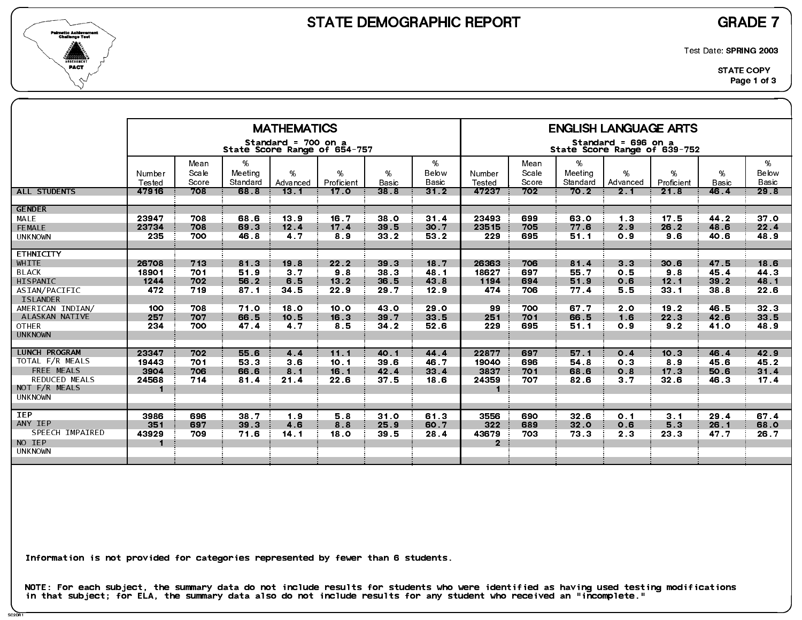



Test Date: SPRING 2003

|                                     |                               |               |                  | <b>MATHEMATICS</b>                                  |                               |                 |               |                       |               |                  | <b>ENGLISH LANGUAGE ARTS</b>                        |                         |                      |               |
|-------------------------------------|-------------------------------|---------------|------------------|-----------------------------------------------------|-------------------------------|-----------------|---------------|-----------------------|---------------|------------------|-----------------------------------------------------|-------------------------|----------------------|---------------|
|                                     |                               |               |                  | Standard = 700 on a<br>State Score Range of 654-757 |                               |                 |               |                       |               |                  | Standard = 696 on a<br>State Score Range of 639-752 |                         |                      |               |
|                                     | Number                        | Mean<br>Scale | %<br>Meeting     | %                                                   | %                             | $\%$            | %<br>Below    | Number                | Mean<br>Scale | %<br>Meeting     | %                                                   | %                       | %                    | %<br>Below    |
| <b>ALL STUDENTS</b>                 | Tested<br>47916               | Score<br>708  | Standard<br>68 8 | Advanced<br>13 <sub>1</sub>                         | Proficient<br>17 <sub>o</sub> | Basic<br>38.8   | Basic<br>31.2 | Tested<br>47237       | Score<br>702  | Standard<br>70.2 | Advanced<br>2.1                                     | Proficient<br>21.8      | <b>Basic</b><br>46.4 | Basic<br>29.8 |
| <b>GENDER</b>                       |                               |               |                  |                                                     |                               |                 |               |                       |               |                  |                                                     |                         |                      |               |
| MALE<br>FEMALE                      | 23947<br>23734                | 708<br>708    | 68 6<br>69.3     | 13.9<br>12.4                                        | 16.7<br>17.4                  | 38 O<br>39.5    | 31.4<br>30.7  | 23493<br>23515        | 699<br>705    | 63 0<br>77.6     | 1.3<br>2.9                                          | 17 <sub>5</sub><br>26.2 | 44.2<br>48.6         | 37 O<br>22.4  |
| <b>UNKNOWN</b>                      | 235                           | 700           | 46.8             | 47                                                  | 8.9                           | 33 2            | 53 2          | 229                   | 695           | 51.1             | 0.9                                                 | 9.6                     | 40.6                 | 48.9          |
| <b>ETHNICITY</b>                    |                               |               |                  |                                                     |                               |                 |               |                       |               |                  |                                                     |                         |                      |               |
| WHITE                               | 26708                         | 713           | 813              | 19.8                                                | 22.2                          | 39 <sub>3</sub> | 18.7          | 26363                 | 706           | 81.4             | 3 <sub>3</sub>                                      | 30.6                    | 47.5                 | 18.6          |
| <b>BLACK</b>                        | 18901                         | 701           | 51.9             | 3 <sub>7</sub>                                      | 98                            | 38 3            | 48.1          | 18627                 | 697           | 55.7             | 0.5                                                 | 98                      | 45.4                 | 44.3          |
| HISPANIC                            | 1244                          | 702           | 56.2             | 6.5                                                 | 13.2                          | 36.5            | 43 8          | 1194                  | 694           | 51.9             | 0.6                                                 | 12.1                    | 39.2                 | 48 1          |
| ASIAN/PACIFIC                       | 472                           | 719           | 87.1             | 34.5                                                | 22.9                          | 29 7            | 12.9          | 474                   | 706           | 77.4             | 5.5                                                 | 33.1                    | 38.8                 | 22.6          |
| <b>ISLANDER</b><br>AMERICAN INDIAN/ | 100                           | 708           | 71.0             | 18.0                                                | 10.0                          | 43 0            | 29 0          | 99                    | 700           | 67 7             | 2.0                                                 | 19.2                    | 46.5                 | 32.3          |
| ALASKAN NATIVE                      | 257                           | 707           | 66.5             | 10.5                                                | 16.3                          | 39.7            | 33 5          | 251                   | 701           | 66.5             | 1.6                                                 | 22.3                    | 42.6                 | 33.5          |
| <b>OTHER</b>                        | 234                           | 700           | 47.4             | 4 7                                                 | 8.5                           | 34 2            | 52 6          | 229                   | 695           | 51.1             | 0.9                                                 | 9.2                     | 41.0                 | 48.9          |
| <b>UNKNOWN</b>                      |                               |               |                  |                                                     |                               |                 |               |                       |               |                  |                                                     |                         |                      |               |
|                                     |                               |               |                  |                                                     |                               |                 |               |                       |               |                  |                                                     |                         |                      |               |
| <b>LUNCH PROGRAM</b>                | 23347                         | 702           | 55.6             | 4.4                                                 | 11.1                          | 40.1            | 44.4          | 22877                 | 697           | 57.1             | 0.4                                                 | 10.3                    | 46.4                 | 42.9          |
| TOTAL F/R MEALS                     | 19443                         | 701           | 53 3             | 3 <sub>6</sub>                                      | 10.1                          | 39 6            | 46.7          | 19040                 | 696           | 54.8             | 0 <sub>3</sub>                                      | 89                      | 45.6                 | 45.2          |
| FREE MEALS<br><b>REDUCED MEALS</b>  | 3904                          | 706           | 66.6             | 8.1                                                 | 16.1                          | 42.4            | 33.4          | 3837                  | 701           | 68.6             | O.8                                                 | 17.3                    | 50.6                 | 31.4          |
| NOT F/R MEALS                       | 24568<br>$\blacktriangleleft$ | 714           | 81.4             | 21.4                                                | 22.6                          | 37.5            | 18.6          | 24359                 | 707           | 82.6             | 3 <sub>7</sub>                                      | 32.6                    | 46.3                 | 17.4          |
| <b>UNKNOWN</b>                      |                               |               |                  |                                                     |                               |                 |               |                       |               |                  |                                                     |                         |                      |               |
|                                     |                               |               |                  |                                                     |                               |                 |               |                       |               |                  |                                                     |                         |                      |               |
| <b>IEP</b>                          | 3986                          | 696           | 38.7             | 1.9                                                 | 5.8                           | 31.0            | 61 3          | 3556                  | 690           | 32 <sub>6</sub>  | 0.1                                                 | 3.1                     | 29.4                 | 67 4          |
| ANY IEP<br>SPEECH IMPAIRED          | 351                           | 697           | 39.3             | 4.6                                                 | 8.8                           | 25.9            | 60.7          | 322                   | 689           | 32.0             | 0.6                                                 | 5.3                     | 26.1                 | 68.0          |
| NO IEP                              | 43929<br>-1                   | 709           | 71.6             | 14.1                                                | 18.0                          | 39.5            | 28.4          | 43679<br>$\mathbf{2}$ | 703           | 73.3             | 2 <sub>3</sub>                                      | 23 3                    | 47.7                 | 26.7          |
| <b>UNKNOWN</b>                      |                               |               |                  |                                                     |                               |                 |               |                       |               |                  |                                                     |                         |                      |               |
|                                     |                               |               |                  |                                                     |                               |                 |               |                       |               |                  |                                                     |                         |                      |               |
|                                     |                               |               |                  |                                                     |                               |                 |               |                       |               |                  |                                                     |                         |                      |               |

Information is not provided for categories represented by fewer than 6 students.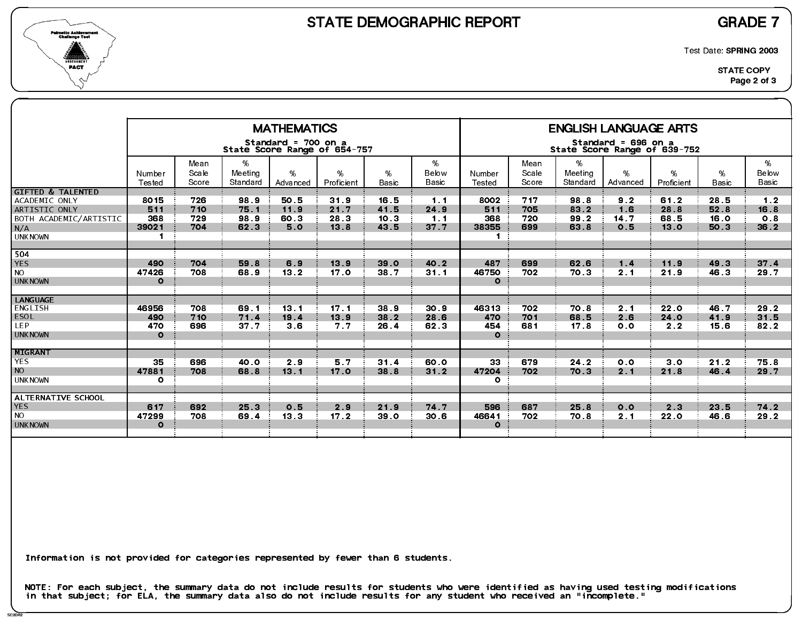



Test Date: SPRING 2003

|                                                                                                                          |                                               |                          |                                 | <b>MATHEMATICS</b><br>Standard = 700 on a | State Score Range of 654-757 |                              |                            |                                               |                          |                              | <b>ENGLISH LANGUAGE ARTS</b><br>Standard = 696 on a<br>State Score Range of 639-752 |                              |                              |                                       |
|--------------------------------------------------------------------------------------------------------------------------|-----------------------------------------------|--------------------------|---------------------------------|-------------------------------------------|------------------------------|------------------------------|----------------------------|-----------------------------------------------|--------------------------|------------------------------|-------------------------------------------------------------------------------------|------------------------------|------------------------------|---------------------------------------|
|                                                                                                                          | Number<br>Tested                              | Mean<br>Scale<br>Score   | %<br>Meeting<br>Standard        | $\%$<br>Advanced                          | %<br>Proficient              | %<br><b>Basic</b>            | %<br>Below<br>Basic        | Number<br>Tested                              | Mean<br>Scale<br>Score   | %<br>Meeting<br>Standard     | %<br>Advanced                                                                       | %<br>Proficient              | %<br><b>Basic</b>            | %<br>Below<br><b>Basic</b>            |
| <b>GIFTED &amp; TALENTED</b><br>ACADEMIC ONLY<br><b>ARTISTIC ONLY</b><br>BOTH ACADEMIC/ARTISTIC<br>N/A<br><b>UNKNOWN</b> | 8015<br>511<br>368<br>39021<br>$\blacksquare$ | 726<br>710<br>729<br>704 | 98.9<br>75.1<br>98.9<br>62.3    | 50.5<br>11.9<br>60.3<br>5.0               | 31.9<br>21.7<br>28 3<br>13.8 | 16.5<br>41.5<br>10.3<br>43 5 | 1.1<br>24.9<br>1.1<br>37.7 | 8002<br>511<br>368<br>38355<br>$\blacksquare$ | 717<br>705<br>720<br>699 | 98 8<br>83.2<br>99.2<br>63 8 | 9.2<br>1.6<br>14.7<br>0.5                                                           | 61.2<br>28.8<br>68.5<br>13.0 | 28.5<br>52.8<br>16.0<br>50.3 | 1 <sub>2</sub><br>16.8<br>0.8<br>36.2 |
| 504<br><b>YES</b><br><b>NO</b><br><b>UNKNOWN</b>                                                                         | 490<br>47426<br>$\Omega$                      | 704<br>708               | 59 8<br>68.9                    | 6.9<br>13.2                               | 13.9<br>17.0                 | 39 0<br>38.7                 | 40.2<br>31.1               | 487<br>46750<br>$\mathbf{o}$                  | 699<br>702               | 62.6<br>70.3                 | 1.4<br>2.1                                                                          | 11.9<br>21.9                 | 49.3<br>46.3                 | 37.4<br>29.7                          |
| <b>LANGUAGE</b><br>ENGLISH<br><b>ESOL</b><br>LEP.<br><b>UNKNOWN</b>                                                      | 46956<br>490<br>470<br>$\Omega$               | 708<br>710<br>696        | 69.1<br>71.4<br>37 <sub>7</sub> | 13.1<br>19.4<br>3 <sub>6</sub>            | 17.1<br>13.9<br>7.7          | 38.9<br>38.2<br>26.4         | 30.9<br>28.6<br>62.3       | 46313<br>470<br>454<br>$\Omega$               | 702<br>701<br>681        | 70.8<br>68.5<br>17.8         | 2.1<br>2.6<br>0.0                                                                   | 22.0<br>24.0<br>2.2          | 46.7<br>41.9<br>15.6         | 29.2<br>31.5<br>82.2                  |
| MIGRANT<br><b>YES</b><br><b>NO</b><br><b>UNKNOWN</b>                                                                     | 35<br>47881<br>$\circ$                        | 696<br>708               | 40.0<br>68.8                    | 2.9<br>13.1                               | 5.7<br>17 <sub>o</sub>       | 31.4<br>38.8                 | 60 0<br>31.2               | 33<br>47204<br>$\mathbf{o}$                   | 679<br>702               | 24.2<br>70 3                 | 0.0<br>2.1                                                                          | 3.0<br>21.8                  | 21.2<br>46.4                 | 75.8<br>29.7                          |
| ALTERNATIVE SCHOOL<br><b>YES</b><br><b>NO</b><br><b>UNKNOWN</b>                                                          | 617<br>47299<br>$\Omega$                      | 692<br>708               | 25.3<br>69.4                    | 0.5<br>13 <sub>3</sub>                    | 2.9<br>17.2                  | 21.9<br>39.0                 | 74.7<br>30 <sub>6</sub>    | 596<br>46641<br>$\Omega$                      | 687<br>702               | 25.8<br>70 8                 | 0.0<br>2.1                                                                          | 2 <sub>3</sub><br>22.0       | 23.5<br>46.6                 | 74.2<br>29.2                          |

Information is not provided for categories represented by fewer than 6 students.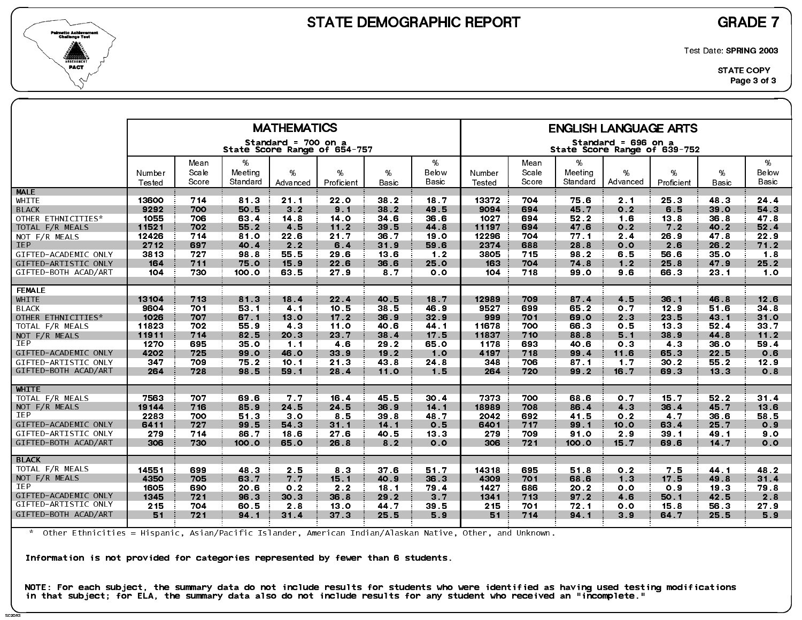



Test Date: SPRING 2003

|                      |        |               |              | <b>MATHEMATICS</b>                                  |                 |                 |                 |        |               |                 | <b>ENGLISH LANGUAGE ARTS</b>                        |                 |                 |            |
|----------------------|--------|---------------|--------------|-----------------------------------------------------|-----------------|-----------------|-----------------|--------|---------------|-----------------|-----------------------------------------------------|-----------------|-----------------|------------|
|                      |        |               |              | Standard = 700 on a<br>State Score Range of 654-757 |                 |                 |                 |        |               |                 | Standard = 696 on a<br>State Score Range of 639-752 |                 |                 |            |
|                      | Number | Mean<br>Scale | %<br>Meeting | %                                                   | %               | %               | %<br>Below      | Number | Mean<br>Scale | %<br>Meeting    | %                                                   | %               | %               | %<br>Below |
|                      | Tested | Score         | Standard     | Advanced                                            | Proficient      | Basic           | Basic           | Tested | Score         | Standard        | Advanced                                            | Proficient      | Basic           | Basic      |
| <b>MALE</b>          |        |               |              |                                                     |                 |                 |                 |        |               |                 |                                                     |                 |                 |            |
| WHITE                | 13600  | 714           | 813          | 21.1                                                | 22.0            | 38 2            | 18.7            | 13372  | 704           | 75.6            | 2 <sub>1</sub>                                      | 25 <sub>3</sub> | 48.3            | 24.4       |
| <b>BLACK</b>         | 9292   | 700           | 50.5         | 3.2                                                 | 9.1             | 38.2            | 49.5            | 9094   | 694           | 45.7            | 0.2                                                 | 6.5             | 39.0            | 54 3       |
| OTHER ETHNICITIES*   | 1055   | 706           | 63.4         | 14 8                                                | 14.0            | 34 6            | 36.6            | 1027   | 694           | 52.2            | 1.6                                                 | 13.8            | 36.8            | 47 8       |
| TOTAL F/R MEALS      | 11521  | 702           | 55.2         | 4.5                                                 | 11.2            | 39 5            | 44.8            | 11197  | 694           | 47.6            | 0.2                                                 | 7.2             | 40.2            | 52.4       |
| NOT F/R MEALS        | 12426  | 714           | 81.0         | 22.6                                                | 21.7            | 36.7            | 19 <sub>o</sub> | 12296  | 704           | 77.1            | 2.4                                                 | 26.9            | 47.8            | 22.9       |
| <b>IEP</b>           | 2712   | 697           | 40.4         | 2.2                                                 | 6.4             | 31.9            | 59.6            | 2374   | 688           | 28.8            | 0.0                                                 | 2.6             | 26.2            | 71.2       |
| GIFTED-ACADEMIC ONLY | 3813   | 727           | 98.8         | 55.5                                                | 29.6            | 13.6            | 1.2             | 3805   | 715           | 98.2            | 6.5                                                 | 56.6            | 35 <sub>o</sub> | 18         |
| GIFTED-ARTISTIC ONLY | 164    | 711           | 75.0         | 15.9                                                | 22.6            | 36.6            | 25.0            | 163    | 704           | 74.8            | 1.2                                                 | 25.8            | 47.9            | 25.2       |
| GIFTED-BOTH ACAD/ART | 104    | 730           | 100.0        | 63 5                                                | 27.9            | 8.7             | 0 <sub>0</sub>  | 104    | 718           | 99.0            | 9.6                                                 | 66.3            | 23.1            | 1.0        |
| <b>FEMALE</b>        |        |               |              |                                                     |                 |                 |                 |        |               |                 |                                                     |                 |                 |            |
| <b>WHITE</b>         | 13104  | 713           | 813          | 18.4                                                | 22.4            | 40.5            | 18.7            | 12989  | 709           | 87.4            | 4.5                                                 | 36.1            | 46.8            | 12.6       |
| <b>BLACK</b>         | 9604   | 701           | 53 1         | 4 <sub>1</sub>                                      | 10.5            | 38 5            | 46.9            | 9527   | 699           | 65.2            | 0.7                                                 | 12.9            | 51.6            | 34.8       |
| OTHER ETHNICITIES*   | 1026   | 707           | 67.1         | 13.0                                                | 17.2            | 36.9            | 32.9            | 999    | 701           | 69.0            | 2.3                                                 | 23.5            | 43.1            | 31.0       |
| TOTAL F/R MEALS      | 11823  | 702           | 55.9         | 43                                                  | 11.0            | 40.6            | 44 1            | 11678  | 700           | 66.3            | 0.5                                                 | 13.3            | 52 4            | 33.7       |
| NOT $F/R$ MEALS      | 11911  | 714           | 82.5         | 20.3                                                | 23.7            | 38.4            | 17.5            | 11837  | 710           | 88.8            | 5.1                                                 | 38.9            | 44 8            | $11.2$     |
| <b>IEP</b>           | 1270   | 695           | 35.0         | 1.1                                                 | 4.6             | 29.2            | 65 0            | 1178   | 693           | 40.6            | 0.3                                                 | 4.3             | 36.0            | 59.4       |
| GIFTED-ACADEMIC ONLY | 4202   | 725           | 99.0         | 46.0                                                | 33.9            | 19.2            | 1.0             | 4197   | 718           | 99.4            | 11.6                                                | 65.3            | 22.5            | 0.6        |
| GIFTED-ARTISTIC ONLY | 347    | 709           | 75.2         | 10.1                                                | 21.3            | 43 8            | 24 8            | 348    | 706           | 87 <sub>1</sub> | 1 <sub>7</sub>                                      | 30.2            | 55.2            | 12.9       |
| GIFTED-BOTH ACAD/ART | 264    | 728           | 98 5         | 59.1                                                | 28.4            | 11.0            | 1.5             | 264    | 720           | 99.2            | 16.7                                                | 69 3            | 13.3            | 0.8        |
| <b>WHITE</b>         |        |               |              |                                                     |                 |                 |                 |        |               |                 |                                                     |                 |                 |            |
| TOTAL F/R MEALS      | 7563   | 707           | 69.6         | 7.7                                                 | 16.4            | 45.5            | 30.4            | 7373   | 700           | 68 6            | 0.7                                                 | 15.7            | 52.2            | 31.4       |
| NOT F/R MEALS        | 19144  | 716           | 85.9         | 24.5                                                | 24.5            | 36.9            | 14.1            | 18989  | 708           | 86.4            | 4 <sub>3</sub>                                      | 36.4            | 45.7            | 13 6       |
| IEP                  | 2283   | 700           | 51.3         | 3.0                                                 | 8.5             | 39 8            | 48.7            | 2042   | 692           | 41.5            | 0.2                                                 | 4.7             | 36.6            | 58.5       |
| GIFTED-ACADEMIC ONLY | 6411   | 727           | 99.5         | 54 3                                                | 31.1            | 14 <sub>1</sub> | 0.5             | 6401   | 717           | 99.1            | 10.0                                                | 63.4            | 25.7            | 0.9        |
| GIFTED-ARTISTIC ONLY | 279    | 714           | 86.7         | 18.6                                                | 27.6            | 40.5            | 13.3            | 279    | 709           | 91.0            | 2.9                                                 | 39.1            | 49.1            | 9.0        |
| GIFTED-BOTH ACAD/ART | 306    | 730           | 100.0        | 65.0                                                | 26.8            | 8 <sub>2</sub>  | 0.0             | 306    | 721           | 100.0           | 15.7                                                | 69.6            | 14 7            | 0.0        |
| <b>BLACK</b>         |        |               |              |                                                     |                 |                 |                 |        |               |                 |                                                     |                 |                 |            |
| TOTAL F/R MEALS      | 14551  | 699           | 48.3         | 2.5                                                 | 83              | 37 <sub>6</sub> | 51.7            | 14318  | 695           | 51.8            | 0 <sub>2</sub>                                      | 7.5             | 44.1            | 48.2       |
| NOT F/R MEALS        | 4350   | 705           | 63.7         | 7.7                                                 | 15.1            | 40.9            | 36.3            | 4309   | 701           | 68.6            | 1.3                                                 | 17.5            | 49.8            | 31.4       |
| <b>IEP</b>           | 1605   | 690           | 20.6         | 0 <sub>2</sub>                                      | 2.2             | 18.1            | 79.4            | 1427   | 686           | 20 2            | 0.0                                                 | O.9             | 19 3            | 79.8       |
| GIFTED-ACADEMIC ONLY | 1345   | 721           | 96.3         | 30.3                                                | 36.8            | 29.2            | 3.7             | 1341   | 713           | 97.2            | 4.6                                                 | 50.1            | 42.5            | 2.8        |
| GIFTED-ARTISTIC ONLY | 215    | 704           | 60.5         | 2.8                                                 | 13 <sub>o</sub> | 44.7            | 39.5            | 215    | 701           | 72.1            | 0.0                                                 | 15.8            | 56.3            | 27.9       |
| GIFTED-BOTH ACAD/ART | 51     | 721           | 94.1         | 31.4                                                | 37.3            | 25.5            | 5.9             | 51     | 714           | 94.1            | 3.9                                                 | 64.7            | 25.5            | 5.9        |
|                      |        |               |              |                                                     |                 |                 |                 |        |               |                 |                                                     |                 |                 |            |

\* Other Ethnicities = Hispanic, Asian/Pacific Islander, American Indian/Alaskan Native, Other, and Unknown.

Information is not provided for categories represented by fewer than 6 students.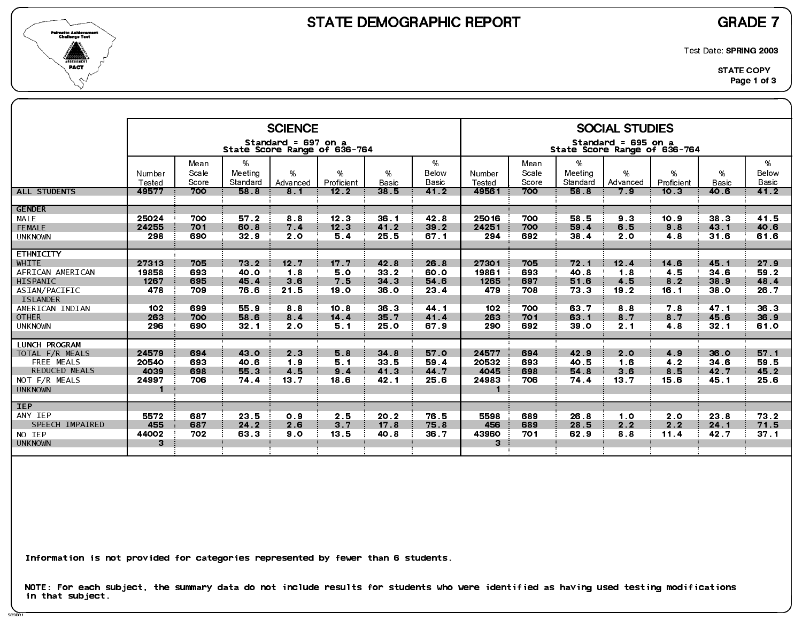

SC3DR1

Test Date: SPRING 2003

|                                         |                 |               |                  | <b>SCIENCE</b>      |                              |                      |               |                 |               |                  | <b>SOCIAL STUDIES</b>                               |                    |                      |               |
|-----------------------------------------|-----------------|---------------|------------------|---------------------|------------------------------|----------------------|---------------|-----------------|---------------|------------------|-----------------------------------------------------|--------------------|----------------------|---------------|
|                                         |                 |               |                  | Standard = 697 on a | State Score Range of 636-764 |                      |               |                 |               |                  | Standard = 695 on a<br>State Score Range of 636-764 |                    |                      |               |
|                                         | Number          | Mean<br>Scale | %<br>Meeting     | %                   | %                            | %                    | %<br>Below    | Number          | Mean<br>Scale | $\%$<br>Meeting  | %                                                   | %                  | %                    | %<br>Below    |
| <b>ALL STUDENTS</b>                     | Tested<br>49577 | Score<br>700  | Standard<br>58 8 | Advanced<br>8.1     | Proficient<br>12.2           | <b>Basic</b><br>38.5 | Basic<br>41.2 | Tested<br>49561 | Score<br>700  | Standard<br>58.8 | Advanced<br>7.9                                     | Proficient<br>10.3 | <b>Basic</b><br>40.6 | Basic<br>41.2 |
| <b>GENDER</b>                           |                 |               |                  |                     |                              |                      |               |                 |               |                  |                                                     |                    |                      |               |
| MALE                                    | 25024           | 700           | 57.2             | 8.8                 | 12.3                         | 36 <sub>1</sub>      | 42 8          | 25016           | 700           | 58.5             | 9 <sub>3</sub>                                      | 10.9               | 38.3                 | 41.5          |
| FEMALE                                  | 24255           | 701           | 60.8             | 7.4                 | 12.3                         | 41.2                 | 39.2          | 24251           | 700           | 59.4             | 6.5                                                 | 9.8                | 43.1                 | 40.6          |
| <b>UNKNOWN</b>                          | 298             | 690           | 32.9             | 2.0                 | 5.4                          | 25.5                 | 67.1          | 294             | 692           | 38.4             | 2.0                                                 | 4.8                | 31.6                 | 61.6          |
| <b>ETHNICITY</b>                        |                 |               |                  |                     |                              |                      |               |                 |               |                  |                                                     |                    |                      |               |
| <b>WHITE</b>                            | 27313           | 705           | 73.2             | 12.7                | 17 <sub>7</sub>              | 42 8                 | 26.8          | 27301           | 705           | 72.1             | 12.4                                                | 14.6               | 45.1                 | 27.9          |
| AFRICAN AMERICAN                        | 19858           | 693           | 40.0             | 1.8                 | 5.0                          | 33 2                 | 60.0          | 19861           | 693           | 40 8             | 1.8                                                 | 4.5                | 34 6                 | 59.2          |
| HISPANIC                                | 1267            | 695           | 45.4             | 3.6                 | 7.5                          | 34.3                 | 54.6          | 1265            | 697           | 51.6             | 4.5                                                 | 8.2                | 38.9                 | 48.4          |
| ASIAN/PACIFIC<br><b>ISLANDER</b>        | 478             | 709           | 76.6             | 21.5                | 19 0                         | 36.0                 | 23.4          | 479             | 708           | 73.3             | 19.2                                                | 16.1               | 38 O                 | 26.7          |
| AMERICAN INDIAN                         | 102             | 699           | 55.9             | 88                  | 10.8                         | 36.3                 | 44 1          | 102             | 700           | 63 7             | 8.8                                                 | 7.8                | 47.1                 | 36 3          |
| <b>OTHER</b>                            | 263             | 700           | 58.6             | 8.4                 | $14.4$                       | 35.7                 | 41.4          | 263             | 701           | 63.1             | 8.7                                                 | 8.7                | 45.6                 | 36.9          |
| <b>UNKNOWN</b>                          | 296             | 690           | 32.1             | 2.0                 | 51                           | 25.0                 | 67.9          | 290             | 692           | 39 0             | 2.1                                                 | 4.8                | 32.1                 | 61.0          |
|                                         |                 |               |                  |                     |                              |                      |               |                 |               |                  |                                                     |                    |                      |               |
| <b>LUNCH PROGRAM</b><br>TOTAL F/R MEALS | 24579           | 694           | 43.0             | 2 <sub>3</sub>      | 5.8                          | 34.8                 | 57.0          | 24577           | 694           | 42.9             | 2.0                                                 | 4.9                | 36.0                 | 57.1          |
| FREE MEALS                              | 20540           | 693           | 40.6             | 1.9                 | 5.1                          | 33.5                 | 59.4          | 20532           | 693           | 40.5             | 1.6                                                 | 4.2                | 34 6                 | 59.5          |
| <b>REDUCED MEALS</b>                    | 4039            | 698           | 55.3             | 4.5                 | 9.4                          | 41 3                 | 44.7          | 4045            | 698           | 54.8             | 3.6                                                 | 8.5                | 42.7                 | 45.2          |
| NOT F/R MEALS                           | 24997           | 706           | 74.4             | 13.7                | 18.6                         | 42.1                 | 25.6          | 24983           | 706           | 74.4             | 13.7                                                | 15.6               | 45.1                 | 25.6          |
| <b>UNKNOWN</b>                          | -1              |               |                  |                     |                              |                      |               |                 |               |                  |                                                     |                    |                      |               |
| <b>IEP</b>                              |                 |               |                  |                     |                              |                      |               |                 |               |                  |                                                     |                    |                      |               |
| ANY IEP                                 | 5572            | 687           | 23.5             | 0.9                 | 2.5                          | 20 2                 | 76.5          | 5598            | 689           | 26.8             | 1.0                                                 | 2.0                | 23.8                 | 73.2          |
| SPEECH IMPAIRED                         | 455             | 687           | 24.2             | 2.6                 | 3.7                          | 17.8                 | 75.8          | 456             | 689           | 28.5             | 2.2                                                 | 2.2                | 24.1                 | 71.5          |
| NO IEP                                  | 44002           | 702           | 63.3             | 9.0                 | 13.5                         | 40.8                 | 36.7          | 43960           | 701           | 62.9             | 88                                                  | 11.4               | 42.7                 | 37.1          |
| <b>UNKNOWN</b>                          | 3               |               |                  |                     |                              |                      |               | 3               |               |                  |                                                     |                    |                      |               |
|                                         |                 |               |                  |                     |                              |                      |               |                 |               |                  |                                                     |                    |                      |               |

Information is not provided for categories represented by fewer than 6 students.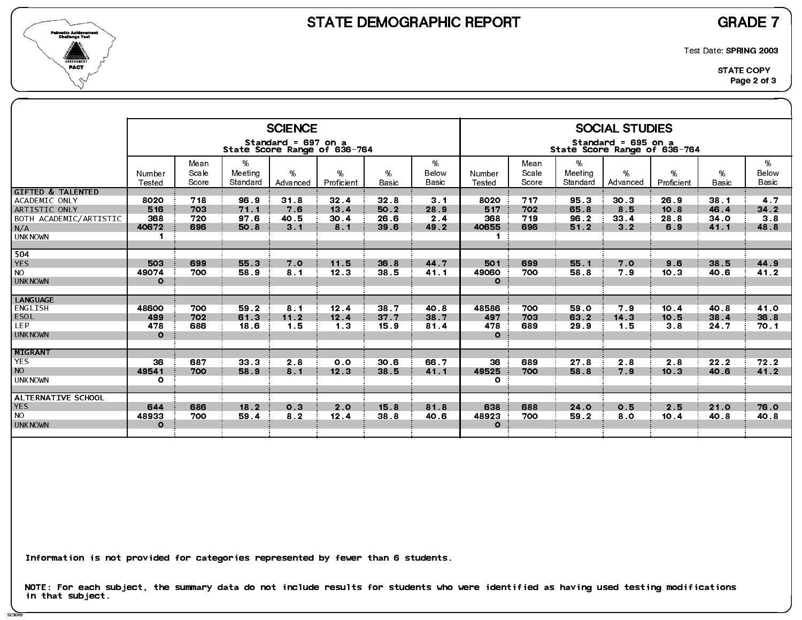

SC3DR2

Test Date: SPRING 2003

|                                                                                                                   |                                               |                          |                              | <b>SCIENCE</b>                                      |                                        |                                         |                                       |                                               |                          |                              | <b>SOCIAL STUDIES</b>                               |                             |                              |                            |
|-------------------------------------------------------------------------------------------------------------------|-----------------------------------------------|--------------------------|------------------------------|-----------------------------------------------------|----------------------------------------|-----------------------------------------|---------------------------------------|-----------------------------------------------|--------------------------|------------------------------|-----------------------------------------------------|-----------------------------|------------------------------|----------------------------|
|                                                                                                                   |                                               |                          |                              | Standard = 697 on a<br>State Score Range of 636-764 |                                        |                                         |                                       |                                               |                          |                              | Standard = 695 on a<br>State Score Range of 636-764 |                             |                              |                            |
|                                                                                                                   | Number<br>Tested                              | Mean<br>Scale<br>Score   | %<br>Meeting<br>Standard     | $\%$<br>Advanced                                    | %<br>Proficient                        | %<br><b>Basic</b>                       | %<br>Below<br>Basic                   | Number<br>Tested                              | Mean<br>Scale<br>Score   | %<br>Meeting<br>Standard     | %<br>Advanced                                       | %<br>Proficient             | %<br><b>Basic</b>            | %<br>Below<br><b>Basic</b> |
| <b>GIFTED &amp; TALENTED</b><br>ACADEMIC ONLY<br>ARTISTIC ONLY<br>BOTH ACADEMIC/ARTISTIC<br>N/A<br><b>UNKNOWN</b> | 8020<br>516<br>368<br>40672<br>$\blacksquare$ | 718<br>703<br>720<br>696 | 96.9<br>71.1<br>97 6<br>50.8 | 31.8<br>7.6<br>40.5<br>3 <sub>1</sub>               | 32.4<br>13.4<br>30 <sub>4</sub><br>8.1 | 32 <sub>8</sub><br>50.2<br>26.6<br>39 6 | 3 <sub>1</sub><br>28.9<br>2.4<br>49.2 | 8020<br>517<br>368<br>40655<br>$\blacksquare$ | 717<br>702<br>719<br>696 | 95.3<br>65.8<br>96.2<br>51.2 | 30 <sub>3</sub><br>8.5<br>33 4<br>3 <sub>2</sub>    | 26.9<br>10.8<br>28.8<br>6.9 | 38.1<br>46.4<br>34.0<br>41.1 | 4.7<br>34 2<br>3.8<br>48.8 |
| 504<br><b>YES</b><br><b>NO</b><br><b>UNKNOWN</b>                                                                  | 503<br>49074<br>$\Omega$                      | 699<br>700               | 55.3<br>58.9                 | 7.0<br>8 <sub>1</sub>                               | 11.5<br>12.3                           | 36.8<br>38 5                            | 44.7<br>41.1                          | 501<br>49060<br>$\circ$                       | 699<br>700               | 55.1<br>58.8                 | 7.0<br>79                                           | 9.6<br>10.3                 | 38.5<br>40.6                 | 44.9<br>41.2               |
| <b>LANGUAGE</b><br>ENGLISH<br><b>ESOL</b><br><b>LEP</b><br><b>UNKNOWN</b>                                         | 48600<br>499<br>478<br>$\Omega$               | 700<br>702<br>686        | 59.2<br>61.3<br>18.6         | 81<br>11.2<br>1.5                                   | 12.4<br>12.4<br>1 <sub>3</sub>         | 38.7<br>37.7<br>15.9                    | 40.8<br>38.7<br>81.4                  | 48586<br>497<br>478<br>$\Omega$               | 700<br>703<br>689        | 59 0<br>63.2<br>29.9         | 79<br>14 <sub>3</sub><br>1.5                        | 10.4<br>10.5<br>38          | 40.8<br>38.4<br>24.7         | 41.0<br>36.8<br>70.1       |
| MIGRANT<br><b>YES</b><br><b>NO</b><br><b>UNKNOWN</b>                                                              | 36<br>49541<br>$\circ$                        | 687<br>700               | 33.3<br>58.9                 | 2.8<br>8.1                                          | 0.0<br>12.3                            | 30.6<br>38.5                            | 66.7<br>41.1                          | 36<br>49525<br>$\mathbf{o}$                   | 689<br>700               | 27 <sub>8</sub><br>58.8      | 2.8<br>7.9                                          | 2.8<br>10.3                 | 22.2<br>40.6                 | 72.2<br>41.2               |
| ALTERNATIVE SCHOOL<br><b>YES</b><br><b>NO</b><br><b>UNKNOWN</b>                                                   | 644<br>48933<br>$\Omega$                      | 686<br>700               | 18.2<br>59.4                 | 0.3<br>8 <sub>2</sub>                               | 2.0<br>12.4                            | 15.8<br>38.8                            | 81.8<br>40.6                          | 638<br>48923<br>$\Omega$                      | 688<br>700               | 24.0<br>59.2                 | 0.5<br>8.0                                          | 2.5<br>10.4                 | 21.0<br>40.8                 | 76.0<br>40.8               |

Information is not provided for categories represented by fewer than 6 students.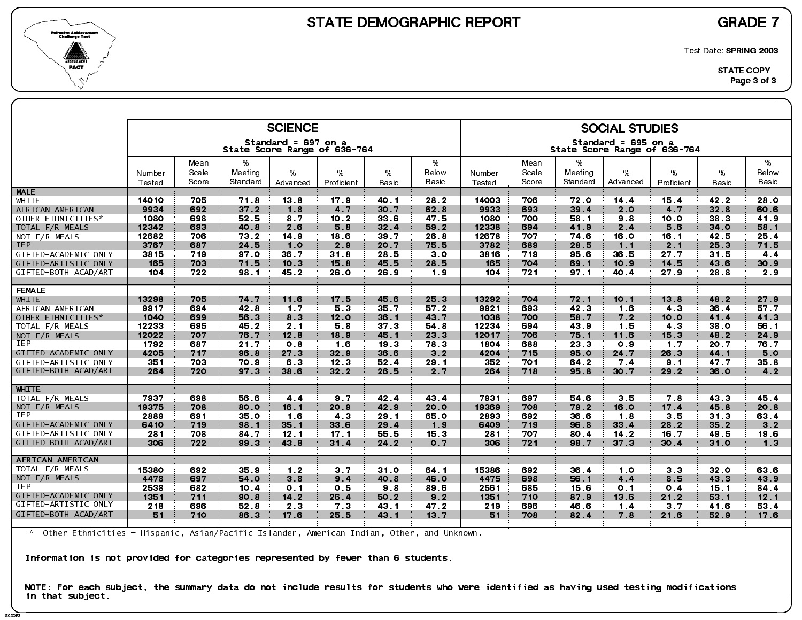

SC3DR<sub>3</sub>

Test Date: SPRING 2003

|                      |                  |                |                     | <b>SCIENCE</b>                                      |                 |                 |                |                  |                |                     | <b>SOCIAL STUDIES</b>                               |                 |                   |                |
|----------------------|------------------|----------------|---------------------|-----------------------------------------------------|-----------------|-----------------|----------------|------------------|----------------|---------------------|-----------------------------------------------------|-----------------|-------------------|----------------|
|                      |                  |                |                     | Standard = 697 on a<br>State Score Range of 636-764 |                 |                 |                |                  |                |                     | Standard = 695 on a<br>State Score Range of 636-764 |                 |                   |                |
|                      |                  | Mean           | %                   |                                                     |                 |                 | %              |                  | Mean           | %                   |                                                     |                 |                   | %              |
|                      | Number<br>Tested | Scale<br>Score | Meeting<br>Standard | %<br>Advanced                                       | %<br>Proficient | %<br>Basic      | Below<br>Basic | Number<br>Tested | Scale<br>Score | Meeting<br>Standard | %<br>Advanced                                       | %<br>Proficient | %<br><b>Basic</b> | Below<br>Basic |
| <b>MALE</b>          |                  |                |                     |                                                     |                 |                 |                |                  |                |                     |                                                     |                 |                   |                |
| WHITE                | 14010            | 705            | 71.8                | 13.8                                                | 17.9            | 40 1            | 28.2           | 14003            | 706            | 72.0                | 14.4                                                | 15.4            | 42.2              | 28.0           |
| AFRICAN AMERICAN     | 9934             | 692            | $37.2$              | 1.8                                                 | 4.7             | 30.7            | 62.8           | 9933             | 693            | 39.4                | 2.0                                                 | 4 <sub>7</sub>  | 32.8              | 60.6           |
| OTHER ETHNICITIES*   | 1080             | 698            | 52.5                | 87                                                  | 10.2            | 33 6            | 47.5           | 1080             | 700            | 58 1                | 9.8                                                 | 10.0            | 38.3              | 41.9           |
| TOTAL F/R MEALS      | 12342            | 693            | 40.8                | 2.6                                                 | 5.8             | 32.4            | 59.2           | 12338            | 694            | 41.9                | 2.4                                                 | 5.6             | 34.0              | 58.1           |
| NOT F/R MEALS        | 12682            | 706            | 73.2                | 14.9                                                | 18 6            | 39 7            | 26.8           | 12678            | 707            | 74.6                | 16.0                                                | 16.1            | 42.5              | 25.4           |
| <b>IEP</b>           | 3767             | 687            | 24 5                | 1.0                                                 | 2.9             | 20.7            | 75.5           | 3782             | 689            | 28.5                | 1.1                                                 | 2.1             | 25.3              | 71.5           |
| GIFTED-ACADEMIC ONLY | 3815             | 719            | 97.0                | 36.7                                                | 31.8            | 28.5            | 3 <sub>0</sub> | 3816             | 719            | 95.6                | 36.5                                                | 27.7            | 31.5              | 44             |
| GIFTED-ARTISTIC ONLY | 165              | 703            | 71.5                | 10.3                                                | 15.8            | 45.5            | 28.5           | 165              | 704            | 69.1                | 10.9                                                | 14 5            | 43.6              | 30.9           |
| GIFTED-BOTH ACAD/ART | 104              | 722            | 98.1                | 45.2                                                | 26.0            | 26.9            | 1.9            | 104              | 721            | 97.1                | 40.4                                                | 27.9            | 28.8              | 2.9            |
|                      |                  |                |                     |                                                     |                 |                 |                |                  |                |                     |                                                     |                 |                   |                |
| <b>FEMALE</b>        |                  |                |                     |                                                     |                 |                 |                |                  |                |                     |                                                     |                 |                   |                |
| WHITE                | 13298            | 705            | 74.7                | 11.6                                                | 17.5            | 45.6            | 25.3           | 13292            | 704            | 72.1                | 10.1                                                | 13.8            | 48.2              | 27.9           |
| AFRICAN AMERICAN     | 9917             | 694            | 42.8                | 1.7                                                 | 53              | 35.7            | 57.2           | 9921             | 693            | 42 3                | 1.6                                                 | 4.3             | 36.4              | 57.7           |
| OTHER ETHNICITIES*   | 1040             | 699            | 56.3                | 8 <sub>3</sub>                                      | 12.0            | 36.1            | 43.7           | 1038             | 700            | 58.7                | 7.2                                                 | 10.0            | 41.4              | 41.3           |
| TOTAL F/R MEALS      | 12233            | 695            | 45.2                | 2 <sub>1</sub>                                      | 5.8             | 37 <sub>3</sub> | 54.8           | 12234            | 694            | 43.9                | 1.5                                                 | 4.3             | 38.0              | 56.1           |
| NOT F/R MEALS        | 12022            | 707            | 76.7                | 12.8                                                | 18.9            | 45.1            | 23.3           | 12017            | 706            | 75.1                | 11.6                                                | 15.3            | 48.2              | 24.9           |
| IEP                  | 1792             | 687            | 21.7                | 0.8                                                 | 1.6             | 19.3            | 78.3           | 1804             | 688            | 23.3                | 0.9                                                 | 1.7             | 20.7              | 76.7           |
| GIFTED-ACADEMIC ONLY | 4205             | 717            | 96.8                | 27.3                                                | 32.9            | 36.6            | 3 <sub>2</sub> | 4204             | 715            | 95.0                | 24 7                                                | 26.3            | 44.1              | 5.0            |
| GIFTED-ARTISTIC ONLY | 351              | 703            | 70.9                | 6.3                                                 | 12.3            | 52.4            | 29.1           | 352              | 701            | 64.2                | 7.4                                                 | 9.1             | 47.7              | 35.8           |
| GIFTED-BOTH ACAD/ART | 264              | 720            | 97.3                | 38.6                                                | 32.2            | 26.5            | 2.7            | 264              | 718            | 95.8                | 30.7                                                | 29.2            | 36.0              | 4.2            |
|                      |                  |                |                     |                                                     |                 |                 |                |                  |                |                     |                                                     |                 |                   |                |
| <b>WHITE</b>         |                  |                |                     |                                                     |                 |                 |                |                  |                |                     |                                                     |                 |                   |                |
| TOTAL F/R MEALS      | 7937             | 698            | 56.6                | 4.4                                                 | 9.7             | 42.4            | 43.4           | 7931             | 697            | 54.6                | 3.5                                                 | 7.8             | 43 3              | 45.4           |
| NOT F/R MEALS        | 19375            | 708            | 80.0                | 16.1                                                | 20.9            | 42.9            | 20.0           | 19369            | 708            | 79.2                | 16.0                                                | 17.4            | 45.8              | 20.8           |
| <b>IEP</b>           | 2889             | 691            | 35.0                | 1.6                                                 | 43              | 29.1            | 65.0           | 2893             | 692            | 36.6                | 1.8                                                 | 3.5             | 31.3              | 63.4           |
| GIFTED-ACADEMIC ONLY | 6410             | 719            | 98.1                | 35.1                                                | 33.6            | 29.4            | 1.9            | 6409             | 719            | 96.8                | 33 4                                                | 28.2            | 35.2              | 3.2            |
| GIFTED-ARTISTIC ONLY | 281              | 708            | 84.7                | 12.1                                                | 17 <sub>1</sub> | 55.5            | 15.3           | 281              | 707            | 80.4                | $142$                                               | 16.7            | 49.5              | 19.6           |
| GIFTED-BOTH ACAD/ART | 306              | 722            | 99.3                | 43.8                                                | 31.4            | 24.2            | 0.7            | 306              | 721            | 98.7                | 37 <sub>3</sub>                                     | 30.4            | 31.0              | 1.3            |
| AFRICAN AMERICAN     |                  |                |                     |                                                     |                 |                 |                |                  |                |                     |                                                     |                 |                   |                |
| TOTAL F/R MEALS      |                  |                |                     |                                                     |                 |                 |                |                  |                |                     |                                                     |                 |                   |                |
|                      | 15380            | 692            | 35.9                | 1.2                                                 | 37              | 31.0            | 64 1           | 15386            | 692            | 36.4                | 10                                                  | 3 <sub>3</sub>  | 32.0              | 63 6           |
| NOT F/R MEALS<br>IEP | 4478             | 697            | 54 0                | 38                                                  | 9.4             | 40.8            | 46.0           | 4475             | 698            | 56 1                | 4.4                                                 | 8.5             | 43 3              | 43.9           |
|                      | 2538             | 682            | 10.4                | 0 <sub>1</sub>                                      | 0.5             | 98              | 89 6           | 2561             | 685            | 15.6                | 0 <sub>1</sub>                                      | 0.4             | 15.1              | 84 4           |
| GIFTED-ACADEMIC ONLY | 1351             | 711            | 90.8                | 14.2                                                | 26.4            | 50.2            | 9.2            | 1351             | 710            | 87.9                | 13.6                                                | 21.2            | 53.1              | 12.1           |
| GIFTED-ARTISTIC ONLY | 218              | 696            | 52.8                | 2 <sub>3</sub>                                      | 73              | 43.1            | 47.2           | 219              | 696            | 46.6                | $1.4$                                               | 3.7             | 41.6              | 53.4           |
| GIFTED-BOTH ACAD/ART | 51               | 710            | 86.3                | 17.6                                                | 25.5            | 43 1            | 13.7           | 51               | 708            | 82.4                | 7 8                                                 | 21.6            | 52.9              | 17.6           |
|                      |                  |                |                     |                                                     |                 |                 |                |                  |                |                     |                                                     |                 |                   |                |

\* Other Ethnicities = Hispanic, Asian/Pacific Islander, American Indian, Other, and Unknown.

Information is not provided for categories represented by fewer than 6 students.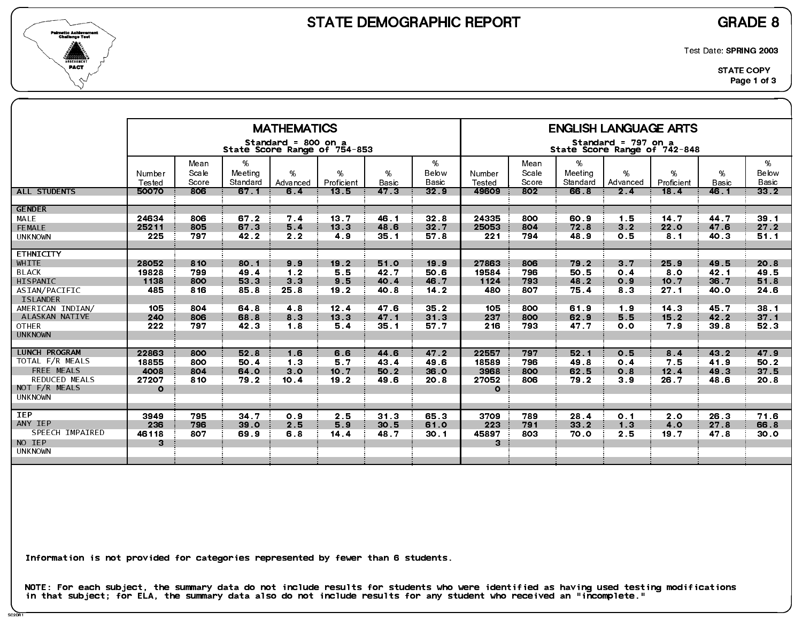



Test Date: SPRING 2003

|                                    |                  |                        |                          | <b>MATHEMATICS</b>  |                              |                 |                         |                  |                        |                          | <b>ENGLISH LANGUAGE ARTS</b>                        |                         |                   |                            |
|------------------------------------|------------------|------------------------|--------------------------|---------------------|------------------------------|-----------------|-------------------------|------------------|------------------------|--------------------------|-----------------------------------------------------|-------------------------|-------------------|----------------------------|
|                                    |                  |                        |                          |                     |                              |                 |                         |                  |                        |                          |                                                     |                         |                   |                            |
|                                    |                  |                        |                          | Standard = 800 on a | State Score Range of 754-853 |                 |                         |                  |                        |                          | Standard = 797 on a<br>State Score Range of 742-848 |                         |                   |                            |
|                                    | Number<br>Tested | Mean<br>Scale<br>Score | %<br>Meeting<br>Standard | $\%$<br>Advanced    | %<br>Proficient              | %<br>Basic      | %<br>Below<br>Basic     | Number<br>Tested | Mean<br>Scale<br>Score | %<br>Meeting<br>Standard | %<br>Advanced                                       | %<br>Proficient         | %<br><b>Basic</b> | %<br>Below<br><b>Basic</b> |
| <b>ALL STUDENTS</b>                | 50070            | 806                    | 67.1                     | 6.4                 | 13.5                         | 47 <sub>3</sub> | 32 <sub>9</sub>         | 49609            | 802                    | 66.8                     | 2.4                                                 | 18.4                    | 46.1              | 33 <sub>2</sub>            |
| <b>GENDER</b>                      |                  |                        |                          |                     |                              |                 |                         |                  |                        |                          |                                                     |                         |                   |                            |
| MALE<br>FEMALE                     | 24634<br>25211   | 806<br>805             | 67.2<br>67.3             | 7.4<br>5.4          | 13.7<br>13 <sub>3</sub>      | 46.1<br>48.6    | 32 <sub>8</sub><br>32.7 | 24335<br>25053   | 800<br>804             | 60.9<br>72.8             | 1.5<br>3 <sub>2</sub>                               | 14.7<br>22.0            | 44.7<br>47.6      | 39.1<br>27.2               |
| <b>UNKNOWN</b>                     | 225              | 797                    | 42 2                     | 2.2                 | 4.9                          | 35.1            | 57 8                    | 221              | 794                    | 48.9                     | 0.5                                                 | 8 <sub>1</sub>          | 40 3              | 51.1                       |
|                                    |                  |                        |                          |                     |                              |                 |                         |                  |                        |                          |                                                     |                         |                   |                            |
| <b>ETHNICITY</b>                   |                  |                        |                          |                     |                              |                 |                         |                  |                        |                          |                                                     |                         |                   |                            |
| WHITE                              | 28052            | 810                    | 80.1                     | 9.9                 | 19.2                         | 51.0            | 19.9                    | 27863            | 806                    | 79.2                     | 3 <sub>7</sub>                                      | 25.9                    | 49.5              | 20.8                       |
| <b>BLACK</b>                       | 19828            | 799                    | 49.4                     | 1.2                 | 5.5                          | 42.7            | 50.6                    | 19584            | 796                    | 50 5                     | 0.4                                                 | 8.0                     | 42.1              | 49.5                       |
| HISPANIC                           | 1138             | 800                    | 53.3                     | 3 <sub>3</sub>      | 9.5                          | 40.4            | 46.7                    | 1124             | 793                    | 48.2                     | 0.9                                                 | 10.7                    | 36.7              | 51.8                       |
| ASIAN/PACIFIC                      | 485              | 816                    | 85.8                     | 25.8                | 19.2                         | 40.8            | 14.2                    | 480              | 807                    | 75.4                     | 8.3                                                 | 27.1                    | 40.0              | 24.6                       |
| <b>ISLANDER</b>                    | 105              | 804                    |                          |                     |                              | 47.6            |                         | 105              | 800                    |                          |                                                     |                         |                   | 38.1                       |
| AMERICAN INDIAN/<br>ALASKAN NATIVE | 240              | 806                    | 64.8<br>68.8             | 4 8<br>8.3          | 12.4<br>13.3                 | 47.1            | 35.2<br>31 <sub>3</sub> | 237              | 800                    | 61.9<br>62.9             | 19<br>5.5                                           | 14 <sub>3</sub><br>15.2 | 45.7<br>42.2      | 37 <sub>1</sub>            |
| <b>OTHER</b>                       | 222              | 797                    | 42 3                     | 1.8                 | 5.4                          | 35.1            | 57.7                    | 216              | 793                    | 47.7                     | 0.0                                                 | 7.9                     | 39.8              | 52.3                       |
| <b>UNKNOWN</b>                     |                  |                        |                          |                     |                              |                 |                         |                  |                        |                          |                                                     |                         |                   |                            |
|                                    |                  |                        |                          |                     |                              |                 |                         |                  |                        |                          |                                                     |                         |                   |                            |
| LUNCH PROGRAM                      | 22863            | 800                    | 52 8                     | 1.6                 | 6.6                          | 44.6            | 47.2                    | 22557            | 797                    | 52.1                     | 0.5                                                 | 8.4                     | 43 2              | 47.9                       |
| TOTAL F/R MEALS                    | 18855            | 800                    | 50.4                     | 1 <sub>3</sub>      | 5.7                          | 43.4            | 49.6                    | 18589            | 796                    | 49 8                     | 0.4                                                 | 7.5                     | 41.9              | 50.2                       |
| FREE MEALS                         | 4008             | 804                    | 64.0                     | 3.0                 | 10 7                         | 50.2            | 36.0                    | 3968             | 800                    | 62.5                     | 0.8                                                 | 12.4                    | 49.3              | 37.5                       |
| REDUCED MEALS                      | 27207            | 810                    | 79.2                     | 10.4                | 19.2                         | 49 6            | 20 8                    | 27052            | 806                    | 79.2                     | 3.9                                                 | 26.7                    | 48.6              | 20.8                       |
| NOT F/R MEALS<br><b>UNKNOWN</b>    | $\circ$          |                        |                          |                     |                              |                 |                         | $\Omega$         |                        |                          |                                                     |                         |                   |                            |
|                                    |                  |                        |                          |                     |                              |                 |                         |                  |                        |                          |                                                     |                         |                   |                            |
| <b>IEP</b>                         | 3949             | 795                    | 34.7                     | 0.9                 | 2.5                          | 31 <sub>3</sub> | 65.3                    | 3709             | 789                    | 28.4                     | 0.1                                                 | 2.0                     | 26.3              | 71.6                       |
| ANY IEP                            | 236              | 796                    | 39 0                     | 2.5                 | 5.9                          | 30.5            | 61.0                    | 223              | 791                    | $332$                    | 1.3                                                 | 4.0                     | 27.8              | 66.8                       |
| SPEECH IMPAIRED                    | 46118            | 807                    | 69.9                     | 6.8                 | 14.4                         | 48.7            | 30.1                    | 45897            | 803                    | 70.0                     | 2.5                                                 | 19.7                    | 47 8              | 30.0                       |
| NO IEP                             | 3                |                        |                          |                     |                              |                 |                         | 3                |                        |                          |                                                     |                         |                   |                            |
| <b>UNKNOWN</b>                     |                  |                        |                          |                     |                              |                 |                         |                  |                        |                          |                                                     |                         |                   |                            |
|                                    |                  |                        |                          |                     |                              |                 |                         |                  |                        |                          |                                                     |                         |                   |                            |
|                                    |                  |                        |                          |                     |                              |                 |                         |                  |                        |                          |                                                     |                         |                   |                            |

Information is not provided for categories represented by fewer than 6 students.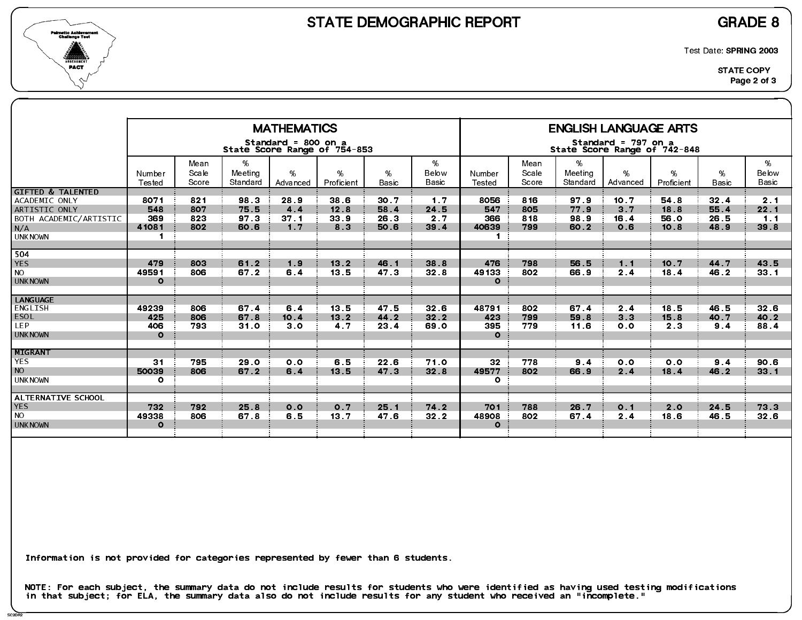

SC2DR2

Test Date: SPRING 2003

|                                                                                                                   |                                               |                          |                              | <b>MATHEMATICS</b>                                  |                                                   |                              |                                 |                                               |                          |                              | <b>ENGLISH LANGUAGE ARTS</b>                        |                                |                              |                                 |
|-------------------------------------------------------------------------------------------------------------------|-----------------------------------------------|--------------------------|------------------------------|-----------------------------------------------------|---------------------------------------------------|------------------------------|---------------------------------|-----------------------------------------------|--------------------------|------------------------------|-----------------------------------------------------|--------------------------------|------------------------------|---------------------------------|
|                                                                                                                   |                                               |                          |                              | Standard = 800 on a<br>State Score Range of 754-853 |                                                   |                              |                                 |                                               |                          |                              | Standard = 797 on a<br>State Score Range of 742-848 |                                |                              |                                 |
|                                                                                                                   | Number<br>Tested                              | Mean<br>Scale<br>Score   | %<br>Meeting<br>Standard     | $\%$<br>Advanced                                    | %<br>Proficient                                   | %<br>Basic                   | %<br>Below<br>Basic             | Number<br>Tested                              | Mean<br>Scale<br>Score   | %<br>Meeting<br>Standard     | %<br>Advanced                                       | %<br>Proficient                | %<br><b>Basic</b>            | %<br>Below<br><b>Basic</b>      |
| <b>GIFTED &amp; TALENTED</b><br>ACADEMIC ONLY<br>ARTISTIC ONLY<br>BOTH ACADEMIC/ARTISTIC<br>N/A<br><b>UNKNOWN</b> | 8071<br>548<br>369<br>41081<br>$\blacksquare$ | 821<br>807<br>823<br>802 | 98.3<br>75.5<br>97 3<br>60.6 | 28.9<br>4.4<br>37 <sub>1</sub><br>1 <sub>7</sub>    | 38.6<br>12.8<br>33 <sub>9</sub><br>8 <sub>3</sub> | 30.7<br>58.4<br>26.3<br>50.6 | 1.7<br>24.5<br>2.7<br>39 4      | 8056<br>547<br>366<br>40639<br>$\blacksquare$ | 816<br>805<br>818<br>799 | 97 9<br>77.9<br>98 9<br>60.2 | 10.7<br>3 <sub>7</sub><br>16.4<br>O.6               | 54.8<br>18.8<br>56.0<br>10.8   | 32.4<br>55.4<br>26.5<br>48.9 | 2.1<br>22.1<br>1.1<br>39.8      |
| 504<br><b>YES</b><br><b>NO</b><br><b>UNKNOWN</b>                                                                  | 479<br>49591<br>$\Omega$                      | 803<br>806               | 61.2<br>67.2                 | 1.9<br>6.4                                          | 13.2<br>13.5                                      | 46.1<br>47.3                 | 38 8<br>32.8                    | 476<br>49133<br>$\mathbf{o}$                  | 798<br>802               | 56.5<br>66.9                 | 1.1<br>2.4                                          | 10.7<br>18.4                   | 44.7<br>46.2                 | 43.5<br>33.1                    |
| <b>LANGUAGE</b><br>ENGLISH<br><b>ESOL</b><br>LEP.<br><b>UNKNOWN</b>                                               | 49239<br>425<br>406<br>$\Omega$               | 806<br>806<br>793        | 67.4<br>67.8<br>31.0         | 6.4<br>10.4<br>3.0                                  | 13.5<br>$13.2$<br>4 <sub>7</sub>                  | 47.5<br>44.2<br>23.4         | 32 <sub>6</sub><br>32.2<br>69.0 | 48791<br>423<br>395<br>$\Omega$               | 802<br>799<br>779        | 67.4<br>59 8<br>11.6         | 2.4<br>3 <sub>3</sub><br>0.0                        | 18.5<br>15.8<br>2 <sub>3</sub> | 46.5<br>40.7<br>9.4          | 32 <sub>6</sub><br>40.2<br>88.4 |
| MIGRANT<br><b>YES</b><br><b>NO</b><br><b>UNKNOWN</b>                                                              | 31<br>50039<br>$\circ$                        | 795<br>806               | 29.0<br>67.2                 | 0.0<br>6.4                                          | 6.5<br>13.5                                       | 22.6<br>47.3                 | 71.0<br>32.8                    | 32<br>49577<br>$\circ$                        | 778<br>802               | 9.4<br>66.9                  | 0.0<br>2.4                                          | 0.0<br>18.4                    | 9.4<br>46.2                  | 90.6<br>$331$                   |
| ALTERNATIVE SCHOOL<br><b>YES</b><br><b>NO</b><br><b>UNKNOWN</b>                                                   | 732<br>49338<br>$\Omega$                      | 792<br>806               | 25 8<br>67 8                 | 0.0<br>6.5                                          | 0.7<br>13.7                                       | 25.1<br>47 6                 | 74.2<br>$32.2$                  | 701<br>48908<br>$\Omega$                      | 788<br>802               | 26.7<br>67.4                 | 0.1<br>2.4                                          | 2.0<br>18.6                    | 24.5<br>46.5                 | 73 3<br>32 <sub>6</sub>         |

Information is not provided for categories represented by fewer than 6 students.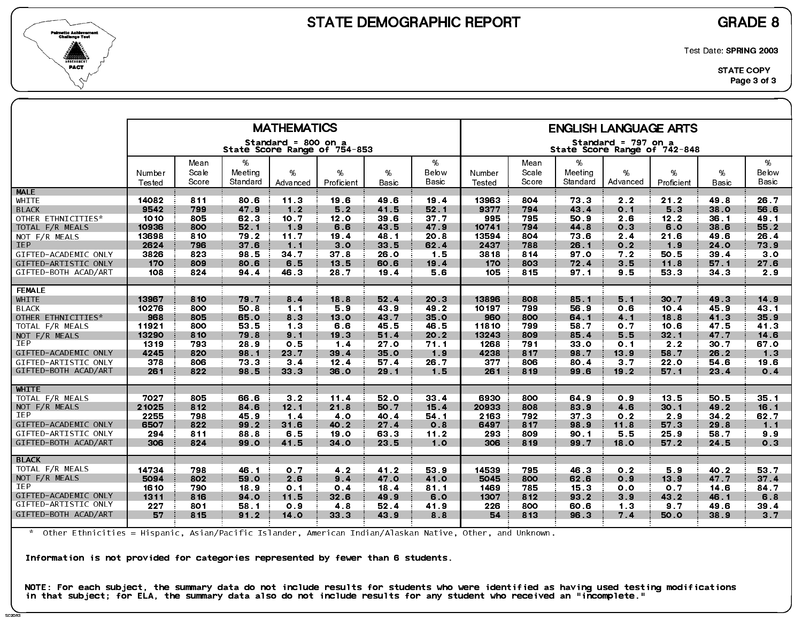



SC2DR<sup>3</sup>

Test Date: SPRING 2003

|                      |                  |                |                     | <b>MATHEMATICS</b>                                  |                 |                 |                |                  |                |                     | <b>ENGLISH LANGUAGE ARTS</b>                        |                 |                 |                 |
|----------------------|------------------|----------------|---------------------|-----------------------------------------------------|-----------------|-----------------|----------------|------------------|----------------|---------------------|-----------------------------------------------------|-----------------|-----------------|-----------------|
|                      |                  |                |                     | Standard = 800 on a<br>State Score Range of 754-853 |                 |                 |                |                  |                |                     | Standard = 797 on a<br>State Score Range of 742-848 |                 |                 |                 |
|                      |                  | Mean           | %                   |                                                     |                 |                 | %              |                  | Mean           | %                   |                                                     |                 |                 | %               |
|                      | Number<br>Tested | Scale<br>Score | Meeting<br>Standard | %<br>Advanced                                       | %<br>Proficient | %<br>Basic      | Below<br>Basic | Number<br>Tested | Scale<br>Score | Meeting<br>Standard | %<br>Advanced                                       | %<br>Proficient | %<br>Basic      | Below<br>Basic  |
| <b>MALE</b>          |                  |                |                     |                                                     |                 |                 |                |                  |                |                     |                                                     |                 |                 |                 |
| WHITE                | 14082            | 811            | 80.6                | 11.3                                                | 19.6            | 49.6            | 19.4           | 13963            | 804            | 73.3                | 2.2                                                 | 21.2            | 49.8            | 26.7            |
| <b>BLACK</b>         | 9542             | 799            | 47.9                | 1.2                                                 | 5.2             | 41.5            | 52.1           | 9377             | 794            | 43.4                | 0.1                                                 | 5.3             | 38.0            | 56.6            |
| OTHER ETHNICITIES*   | 1010             | 805            | 62.3                | 10 7                                                | 12.0            | 39 6            | 37.7           | 995              | 795            | 50.9                | 2.6                                                 | 12.2            | 36.1            | 49 1            |
| TOTAL F/R MEALS      | 10936            | 800            | 52.1                | 1.9                                                 | 6.6             | 43.5            | 47.9           | 10741            | 794            | 44.8                | 0.3                                                 | 6.0             | 38.6            | 55.2            |
| NOT F/R MEALS        | 13698            | 810            | 79.2                | 11.7                                                | 19.4            | 48 1            | 20.8           | 13594            | 804            | 73 6                | 2.4                                                 | 21.6            | 49.6            | 26.4            |
| <b>IEP</b>           | 2624             | 796            | 37.6                | 1.1                                                 | 3.0             | 33 5            | 62.4           | 2437             | 788            | 26.1                | 0.2                                                 | 1.9             | 24.0            | 73.9            |
| GIFTED-ACADEMIC ONLY | 3826             | 823            | 98.5                | 34.7                                                | 37 <sub>8</sub> | 26.0            | 1.5            | 3818             | 814            | 97 O                | 7.2                                                 | 50.5            | 39.4            | 30              |
| GIFTED-ARTISTIC ONLY | 170              | 809            | 80.6                | 6.5                                                 | 13.5            | 60.6            | 19.4           | 170              | 803            | 72.4                | 3.5                                                 | 11.8            | 57.1            | 27.6            |
| GIFTED-BOTH ACAD/ART | 108              | 824            | 94 4                | 46 3                                                | 28 7            | 19.4            | 5.6            | 105              | 815            | 97.1                | 9.5                                                 | 53.3            | 34 <sub>3</sub> | 2.9             |
| <b>FEMALE</b>        |                  |                |                     |                                                     |                 |                 |                |                  |                |                     |                                                     |                 |                 |                 |
| WHITE                | 13967            | 810            | 79.7                | 8.4                                                 | 18.8            | 52.4            | 20.3           | 13896            | 808            | 85.1                | 5.1                                                 | 30.7            | 49.3            | 14.9            |
| <b>BLACK</b>         | 10276            | 800            | 50.8                | 1.1                                                 | 5.9             | 43 9            | 49 2           | 10197            | 799            | 56.9                | 0.6                                                 | 10.4            | 45.9            | 43 <sub>1</sub> |
| OTHER ETHNICITIES*   | 968              | 805            | 65.0                | 8 <sub>3</sub>                                      | 13.0            | 43 7            | 35.0           | 960              | 800            | 64.1                | 4.1                                                 | 18.8            | 41.3            | 35.9            |
| TOTAL F/R MEALS      | 11921            | 800            | 53.5                | 13                                                  | 6.6             | 45.5            | 46.5           | 11810            | 799            | 58.7                | 0.7                                                 | 10.6            | 47.5            | 41 3            |
| NOT $F/R$ MEALS      | 13290            | 810            | 79.8                | 9.1                                                 | 19.3            | 51.4            | 20.2           | 13243            | 809            | 85.4                | 5.5                                                 | 32.1            | 47.7            | 14.6            |
| <b>IEP</b>           | 1319             | 793            | 28.9                | 0.5                                                 | $1.4$           | 27 <sub>0</sub> | 71.1           | 1268             | 791            | 33.0                | 0 <sub>1</sub>                                      | 2.2             | 30.7            | 67 0            |
| GIFTED-ACADEMIC ONLY | 4245             | 820            | 98.1                | 23.7                                                | 39.4            | 35.0            | 1.9            | 4238             | 817            | 98.7                | 13.9                                                | 58.7            | 26.2            | 1.3             |
| GIFTED-ARTISTIC ONLY | 378              | 806            | 73.3                | 3 <sub>4</sub>                                      | 12.4            | 57.4            | 26.7           | 377              | 806            | 80.4                | 3 <sub>7</sub>                                      | 22.0            | 54.6            | 19.6            |
| GIFTED-BOTH ACAD/ART | 261              | 822            | 98 5                | 33 <sub>3</sub>                                     | 36.0            | 29.1            | 1.5            | 261              | 819            | 99.6                | 19.2                                                | 57.1            | 23.4            | 0.4             |
| <b>WHITE</b>         |                  |                |                     |                                                     |                 |                 |                |                  |                |                     |                                                     |                 |                 |                 |
| TOTAL F/R MEALS      | 7027             | 805            | 66.6                | 3 <sub>2</sub>                                      | 11.4            | 52.0            | 33.4           | 6930             | 800            | 64.9                | 0.9                                                 | 13.5            | 50.5            | 35 <sub>1</sub> |
| NOT F/R MEALS        | 21025            | 812            | 84 6                | 12.1                                                | 21.8            | 50.7            | 15.4           | 20933            | 808            | 83 9                | 4.6                                                 | 30.1            | 49.2            | 16.1            |
| IEP                  | 2255             | 798            | 45.9                | 1.4                                                 | 4.0             | 40 4            | 54.1           | 2163             | 792            | 37 <sub>3</sub>     | 0.2                                                 | 2.9             | $34.2$          | 62.7            |
| GIFTED-ACADEMIC ONLY | 6507             | 822            | 99.2                | 31.6                                                | 40.2            | 27.4            | 0.8            | 6497             | 817            | 98.9                | 11.8                                                | 57.3            | 29.8            | 1.1             |
| GIFTED-ARTISTIC ONLY | 294              | 811            | 88.8                | 6.5                                                 | 19.0            | 63.3            | 11.2           | 293              | 809            | 90.1                | 5.5                                                 | 25.9            | 58.7            | 9.9             |
| GIFTED-BOTH ACAD/ART | 306              | 824            | 99.0                | 41.5                                                | 34.0            | 23 5            | 1.0            | 306              | 819            | 99.7                | 18.0                                                | 57.2            | 24 5            | 0.3             |
| <b>BLACK</b>         |                  |                |                     |                                                     |                 |                 |                |                  |                |                     |                                                     |                 |                 |                 |
| TOTAL F/R MEALS      | 14734            | 798            | 46.1                | 0.7                                                 | 4 <sub>2</sub>  | 41.2            | 53.9           | 14539            | 795            | 46.3                | 0 <sub>2</sub>                                      | 5.9             | 40.2            | 53.7            |
| NOT F/R MEALS        | 5094             | 802            | 59.0                | 2.6                                                 | 9.4             | 47.0            | 41.0           | 5045             | 800            | 62.6                | 0.9                                                 | 13.9            | 47.7            | 37.4            |
| <b>IEP</b>           | 1610             | 790            | 18.9                | 0 <sub>1</sub>                                      | 0.4             | 18.4            | 81.1           | 1469             | 785            | 15.3                | 0.0                                                 | 0.7             | 14.6            | 84.7            |
| GIFTED-ACADEMIC ONLY | 1311             | 816            | 94.0                | 11.5                                                | 32.6            | 49.9            | 6.0            | 1307             | 812            | 93.2                | 3.9                                                 | 43.2            | 46.1            | 6.8             |
| GIFTED-ARTISTIC ONLY | 227              | 801            | 58.1                | 0.9                                                 | 4.8             | 52.4            | 41.9           | 226              | 800            | 60.6                | 1.3                                                 | 9 <sub>7</sub>  | 49.6            | 39 4            |
| GIFTED-BOTH ACAD/ART | 57               | 815            | 91.2                | 14.0                                                | 33.3            | 43.9            | 8.8            | 54               | 813            | 96.3                | 7.4                                                 | 50.0            | 38.9            | $3 \cdot 7$     |
|                      |                  |                |                     |                                                     |                 |                 |                |                  |                |                     |                                                     |                 |                 |                 |

\* Other Ethnicities = Hispanic, Asian/Pacific Islander, American Indian/Alaskan Native, Other, and Unknown.

Information is not provided for categories represented by fewer than 6 students.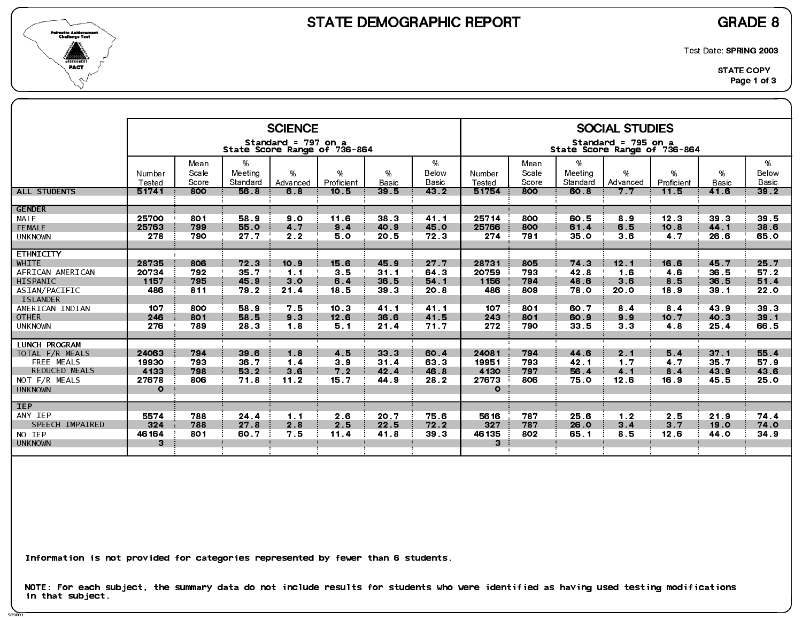

SC3DR1

Test Date: SPRING 2003

|                                         |                 |                        |                          | <b>SCIENCE</b>      |                              |                          |                     |                 |                        |                             | <b>SOCIAL STUDIES</b>                               |                 |                      |                     |
|-----------------------------------------|-----------------|------------------------|--------------------------|---------------------|------------------------------|--------------------------|---------------------|-----------------|------------------------|-----------------------------|-----------------------------------------------------|-----------------|----------------------|---------------------|
|                                         |                 |                        |                          | Standard = 797 on a | State Score Range of 736-864 |                          |                     |                 |                        |                             | Standard = 795 on a<br>State Score Range of 736-864 |                 |                      |                     |
|                                         | Number          | Mean<br>Scale<br>Score | %<br>Meeting<br>Standard | %                   | %                            | %                        | %<br>Below<br>Basic | Number          | Mean<br>Scale<br>Score | $\%$<br>Meeting<br>Standard | %<br>Advanced                                       | %<br>Proficient | %                    | %<br>Below<br>Basic |
| <b>ALL STUDENTS</b>                     | Tested<br>51741 | 800                    | 56.8                     | Advanced<br>6.8     | Proficient<br>10.5           | Basic<br>39 <sub>5</sub> | 43 <sup>2</sup>     | Tested<br>51754 | 800                    | 60.8                        | 7.7                                                 | 11.5            | <b>Basic</b><br>41.6 | $392$               |
| <b>GENDER</b>                           |                 |                        |                          |                     |                              |                          |                     |                 |                        |                             |                                                     |                 |                      |                     |
| MALE                                    | 25700           | 801                    | 58.9                     | 9.0                 | 11.6                         | 38.3                     | 41.1                | 25714           | 800                    | 60.5                        | 8.9                                                 | 12.3            | 39 <sub>3</sub>      | 39 5                |
| FEMALE                                  | 25763<br>278    | 799<br>790             | 55.0<br>27.7             | 4.7<br>2.2          | 9.4<br>5.0                   | 40.9<br>20.5             | 45.0<br>72.3        | 25766<br>274    | 800<br>791             | 61.4<br>35 O                | 6.5<br>3.6                                          | 10.8<br>4 7     | 44.1<br>26.6         | 38.6<br>65.0        |
| <b>UNKNOWN</b>                          |                 |                        |                          |                     |                              |                          |                     |                 |                        |                             |                                                     |                 |                      |                     |
| <b>ETHNICITY</b>                        |                 |                        |                          |                     |                              |                          |                     |                 |                        |                             |                                                     |                 |                      |                     |
| <b>WHITE</b>                            | 28735           | 806                    | 72.3                     | 10.9                | 15.6                         | 45.9                     | 27.7                | 28731           | 805                    | 74.3                        | 12.1                                                | 16.6            | 45.7                 | 25.7                |
| AFRICAN AMERICAN                        | 20734           | 792                    | 35.7                     | 1.1                 | 3.5                          | 31.1                     | 64 3                | 20759           | 793                    | 42 8                        | 1.6                                                 | 4.6             | 36.5                 | 57.2                |
| HISPANIC                                | 1157<br>486     | 795<br>811             | 45.9                     | 3 <sub>o</sub>      | 6.4                          | 36.5<br>39 <sub>3</sub>  | 54.1                | 1156<br>486     | 794<br>809             | 48.6                        | 3.6<br><b>20.0</b>                                  | 8.5<br>18.9     | 36.5                 | 51.4                |
| ASIAN/PACIFIC<br><b>ISLANDER</b>        |                 |                        | 79.2                     | 21.4                | 18.5                         |                          | 20.8                |                 |                        | 78.0                        |                                                     |                 | 39.1                 | <b>22.0</b>         |
| AMERICAN INDIAN                         | 107             | 800                    | 58.9                     | 7.5                 | 10.3                         | 41.1                     | 41.1                | 107             | 801                    | 60.7                        | 8.4                                                 | 8.4             | 43.9                 | 39 3                |
| <b>OTHER</b>                            | 246             | 801                    | 58.5                     | 9 <sub>3</sub>      | 12.6                         | 36.6                     | 41.5                | 243             | 801                    | 60.9                        | 9.9                                                 | 10.7            | 40.3                 | 39.1                |
| <b>UNKNOWN</b>                          | 276             | 789                    | 28.3                     | 1.8                 | 5.1                          | 21.4                     | 71.7                | 272             | 790                    | 33.5                        | 3 <sub>3</sub>                                      | 4.8             | 25.4                 | 66.5                |
|                                         |                 |                        |                          |                     |                              |                          |                     |                 |                        |                             |                                                     |                 |                      |                     |
| <b>LUNCH PROGRAM</b><br>TOTAL F/R MEALS | 24063           | 794                    | 39 6                     | 1.8                 | 4.5                          | 33.3                     | 60.4                | 24081           | 794                    | 44.6                        | 2.1                                                 | 5.4             | 37.1                 | 55.4                |
| FREE MEALS                              | 19930           | 793                    | 36.7                     | 1.4                 | 3.9                          | 31.4                     | 63.3                | 19951           | 793                    | 42.1                        | 1.7                                                 | 4.7             | 35.7                 | 57.9                |
| <b>REDUCED MEALS</b>                    | 4133            | 798                    | 53.2                     | 3.6                 | 7.2                          | 42.4                     | 46.8                | 4130            | 797                    | 56.4                        | 4.1                                                 | 8.4             | 43.9                 | 43 6                |
| NOT F/R MEALS                           | 27678           | 806                    | 71.8                     | $11.2$              | 15.7                         | 44 9                     | 28.2                | 27673           | 806                    | 75.0                        | 12.6                                                | 16.9            | 45.5                 | 25.0                |
| <b>UNKNOWN</b>                          | $\circ$         |                        |                          |                     |                              |                          |                     | $\circ$         |                        |                             |                                                     |                 |                      |                     |
| <b>IEP</b>                              |                 |                        |                          |                     |                              |                          |                     |                 |                        |                             |                                                     |                 |                      |                     |
| ANY IEP                                 | 5574            | 788                    | 24 4                     | 1.1                 | 2.6                          | 20.7                     | 75.6                | 5616            | 787                    | 25.6                        | 1 <sub>2</sub>                                      | 2.5             | 21.9                 | 74 4                |
| SPEECH IMPAIRED                         | 324             | 788                    | 27.8                     | 2.8                 | 2.5                          | 22.5                     | 72.2                | 327             | 787                    | 26.0                        | 3.4                                                 | 3.7             | 19.0                 | 74.0                |
| NO IEP                                  | 46164           | 801                    | 60.7                     | 75                  | 11.4                         | 41.8                     | 39 <sub>3</sub>     | 46135           | 802                    | 65.1                        | 85                                                  | 12.6            | 44.0                 | 34.9                |
| <b>UNKNOWN</b>                          | 3               |                        |                          |                     |                              |                          |                     | $\mathbf{3}$    |                        |                             |                                                     |                 |                      |                     |
|                                         |                 |                        |                          |                     |                              |                          |                     |                 |                        |                             |                                                     |                 |                      |                     |

Information is not provided for categories represented by fewer than 6 students.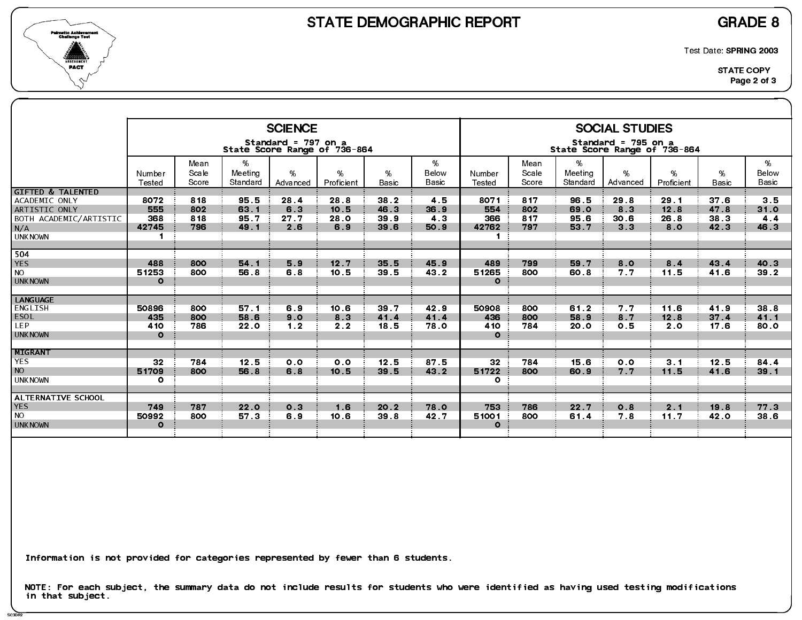

SC3DR2

Test Date: SPRING 2003

| <b>SCIENCE</b><br><b>SOCIAL STUDIES</b><br>Standard = 797 on a<br>Standard = 795 on a<br>State Score Range of 736-864<br>State Score Range of 736-864<br>%<br>%<br>%<br>%<br>Mean<br>Mean<br>Meeting<br>Scale<br>Meeting<br>Scale<br>$\%$<br>Below<br>%<br>%<br>Below<br>%<br>%<br>%<br>Number<br>Number<br><b>Basic</b><br>Basic<br>Score<br>Standard<br>Score<br>Standard<br>Advanced<br><b>Basic</b><br>Proficient<br>Basic<br>Tested<br>Tested<br>Proficient<br>Advanced<br><b>GIFTED &amp; TALENTED</b><br>8072<br>818<br>95.5<br>4.5<br>817<br>37.6<br>3.5<br>28.8<br>38.2<br>8071<br>96.5<br>29.8<br>29.1<br>ACADEMIC ONLY<br>28.4<br>555<br>63 1<br>10.5<br>46.3<br>36.9<br>554<br>12.8<br>47.8<br>802<br>6.3<br>802<br>69.0<br>8 3<br>31.0<br>ARTISTIC ONLY<br>368<br>4.3<br>366<br>817<br>38.3<br>818<br>95.7<br>39 9<br>26.8<br>27.7<br>28.0<br>95.6<br>30 <sub>6</sub><br>4.4<br>BOTH ACADEMIC/ARTISTIC<br>N/A<br>42745<br>8.0<br>796<br>49.1<br>39 6<br>50.9<br>42762<br>53 7<br>3 <sub>3</sub><br>42.3<br>46.3<br>2.6<br>6.9<br>797<br><b>UNKNOWN</b><br>$\blacksquare$<br>$\blacksquare$<br>504<br>35.5<br>8.4<br>43.4<br>40 3<br><b>YES</b><br>488<br>54.1<br>5.9<br>45.9<br>489<br>799<br>59 7<br>8.0<br>800<br>12.7<br>51253<br>800<br>56.8<br>6.8<br>39.5<br>43.2<br>51265<br>800<br>7.7<br>11.5<br>41.6<br>39.2<br><b>NO</b><br>10.5<br>60 8<br><b>UNKNOWN</b><br>$\Omega$<br>$\mathbf{o}$<br><b>LANGUAGE</b><br>ENGLISH<br>50896<br>6.9<br>39 7<br>42.9<br>50908<br>800<br>61.2<br>7.7<br>11.6<br>41.9<br>38 8<br>800<br>57 1<br>10.6<br>ESOL<br>436<br>37.4<br>435<br>800<br>58.6<br>9.0<br>41.4<br>41.4<br>800<br>8.7<br>12.8<br>41.1<br>8 <sub>3</sub><br>58.9<br>LEP.<br>410<br>786<br>1.2<br>18.5<br>78.0<br>410<br>784<br>2.0<br>17.6<br>22.0<br>0.5<br>80.0<br>2.2<br><b>20 0</b><br>$\Omega$<br><b>UNKNOWN</b><br>$\Omega$<br>MIGRANT<br><b>YES</b><br>32<br>12.5<br>12.5<br>87.5<br>32<br>15.6<br>12.5<br>84.4<br>784<br>784<br>3.1<br>0.0<br>0.0<br>0.0<br><b>NO</b><br>51709<br>800<br>39.5<br>43.2<br>51722<br>7.7<br>11.5<br>41.6<br>56.8<br>6.8<br>10.5<br>800<br>60.9<br>$39.1$<br><b>UNKNOWN</b><br>$\circ$<br>$\mathbf{o}$<br>ALTERNATIVE SCHOOL<br><b>YES</b><br>753<br>749<br>787<br>20.2<br>786<br>2.1<br>19.8<br>77.3<br>22.0<br>0.3<br>1.6<br>78.0<br>22.7<br>0.8<br><b>NO</b><br>50992<br>11.7<br>800<br>57 3<br>10.6<br>39 8<br>42.7<br>51001<br>7.8<br>42.0<br>38 6<br>6.9<br>800<br>61.4<br><b>UNKNOWN</b><br>$\Omega$<br>$\Omega$ |  |  |  |  |  |  |  |  |
|-----------------------------------------------------------------------------------------------------------------------------------------------------------------------------------------------------------------------------------------------------------------------------------------------------------------------------------------------------------------------------------------------------------------------------------------------------------------------------------------------------------------------------------------------------------------------------------------------------------------------------------------------------------------------------------------------------------------------------------------------------------------------------------------------------------------------------------------------------------------------------------------------------------------------------------------------------------------------------------------------------------------------------------------------------------------------------------------------------------------------------------------------------------------------------------------------------------------------------------------------------------------------------------------------------------------------------------------------------------------------------------------------------------------------------------------------------------------------------------------------------------------------------------------------------------------------------------------------------------------------------------------------------------------------------------------------------------------------------------------------------------------------------------------------------------------------------------------------------------------------------------------------------------------------------------------------------------------------------------------------------------------------------------------------------------------------------------------------------------------------------------------------------------------------------------------------------------------------------------------------------------------------------------------------------------------------------------------------------------------------------------------------------------------------------------------------------------------------------------|--|--|--|--|--|--|--|--|
|                                                                                                                                                                                                                                                                                                                                                                                                                                                                                                                                                                                                                                                                                                                                                                                                                                                                                                                                                                                                                                                                                                                                                                                                                                                                                                                                                                                                                                                                                                                                                                                                                                                                                                                                                                                                                                                                                                                                                                                                                                                                                                                                                                                                                                                                                                                                                                                                                                                                                   |  |  |  |  |  |  |  |  |
|                                                                                                                                                                                                                                                                                                                                                                                                                                                                                                                                                                                                                                                                                                                                                                                                                                                                                                                                                                                                                                                                                                                                                                                                                                                                                                                                                                                                                                                                                                                                                                                                                                                                                                                                                                                                                                                                                                                                                                                                                                                                                                                                                                                                                                                                                                                                                                                                                                                                                   |  |  |  |  |  |  |  |  |
|                                                                                                                                                                                                                                                                                                                                                                                                                                                                                                                                                                                                                                                                                                                                                                                                                                                                                                                                                                                                                                                                                                                                                                                                                                                                                                                                                                                                                                                                                                                                                                                                                                                                                                                                                                                                                                                                                                                                                                                                                                                                                                                                                                                                                                                                                                                                                                                                                                                                                   |  |  |  |  |  |  |  |  |
|                                                                                                                                                                                                                                                                                                                                                                                                                                                                                                                                                                                                                                                                                                                                                                                                                                                                                                                                                                                                                                                                                                                                                                                                                                                                                                                                                                                                                                                                                                                                                                                                                                                                                                                                                                                                                                                                                                                                                                                                                                                                                                                                                                                                                                                                                                                                                                                                                                                                                   |  |  |  |  |  |  |  |  |
|                                                                                                                                                                                                                                                                                                                                                                                                                                                                                                                                                                                                                                                                                                                                                                                                                                                                                                                                                                                                                                                                                                                                                                                                                                                                                                                                                                                                                                                                                                                                                                                                                                                                                                                                                                                                                                                                                                                                                                                                                                                                                                                                                                                                                                                                                                                                                                                                                                                                                   |  |  |  |  |  |  |  |  |
|                                                                                                                                                                                                                                                                                                                                                                                                                                                                                                                                                                                                                                                                                                                                                                                                                                                                                                                                                                                                                                                                                                                                                                                                                                                                                                                                                                                                                                                                                                                                                                                                                                                                                                                                                                                                                                                                                                                                                                                                                                                                                                                                                                                                                                                                                                                                                                                                                                                                                   |  |  |  |  |  |  |  |  |
|                                                                                                                                                                                                                                                                                                                                                                                                                                                                                                                                                                                                                                                                                                                                                                                                                                                                                                                                                                                                                                                                                                                                                                                                                                                                                                                                                                                                                                                                                                                                                                                                                                                                                                                                                                                                                                                                                                                                                                                                                                                                                                                                                                                                                                                                                                                                                                                                                                                                                   |  |  |  |  |  |  |  |  |
|                                                                                                                                                                                                                                                                                                                                                                                                                                                                                                                                                                                                                                                                                                                                                                                                                                                                                                                                                                                                                                                                                                                                                                                                                                                                                                                                                                                                                                                                                                                                                                                                                                                                                                                                                                                                                                                                                                                                                                                                                                                                                                                                                                                                                                                                                                                                                                                                                                                                                   |  |  |  |  |  |  |  |  |
|                                                                                                                                                                                                                                                                                                                                                                                                                                                                                                                                                                                                                                                                                                                                                                                                                                                                                                                                                                                                                                                                                                                                                                                                                                                                                                                                                                                                                                                                                                                                                                                                                                                                                                                                                                                                                                                                                                                                                                                                                                                                                                                                                                                                                                                                                                                                                                                                                                                                                   |  |  |  |  |  |  |  |  |
|                                                                                                                                                                                                                                                                                                                                                                                                                                                                                                                                                                                                                                                                                                                                                                                                                                                                                                                                                                                                                                                                                                                                                                                                                                                                                                                                                                                                                                                                                                                                                                                                                                                                                                                                                                                                                                                                                                                                                                                                                                                                                                                                                                                                                                                                                                                                                                                                                                                                                   |  |  |  |  |  |  |  |  |

Information is not provided for categories represented by fewer than 6 students.